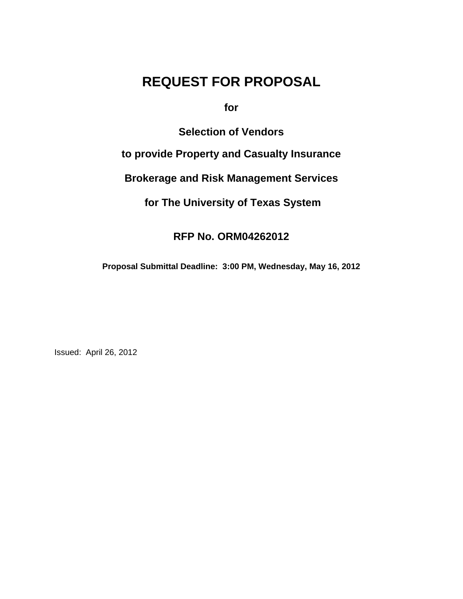# **REQUEST FOR PROPOSAL**

**for**

**Selection of Vendors** 

## **to provide Property and Casualty Insurance**

## **Brokerage and Risk Management Services**

**for The University of Texas System**

## **RFP No. ORM04262012**

**Proposal Submittal Deadline: 3:00 PM, Wednesday, May 16, 2012**

Issued: April 26, 2012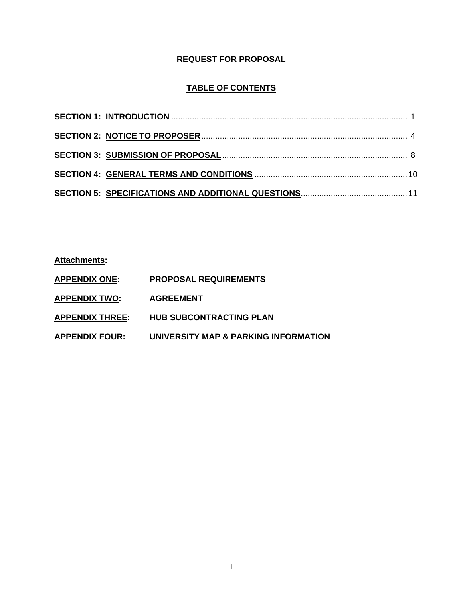## **REQUEST FOR PROPOSAL**

## **TABLE OF CONTENTS**

**Attachments:**

| <b>APPENDIX ONE:</b> | <b>PROPOSAL REQUIREMENTS</b> |
|----------------------|------------------------------|
|----------------------|------------------------------|

**APPENDIX TWO: AGREEMENT**

**APPENDIX THREE: HUB SUBCONTRACTING PLAN**

**APPENDIX FOUR: UNIVERSITY MAP & PARKING INFORMATION**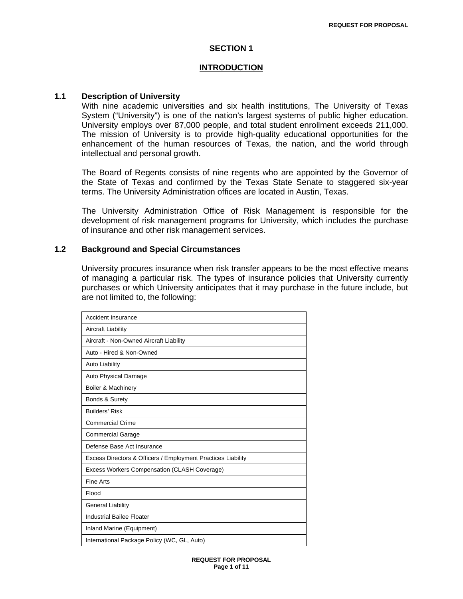#### **INTRODUCTION**

#### **1.1 Description of University**

With nine academic universities and six health institutions, The University of Texas System ("University") is one of the nation's largest systems of public higher education. University employs over 87,000 people, and total student enrollment exceeds 211,000. The mission of University is to provide high-quality educational opportunities for the enhancement of the human resources of Texas, the nation, and the world through intellectual and personal growth.

The Board of Regents consists of nine regents who are appointed by the Governor of the State of Texas and confirmed by the Texas State Senate to staggered six-year terms. The University Administration offices are located in Austin, Texas.

The University Administration Office of Risk Management is responsible for the development of risk management programs for University, which includes the purchase of insurance and other risk management services.

### **1.2 Background and Special Circumstances**

University procures insurance when risk transfer appears to be the most effective means of managing a particular risk. The types of insurance policies that University currently purchases or which University anticipates that it may purchase in the future include, but are not limited to, the following:

| Accident Insurance                                           |
|--------------------------------------------------------------|
| Aircraft Liability                                           |
| Aircraft - Non-Owned Aircraft Liability                      |
| Auto - Hired & Non-Owned                                     |
| <b>Auto Liability</b>                                        |
| <b>Auto Physical Damage</b>                                  |
| Boiler & Machinery                                           |
| Bonds & Surety                                               |
| <b>Builders' Risk</b>                                        |
| <b>Commercial Crime</b>                                      |
| <b>Commercial Garage</b>                                     |
| Defense Base Act Insurance                                   |
| Excess Directors & Officers / Employment Practices Liability |
| Excess Workers Compensation (CLASH Coverage)                 |
| Fine Arts                                                    |
| Flood                                                        |
| <b>General Liability</b>                                     |
| <b>Industrial Bailee Floater</b>                             |
| Inland Marine (Equipment)                                    |
| International Package Policy (WC, GL, Auto)                  |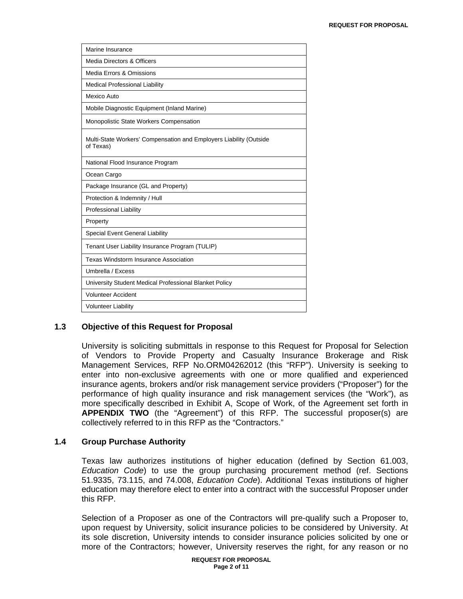| Marine Insurance                                                                |
|---------------------------------------------------------------------------------|
| Media Directors & Officers                                                      |
| Media Errors & Omissions                                                        |
| <b>Medical Professional Liability</b>                                           |
| Mexico Auto                                                                     |
| Mobile Diagnostic Equipment (Inland Marine)                                     |
| Monopolistic State Workers Compensation                                         |
| Multi-State Workers' Compensation and Employers Liability (Outside<br>of Texas) |
| National Flood Insurance Program                                                |
| Ocean Cargo                                                                     |
| Package Insurance (GL and Property)                                             |
| Protection & Indemnity / Hull                                                   |
| <b>Professional Liability</b>                                                   |
| Property                                                                        |
| Special Event General Liability                                                 |
| Tenant User Liability Insurance Program (TULIP)                                 |
| Texas Windstorm Insurance Association                                           |
| Umbrella / Excess                                                               |
| University Student Medical Professional Blanket Policy                          |
| <b>Volunteer Accident</b>                                                       |
| <b>Volunteer Liability</b>                                                      |

#### **1.3 Objective of this Request for Proposal**

University is soliciting submittals in response to this Request for Proposal for Selection of Vendors to Provide Property and Casualty Insurance Brokerage and Risk Management Services, RFP No.ORM04262012 (this "RFP"). University is seeking to enter into non-exclusive agreements with one or more qualified and experienced insurance agents, brokers and/or risk management service providers ("Proposer") for the performance of high quality insurance and risk management services (the "Work"), as more specifically described in Exhibit A, Scope of Work, of the Agreement set forth in **APPENDIX TWO** (the "Agreement") of this RFP. The successful proposer(s) are collectively referred to in this RFP as the "Contractors."

#### **1.4 Group Purchase Authority**

Texas law authorizes institutions of higher education (defined by Section 61.003, *Education Code*) to use the group purchasing procurement method (ref. Sections 51.9335, 73.115, and 74.008, *Education Code*). Additional Texas institutions of higher education may therefore elect to enter into a contract with the successful Proposer under this RFP.

Selection of a Proposer as one of the Contractors will pre-qualify such a Proposer to, upon request by University, solicit insurance policies to be considered by University. At its sole discretion, University intends to consider insurance policies solicited by one or more of the Contractors; however, University reserves the right, for any reason or no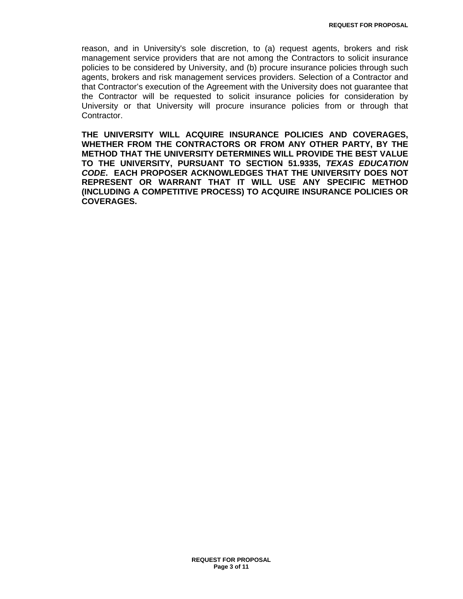reason, and in University's sole discretion, to (a) request agents, brokers and risk management service providers that are not among the Contractors to solicit insurance policies to be considered by University, and (b) procure insurance policies through such agents, brokers and risk management services providers. Selection of a Contractor and that Contractor's execution of the Agreement with the University does not guarantee that the Contractor will be requested to solicit insurance policies for consideration by University or that University will procure insurance policies from or through that Contractor.

**THE UNIVERSITY WILL ACQUIRE INSURANCE POLICIES AND COVERAGES, WHETHER FROM THE CONTRACTORS OR FROM ANY OTHER PARTY, BY THE METHOD THAT THE UNIVERSITY DETERMINES WILL PROVIDE THE BEST VALUE TO THE UNIVERSITY, PURSUANT TO SECTION 51.9335,** *TEXAS EDUCATION CODE***. EACH PROPOSER ACKNOWLEDGES THAT THE UNIVERSITY DOES NOT REPRESENT OR WARRANT THAT IT WILL USE ANY SPECIFIC METHOD (INCLUDING A COMPETITIVE PROCESS) TO ACQUIRE INSURANCE POLICIES OR COVERAGES.**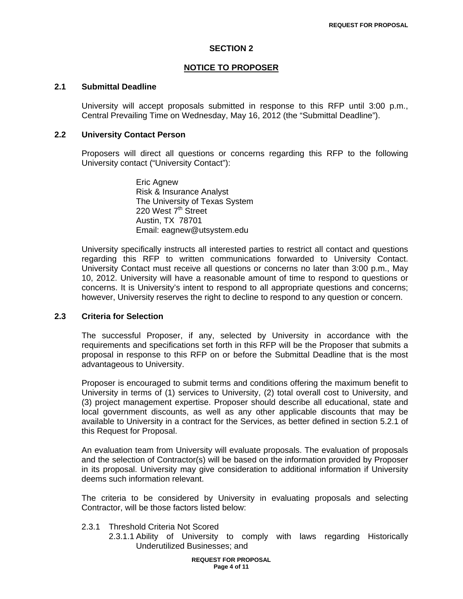#### **NOTICE TO PROPOSER**

#### **2.1 Submittal Deadline**

University will accept proposals submitted in response to this RFP until 3:00 p.m., Central Prevailing Time on Wednesday, May 16, 2012 (the "Submittal Deadline").

#### **2.2 University Contact Person**

Proposers will direct all questions or concerns regarding this RFP to the following University contact ("University Contact"):

> Eric Agnew Risk & Insurance Analyst The University of Texas System 220 West 7<sup>th</sup> Street Austin, TX 78701 Email: eagnew@utsystem.edu

University specifically instructs all interested parties to restrict all contact and questions regarding this RFP to written communications forwarded to University Contact. University Contact must receive all questions or concerns no later than 3:00 p.m., May 10, 2012. University will have a reasonable amount of time to respond to questions or concerns. It is University's intent to respond to all appropriate questions and concerns; however, University reserves the right to decline to respond to any question or concern.

## **2.3 Criteria for Selection**

The successful Proposer, if any, selected by University in accordance with the requirements and specifications set forth in this RFP will be the Proposer that submits a proposal in response to this RFP on or before the Submittal Deadline that is the most advantageous to University.

Proposer is encouraged to submit terms and conditions offering the maximum benefit to University in terms of (1) services to University, (2) total overall cost to University, and (3) project management expertise. Proposer should describe all educational, state and local government discounts, as well as any other applicable discounts that may be available to University in a contract for the Services, as better defined in section 5.2.1 of this Request for Proposal.

An evaluation team from University will evaluate proposals. The evaluation of proposals and the selection of Contractor(s) will be based on the information provided by Proposer in its proposal. University may give consideration to additional information if University deems such information relevant.

The criteria to be considered by University in evaluating proposals and selecting Contractor, will be those factors listed below:

- 2.3.1 Threshold Criteria Not Scored
	- 2.3.1.1 Ability of University to comply with laws regarding Historically Underutilized Businesses; and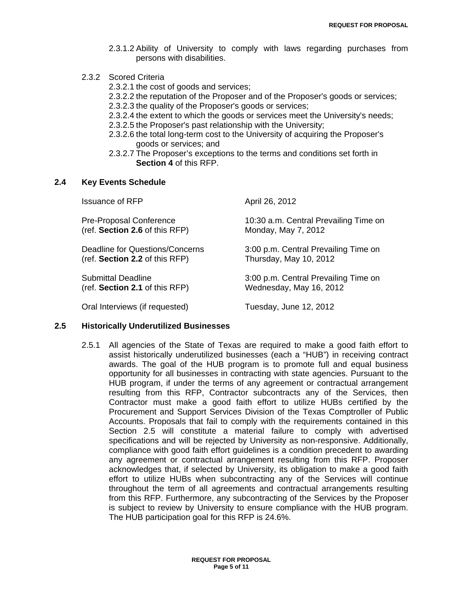- 2.3.1.2 Ability of University to comply with laws regarding purchases from persons with disabilities.
- 2.3.2 Scored Criteria

2.3.2.1 the cost of goods and services;

- 2.3.2.2 the reputation of the Proposer and of the Proposer's goods or services;
- 2.3.2.3 the quality of the Proposer's goods or services;
- 2.3.2.4 the extent to which the goods or services meet the University's needs;
- 2.3.2.5 the Proposer's past relationship with the University;
- 2.3.2.6 the total long-term cost to the University of acquiring the Proposer's goods or services; and
- 2.3.2.7 The Proposer's exceptions to the terms and conditions set forth in **Section 4** of this RFP.

#### **2.4 Key Events Schedule**

| <b>Issuance of RFP</b>          | April 26, 2012                        |
|---------------------------------|---------------------------------------|
| Pre-Proposal Conference         | 10:30 a.m. Central Prevailing Time on |
| (ref. Section 2.6 of this RFP)  | Monday, May 7, 2012                   |
| Deadline for Questions/Concerns | 3:00 p.m. Central Prevailing Time on  |
| (ref. Section 2.2 of this RFP)  | Thursday, May 10, 2012                |
| Submittal Deadline              | 3:00 p.m. Central Prevailing Time on  |
| (ref. Section 2.1 of this RFP)  | Wednesday, May 16, 2012               |
| Oral Interviews (if requested)  | Tuesday, June 12, 2012                |

#### **2.5 Historically Underutilized Businesses**

2.5.1 All agencies of the State of Texas are required to make a good faith effort to assist historically underutilized businesses (each a "HUB") in receiving contract awards. The goal of the HUB program is to promote full and equal business opportunity for all businesses in contracting with state agencies. Pursuant to the HUB program, if under the terms of any agreement or contractual arrangement resulting from this RFP, Contractor subcontracts any of the Services, then Contractor must make a good faith effort to utilize HUBs certified by the Procurement and Support Services Division of the Texas Comptroller of Public Accounts. Proposals that fail to comply with the requirements contained in this Section 2.5 will constitute a material failure to comply with advertised specifications and will be rejected by University as non-responsive. Additionally, compliance with good faith effort guidelines is a condition precedent to awarding any agreement or contractual arrangement resulting from this RFP. Proposer acknowledges that, if selected by University, its obligation to make a good faith effort to utilize HUBs when subcontracting any of the Services will continue throughout the term of all agreements and contractual arrangements resulting from this RFP. Furthermore, any subcontracting of the Services by the Proposer is subject to review by University to ensure compliance with the HUB program. The HUB participation goal for this RFP is 24.6%.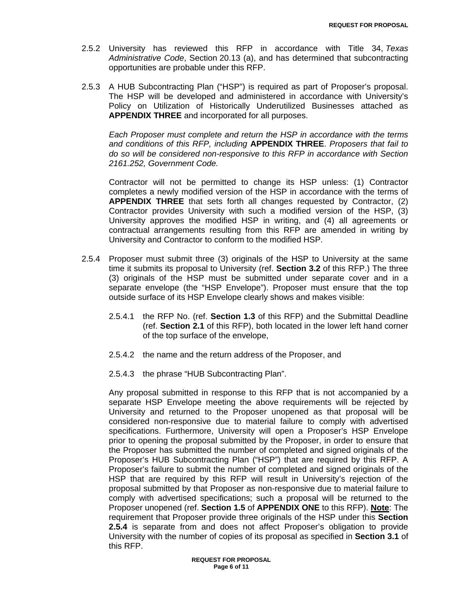- 2.5.2 University has reviewed this RFP in accordance with Title 34, *Texas Administrative Code*, Section 20.13 (a), and has determined that subcontracting opportunities are probable under this RFP.
- 2.5.3 A HUB Subcontracting Plan ("HSP") is required as part of Proposer's proposal. The HSP will be developed and administered in accordance with University's Policy on Utilization of Historically Underutilized Businesses attached as **APPENDIX THREE** and incorporated for all purposes.

*Each Proposer must complete and return the HSP in accordance with the terms and conditions of this RFP, including* **APPENDIX THREE**. *Proposers that fail to do so will be considered non-responsive to this RFP in accordance with Section 2161.252, Government Code.*

Contractor will not be permitted to change its HSP unless: (1) Contractor completes a newly modified version of the HSP in accordance with the terms of **APPENDIX THREE** that sets forth all changes requested by Contractor, (2) Contractor provides University with such a modified version of the HSP, (3) University approves the modified HSP in writing, and (4) all agreements or contractual arrangements resulting from this RFP are amended in writing by University and Contractor to conform to the modified HSP.

- 2.5.4 Proposer must submit three (3) originals of the HSP to University at the same time it submits its proposal to University (ref. **Section 3.2** of this RFP.) The three (3) originals of the HSP must be submitted under separate cover and in a separate envelope (the "HSP Envelope"). Proposer must ensure that the top outside surface of its HSP Envelope clearly shows and makes visible:
	- 2.5.4.1 the RFP No. (ref. **Section 1.3** of this RFP) and the Submittal Deadline (ref. **Section 2.1** of this RFP), both located in the lower left hand corner of the top surface of the envelope,
	- 2.5.4.2 the name and the return address of the Proposer, and
	- 2.5.4.3 the phrase "HUB Subcontracting Plan".

Any proposal submitted in response to this RFP that is not accompanied by a separate HSP Envelope meeting the above requirements will be rejected by University and returned to the Proposer unopened as that proposal will be considered non-responsive due to material failure to comply with advertised specifications. Furthermore, University will open a Proposer's HSP Envelope prior to opening the proposal submitted by the Proposer, in order to ensure that the Proposer has submitted the number of completed and signed originals of the Proposer's HUB Subcontracting Plan ("HSP") that are required by this RFP. A Proposer's failure to submit the number of completed and signed originals of the HSP that are required by this RFP will result in University's rejection of the proposal submitted by that Proposer as non-responsive due to material failure to comply with advertised specifications; such a proposal will be returned to the Proposer unopened (ref. **Section 1.5** of **APPENDIX ONE** to this RFP). **Note**: The requirement that Proposer provide three originals of the HSP under this **Section 2.5.4** is separate from and does not affect Proposer's obligation to provide University with the number of copies of its proposal as specified in **Section 3.1** of this RFP.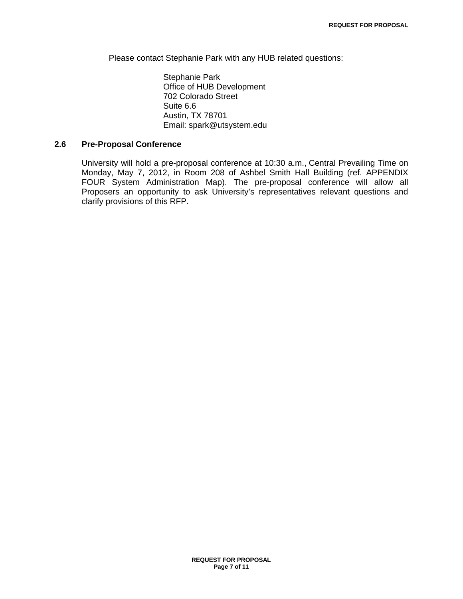Please contact Stephanie Park with any HUB related questions:

Stephanie Park Office of HUB Development 702 Colorado Street Suite 6.6 Austin, TX 78701 Email: spark@utsystem.edu

## **2.6 Pre-Proposal Conference**

University will hold a pre-proposal conference at 10:30 a.m., Central Prevailing Time on Monday, May 7, 2012, in Room 208 of Ashbel Smith Hall Building (ref. APPENDIX FOUR System Administration Map). The pre-proposal conference will allow all Proposers an opportunity to ask University's representatives relevant questions and clarify provisions of this RFP.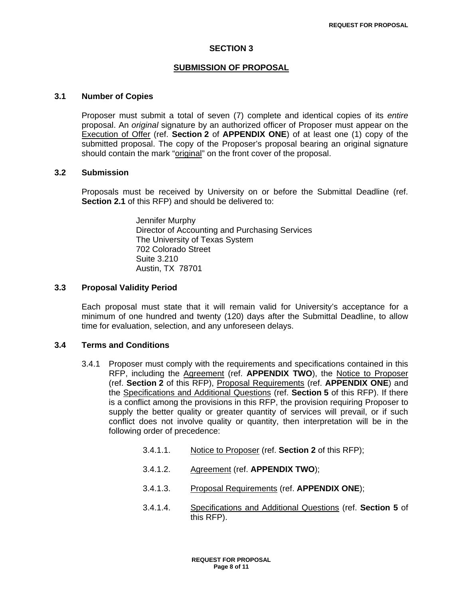#### **SUBMISSION OF PROPOSAL**

#### **3.1 Number of Copies**

Proposer must submit a total of seven (7) complete and identical copies of its *entire* proposal. An *original* signature by an authorized officer of Proposer must appear on the Execution of Offer (ref. **Section 2** of **APPENDIX ONE**) of at least one (1) copy of the submitted proposal. The copy of the Proposer's proposal bearing an original signature should contain the mark "original" on the front cover of the proposal.

#### **3.2 Submission**

Proposals must be received by University on or before the Submittal Deadline (ref. **Section 2.1** of this RFP) and should be delivered to:

> Jennifer Murphy Director of Accounting and Purchasing Services The University of Texas System 702 Colorado Street Suite 3.210 Austin, TX 78701

## **3.3 Proposal Validity Period**

Each proposal must state that it will remain valid for University's acceptance for a minimum of one hundred and twenty (120) days after the Submittal Deadline, to allow time for evaluation, selection, and any unforeseen delays.

#### **3.4 Terms and Conditions**

- 3.4.1 Proposer must comply with the requirements and specifications contained in this RFP, including the Agreement (ref. **APPENDIX TWO**), the Notice to Proposer (ref. **Section 2** of this RFP), Proposal Requirements (ref. **APPENDIX ONE**) and the Specifications and Additional Questions (ref. **Section 5** of this RFP). If there is a conflict among the provisions in this RFP, the provision requiring Proposer to supply the better quality or greater quantity of services will prevail, or if such conflict does not involve quality or quantity, then interpretation will be in the following order of precedence:
	- 3.4.1.1. Notice to Proposer (ref. **Section 2** of this RFP);
	- 3.4.1.2. Agreement (ref. **APPENDIX TWO**);
	- 3.4.1.3. Proposal Requirements (ref. **APPENDIX ONE**);
	- 3.4.1.4. Specifications and Additional Questions (ref. **Section 5** of this RFP).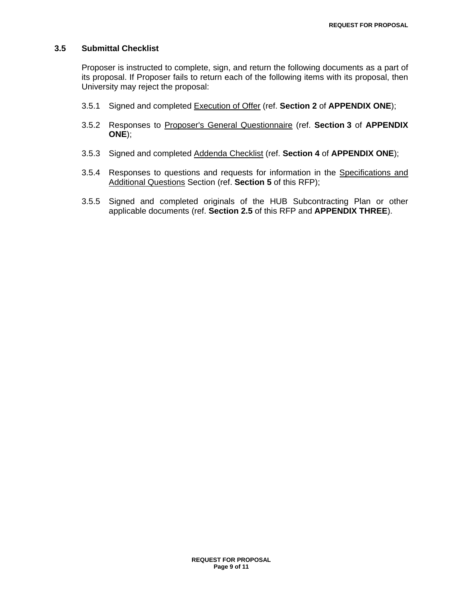### **3.5 Submittal Checklist**

Proposer is instructed to complete, sign, and return the following documents as a part of its proposal. If Proposer fails to return each of the following items with its proposal, then University may reject the proposal:

- 3.5.1 Signed and completed Execution of Offer (ref. **Section 2** of **APPENDIX ONE**);
- 3.5.2 Responses to Proposer's General Questionnaire (ref. **Section 3** of **APPENDIX ONE**);
- 3.5.3 Signed and completed Addenda Checklist (ref. **Section 4** of **APPENDIX ONE**);
- 3.5.4 Responses to questions and requests for information in the Specifications and Additional Questions Section (ref. **Section 5** of this RFP);
- 3.5.5 Signed and completed originals of the HUB Subcontracting Plan or other applicable documents (ref. **Section 2.5** of this RFP and **APPENDIX THREE**).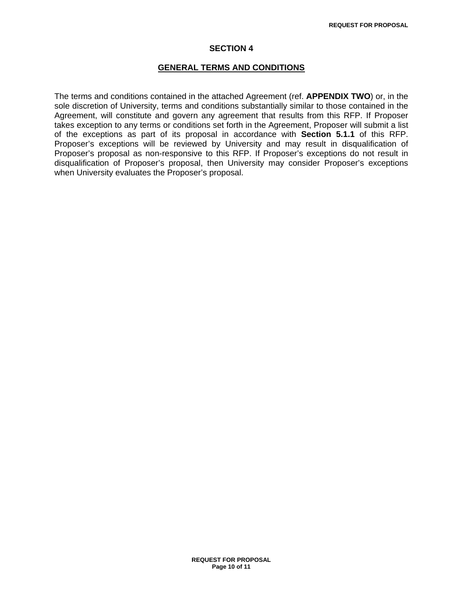#### **GENERAL TERMS AND CONDITIONS**

The terms and conditions contained in the attached Agreement (ref. **APPENDIX TWO**) or, in the sole discretion of University, terms and conditions substantially similar to those contained in the Agreement, will constitute and govern any agreement that results from this RFP. If Proposer takes exception to any terms or conditions set forth in the Agreement, Proposer will submit a list of the exceptions as part of its proposal in accordance with **Section 5.1.1** of this RFP. Proposer's exceptions will be reviewed by University and may result in disqualification of Proposer's proposal as non-responsive to this RFP. If Proposer's exceptions do not result in disqualification of Proposer's proposal, then University may consider Proposer's exceptions when University evaluates the Proposer's proposal.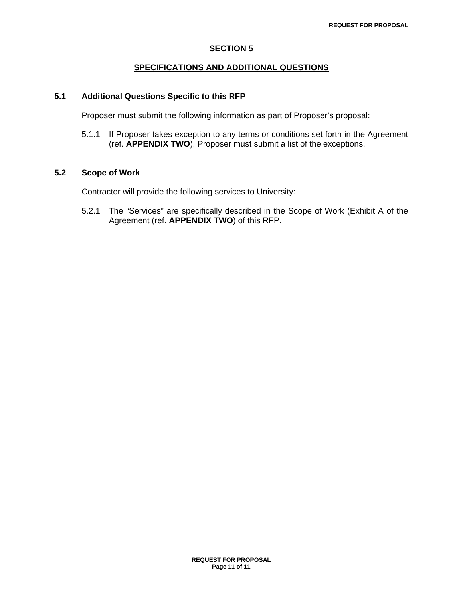## **SPECIFICATIONS AND ADDITIONAL QUESTIONS**

## **5.1 Additional Questions Specific to this RFP**

Proposer must submit the following information as part of Proposer's proposal:

5.1.1 If Proposer takes exception to any terms or conditions set forth in the Agreement (ref. **APPENDIX TWO**), Proposer must submit a list of the exceptions.

#### **5.2 Scope of Work**

Contractor will provide the following services to University:

5.2.1 The "Services" are specifically described in the Scope of Work (Exhibit A of the Agreement (ref. **APPENDIX TWO**) of this RFP.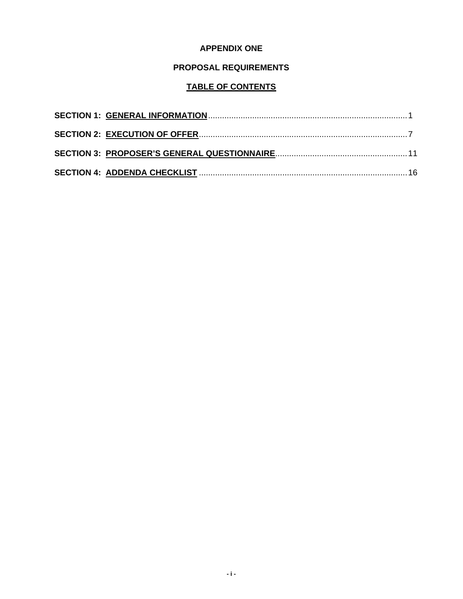## **APPENDIX ONE**

## **PROPOSAL REQUIREMENTS**

## **TABLE OF CONTENTS**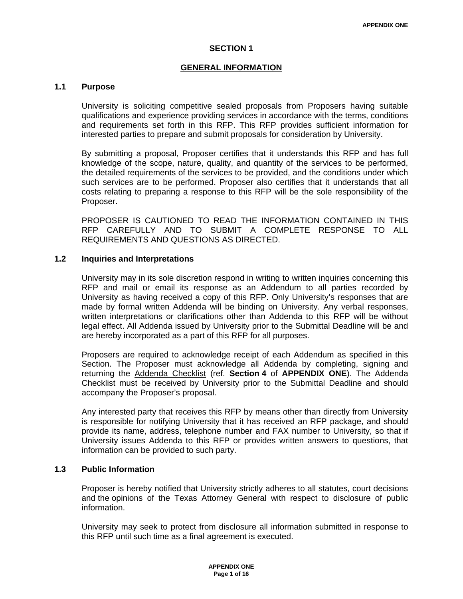#### **GENERAL INFORMATION**

#### **1.1 Purpose**

University is soliciting competitive sealed proposals from Proposers having suitable qualifications and experience providing services in accordance with the terms, conditions and requirements set forth in this RFP. This RFP provides sufficient information for interested parties to prepare and submit proposals for consideration by University.

By submitting a proposal, Proposer certifies that it understands this RFP and has full knowledge of the scope, nature, quality, and quantity of the services to be performed, the detailed requirements of the services to be provided, and the conditions under which such services are to be performed. Proposer also certifies that it understands that all costs relating to preparing a response to this RFP will be the sole responsibility of the Proposer.

PROPOSER IS CAUTIONED TO READ THE INFORMATION CONTAINED IN THIS RFP CAREFULLY AND TO SUBMIT A COMPLETE RESPONSE TO ALL REQUIREMENTS AND QUESTIONS AS DIRECTED.

### **1.2 Inquiries and Interpretations**

University may in its sole discretion respond in writing to written inquiries concerning this RFP and mail or email its response as an Addendum to all parties recorded by University as having received a copy of this RFP. Only University's responses that are made by formal written Addenda will be binding on University. Any verbal responses, written interpretations or clarifications other than Addenda to this RFP will be without legal effect. All Addenda issued by University prior to the Submittal Deadline will be and are hereby incorporated as a part of this RFP for all purposes.

Proposers are required to acknowledge receipt of each Addendum as specified in this Section. The Proposer must acknowledge all Addenda by completing, signing and returning the Addenda Checklist (ref. **Section 4** of **APPENDIX ONE**). The Addenda Checklist must be received by University prior to the Submittal Deadline and should accompany the Proposer's proposal.

Any interested party that receives this RFP by means other than directly from University is responsible for notifying University that it has received an RFP package, and should provide its name, address, telephone number and FAX number to University, so that if University issues Addenda to this RFP or provides written answers to questions, that information can be provided to such party.

#### **1.3 Public Information**

Proposer is hereby notified that University strictly adheres to all statutes, court decisions and the opinions of the Texas Attorney General with respect to disclosure of public information.

University may seek to protect from disclosure all information submitted in response to this RFP until such time as a final agreement is executed.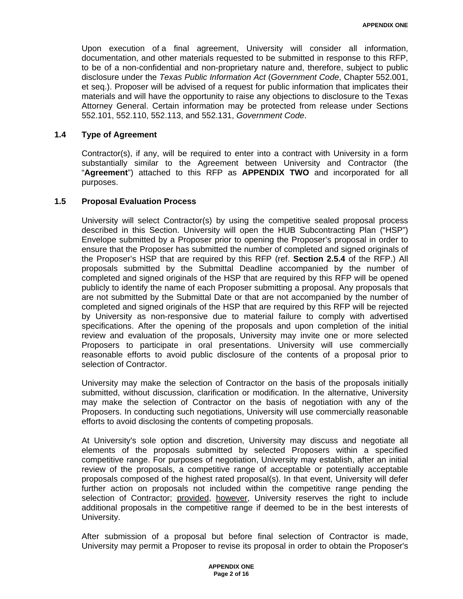Upon execution of a final agreement, University will consider all information, documentation, and other materials requested to be submitted in response to this RFP, to be of a non-confidential and non-proprietary nature and, therefore, subject to public disclosure under the *Texas Public Information Act* (*Government Code*, Chapter 552.001, et seq.). Proposer will be advised of a request for public information that implicates their materials and will have the opportunity to raise any objections to disclosure to the Texas Attorney General. Certain information may be protected from release under Sections 552.101, 552.110, 552.113, and 552.131, *Government Code*.

#### **1.4 Type of Agreement**

Contractor(s), if any, will be required to enter into a contract with University in a form substantially similar to the Agreement between University and Contractor (the "**Agreement**") attached to this RFP as **APPENDIX TWO** and incorporated for all purposes.

#### **1.5 Proposal Evaluation Process**

University will select Contractor(s) by using the competitive sealed proposal process described in this Section. University will open the HUB Subcontracting Plan ("HSP") Envelope submitted by a Proposer prior to opening the Proposer's proposal in order to ensure that the Proposer has submitted the number of completed and signed originals of the Proposer's HSP that are required by this RFP (ref. **Section 2.5.4** of the RFP.) All proposals submitted by the Submittal Deadline accompanied by the number of completed and signed originals of the HSP that are required by this RFP will be opened publicly to identify the name of each Proposer submitting a proposal. Any proposals that are not submitted by the Submittal Date or that are not accompanied by the number of completed and signed originals of the HSP that are required by this RFP will be rejected by University as non-responsive due to material failure to comply with advertised specifications. After the opening of the proposals and upon completion of the initial review and evaluation of the proposals, University may invite one or more selected Proposers to participate in oral presentations. University will use commercially reasonable efforts to avoid public disclosure of the contents of a proposal prior to selection of Contractor.

University may make the selection of Contractor on the basis of the proposals initially submitted, without discussion, clarification or modification. In the alternative, University may make the selection of Contractor on the basis of negotiation with any of the Proposers. In conducting such negotiations, University will use commercially reasonable efforts to avoid disclosing the contents of competing proposals.

At University's sole option and discretion, University may discuss and negotiate all elements of the proposals submitted by selected Proposers within a specified competitive range. For purposes of negotiation, University may establish, after an initial review of the proposals, a competitive range of acceptable or potentially acceptable proposals composed of the highest rated proposal(s). In that event, University will defer further action on proposals not included within the competitive range pending the selection of Contractor; provided, however, University reserves the right to include additional proposals in the competitive range if deemed to be in the best interests of University.

After submission of a proposal but before final selection of Contractor is made, University may permit a Proposer to revise its proposal in order to obtain the Proposer's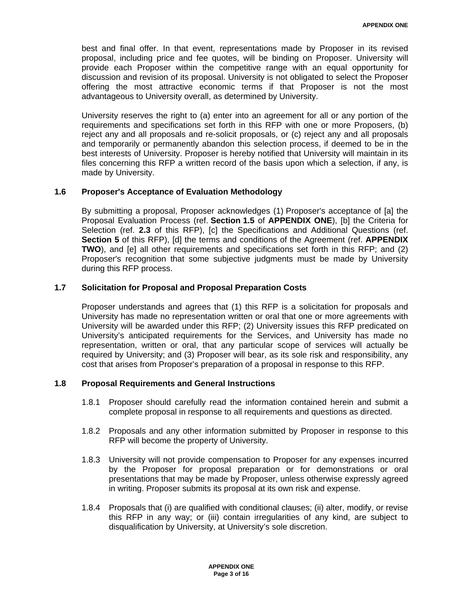best and final offer. In that event, representations made by Proposer in its revised proposal, including price and fee quotes, will be binding on Proposer. University will provide each Proposer within the competitive range with an equal opportunity for discussion and revision of its proposal. University is not obligated to select the Proposer offering the most attractive economic terms if that Proposer is not the most advantageous to University overall, as determined by University.

University reserves the right to (a) enter into an agreement for all or any portion of the requirements and specifications set forth in this RFP with one or more Proposers, (b) reject any and all proposals and re-solicit proposals, or (c) reject any and all proposals and temporarily or permanently abandon this selection process, if deemed to be in the best interests of University. Proposer is hereby notified that University will maintain in its files concerning this RFP a written record of the basis upon which a selection, if any, is made by University.

## **1.6 Proposer's Acceptance of Evaluation Methodology**

By submitting a proposal, Proposer acknowledges (1) Proposer's acceptance of [a] the Proposal Evaluation Process (ref. **Section 1.5** of **APPENDIX ONE**), [b] the Criteria for Selection (ref. **2.3** of this RFP), [c] the Specifications and Additional Questions (ref. **Section 5** of this RFP), [d] the terms and conditions of the Agreement (ref. **APPENDIX TWO**), and [e] all other requirements and specifications set forth in this RFP; and (2) Proposer's recognition that some subjective judgments must be made by University during this RFP process.

## **1.7 Solicitation for Proposal and Proposal Preparation Costs**

Proposer understands and agrees that (1) this RFP is a solicitation for proposals and University has made no representation written or oral that one or more agreements with University will be awarded under this RFP; (2) University issues this RFP predicated on University's anticipated requirements for the Services, and University has made no representation, written or oral, that any particular scope of services will actually be required by University; and (3) Proposer will bear, as its sole risk and responsibility, any cost that arises from Proposer's preparation of a proposal in response to this RFP.

#### **1.8 Proposal Requirements and General Instructions**

- 1.8.1 Proposer should carefully read the information contained herein and submit a complete proposal in response to all requirements and questions as directed.
- 1.8.2 Proposals and any other information submitted by Proposer in response to this RFP will become the property of University.
- 1.8.3 University will not provide compensation to Proposer for any expenses incurred by the Proposer for proposal preparation or for demonstrations or oral presentations that may be made by Proposer, unless otherwise expressly agreed in writing. Proposer submits its proposal at its own risk and expense.
- 1.8.4 Proposals that (i) are qualified with conditional clauses; (ii) alter, modify, or revise this RFP in any way; or (iii) contain irregularities of any kind, are subject to disqualification by University, at University's sole discretion.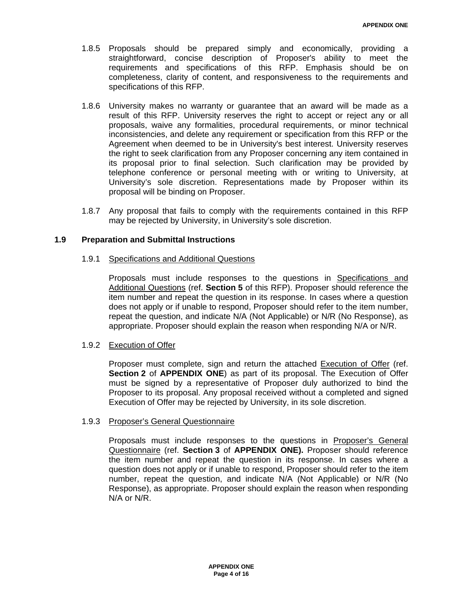- 1.8.5 Proposals should be prepared simply and economically, providing a straightforward, concise description of Proposer's ability to meet the requirements and specifications of this RFP. Emphasis should be on completeness, clarity of content, and responsiveness to the requirements and specifications of this RFP.
- 1.8.6 University makes no warranty or guarantee that an award will be made as a result of this RFP. University reserves the right to accept or reject any or all proposals, waive any formalities, procedural requirements, or minor technical inconsistencies, and delete any requirement or specification from this RFP or the Agreement when deemed to be in University's best interest. University reserves the right to seek clarification from any Proposer concerning any item contained in its proposal prior to final selection. Such clarification may be provided by telephone conference or personal meeting with or writing to University, at University's sole discretion. Representations made by Proposer within its proposal will be binding on Proposer.
- 1.8.7 Any proposal that fails to comply with the requirements contained in this RFP may be rejected by University, in University's sole discretion.

#### **1.9 Preparation and Submittal Instructions**

#### 1.9.1 Specifications and Additional Questions

Proposals must include responses to the questions in Specifications and Additional Questions (ref. **Section 5** of this RFP). Proposer should reference the item number and repeat the question in its response. In cases where a question does not apply or if unable to respond, Proposer should refer to the item number, repeat the question, and indicate N/A (Not Applicable) or N/R (No Response), as appropriate. Proposer should explain the reason when responding N/A or N/R.

#### 1.9.2 Execution of Offer

Proposer must complete, sign and return the attached Execution of Offer (ref. **Section 2** of **APPENDIX ONE**) as part of its proposal. The Execution of Offer must be signed by a representative of Proposer duly authorized to bind the Proposer to its proposal. Any proposal received without a completed and signed Execution of Offer may be rejected by University, in its sole discretion.

#### 1.9.3 Proposer's General Questionnaire

Proposals must include responses to the questions in Proposer's General Questionnaire (ref. **Section 3** of **APPENDIX ONE).** Proposer should reference the item number and repeat the question in its response. In cases where a question does not apply or if unable to respond, Proposer should refer to the item number, repeat the question, and indicate N/A (Not Applicable) or N/R (No Response), as appropriate. Proposer should explain the reason when responding N/A or N/R.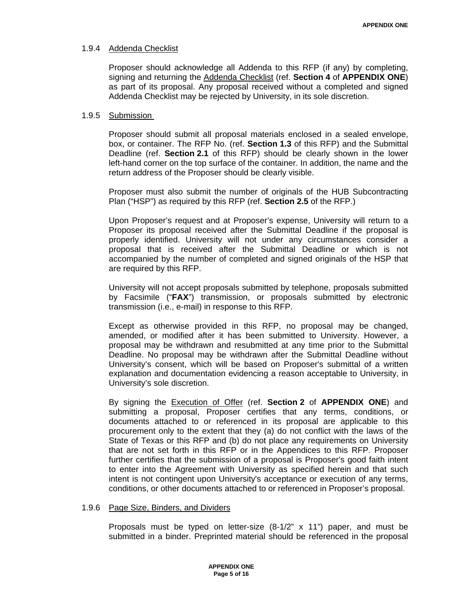#### 1.9.4 Addenda Checklist

Proposer should acknowledge all Addenda to this RFP (if any) by completing, signing and returning the Addenda Checklist (ref. **Section 4** of **APPENDIX ONE**) as part of its proposal. Any proposal received without a completed and signed Addenda Checklist may be rejected by University, in its sole discretion.

#### 1.9.5 Submission

Proposer should submit all proposal materials enclosed in a sealed envelope, box, or container. The RFP No. (ref. **Section 1.3** of this RFP) and the Submittal Deadline (ref. **Section 2.1** of this RFP) should be clearly shown in the lower left-hand corner on the top surface of the container. In addition, the name and the return address of the Proposer should be clearly visible.

Proposer must also submit the number of originals of the HUB Subcontracting Plan ("HSP") as required by this RFP (ref. **Section 2.5** of the RFP.)

Upon Proposer's request and at Proposer's expense, University will return to a Proposer its proposal received after the Submittal Deadline if the proposal is properly identified. University will not under any circumstances consider a proposal that is received after the Submittal Deadline or which is not accompanied by the number of completed and signed originals of the HSP that are required by this RFP.

University will not accept proposals submitted by telephone, proposals submitted by Facsimile ("**FAX**") transmission, or proposals submitted by electronic transmission (i.e., e-mail) in response to this RFP.

Except as otherwise provided in this RFP, no proposal may be changed, amended, or modified after it has been submitted to University. However, a proposal may be withdrawn and resubmitted at any time prior to the Submittal Deadline. No proposal may be withdrawn after the Submittal Deadline without University's consent, which will be based on Proposer's submittal of a written explanation and documentation evidencing a reason acceptable to University, in University's sole discretion.

By signing the Execution of Offer (ref. **Section 2** of **APPENDIX ONE**) and submitting a proposal, Proposer certifies that any terms, conditions, or documents attached to or referenced in its proposal are applicable to this procurement only to the extent that they (a) do not conflict with the laws of the State of Texas or this RFP and (b) do not place any requirements on University that are not set forth in this RFP or in the Appendices to this RFP. Proposer further certifies that the submission of a proposal is Proposer's good faith intent to enter into the Agreement with University as specified herein and that such intent is not contingent upon University's acceptance or execution of any terms, conditions, or other documents attached to or referenced in Proposer's proposal.

#### 1.9.6 Page Size, Binders, and Dividers

Proposals must be typed on letter-size (8-1/2" x 11") paper, and must be submitted in a binder. Preprinted material should be referenced in the proposal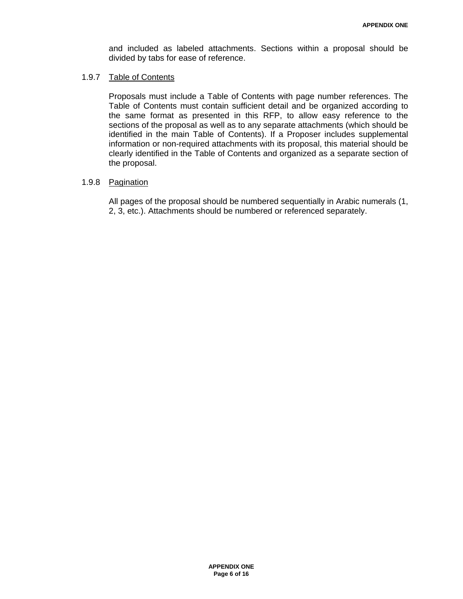and included as labeled attachments. Sections within a proposal should be divided by tabs for ease of reference.

#### 1.9.7 Table of Contents

Proposals must include a Table of Contents with page number references. The Table of Contents must contain sufficient detail and be organized according to the same format as presented in this RFP, to allow easy reference to the sections of the proposal as well as to any separate attachments (which should be identified in the main Table of Contents). If a Proposer includes supplemental information or non-required attachments with its proposal, this material should be clearly identified in the Table of Contents and organized as a separate section of the proposal.

#### 1.9.8 Pagination

All pages of the proposal should be numbered sequentially in Arabic numerals (1, 2, 3, etc.). Attachments should be numbered or referenced separately.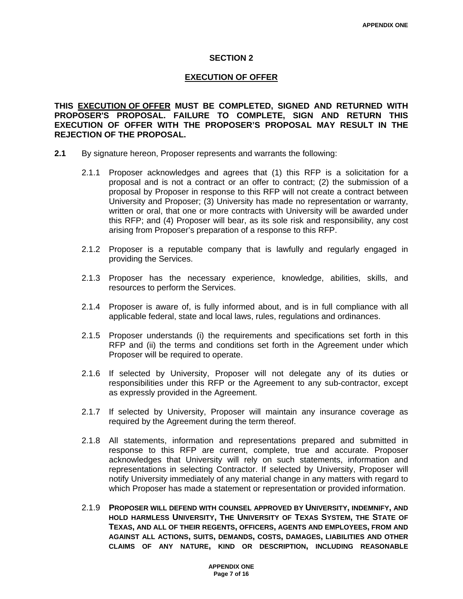#### **EXECUTION OF OFFER**

**THIS EXECUTION OF OFFER MUST BE COMPLETED, SIGNED AND RETURNED WITH PROPOSER'S PROPOSAL. FAILURE TO COMPLETE, SIGN AND RETURN THIS EXECUTION OF OFFER WITH THE PROPOSER'S PROPOSAL MAY RESULT IN THE REJECTION OF THE PROPOSAL.** 

- **2.1** By signature hereon, Proposer represents and warrants the following:
	- 2.1.1 Proposer acknowledges and agrees that (1) this RFP is a solicitation for a proposal and is not a contract or an offer to contract; (2) the submission of a proposal by Proposer in response to this RFP will not create a contract between University and Proposer; (3) University has made no representation or warranty, written or oral, that one or more contracts with University will be awarded under this RFP; and (4) Proposer will bear, as its sole risk and responsibility, any cost arising from Proposer's preparation of a response to this RFP.
	- 2.1.2 Proposer is a reputable company that is lawfully and regularly engaged in providing the Services.
	- 2.1.3 Proposer has the necessary experience, knowledge, abilities, skills, and resources to perform the Services.
	- 2.1.4 Proposer is aware of, is fully informed about, and is in full compliance with all applicable federal, state and local laws, rules, regulations and ordinances.
	- 2.1.5 Proposer understands (i) the requirements and specifications set forth in this RFP and (ii) the terms and conditions set forth in the Agreement under which Proposer will be required to operate.
	- 2.1.6 If selected by University, Proposer will not delegate any of its duties or responsibilities under this RFP or the Agreement to any sub-contractor, except as expressly provided in the Agreement.
	- 2.1.7 If selected by University, Proposer will maintain any insurance coverage as required by the Agreement during the term thereof.
	- 2.1.8 All statements, information and representations prepared and submitted in response to this RFP are current, complete, true and accurate. Proposer acknowledges that University will rely on such statements, information and representations in selecting Contractor. If selected by University, Proposer will notify University immediately of any material change in any matters with regard to which Proposer has made a statement or representation or provided information.
	- 2.1.9 **PROPOSER WILL DEFEND WITH COUNSEL APPROVED BY UNIVERSITY, INDEMNIFY, AND HOLD HARMLESS UNIVERSITY, THE UNIVERSITY OF TEXAS SYSTEM, THE STATE OF TEXAS, AND ALL OF THEIR REGENTS, OFFICERS, AGENTS AND EMPLOYEES, FROM AND AGAINST ALL ACTIONS, SUITS, DEMANDS, COSTS, DAMAGES, LIABILITIES AND OTHER CLAIMS OF ANY NATURE, KIND OR DESCRIPTION, INCLUDING REASONABLE**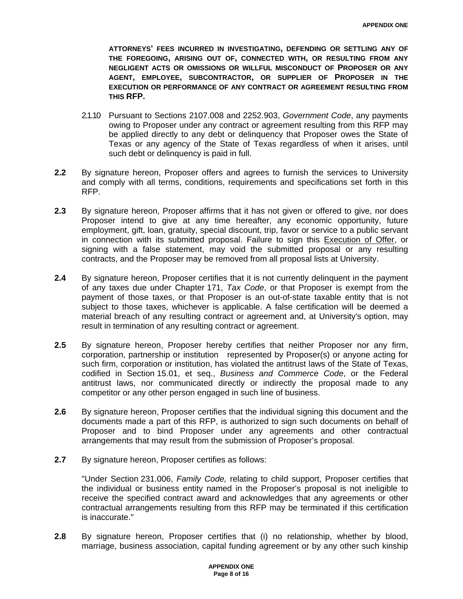**ATTORNEYS' FEES INCURRED IN INVESTIGATING, DEFENDING OR SETTLING ANY OF THE FOREGOING, ARISING OUT OF, CONNECTED WITH, OR RESULTING FROM ANY NEGLIGENT ACTS OR OMISSIONS OR WILLFUL MISCONDUCT OF PROPOSER OR ANY AGENT, EMPLOYEE, SUBCONTRACTOR, OR SUPPLIER OF PROPOSER IN THE EXECUTION OR PERFORMANCE OF ANY CONTRACT OR AGREEMENT RESULTING FROM THIS RFP.**

- 2.1.10 Pursuant to Sections 2107.008 and 2252.903, *Government Code*, any payments owing to Proposer under any contract or agreement resulting from this RFP may be applied directly to any debt or delinquency that Proposer owes the State of Texas or any agency of the State of Texas regardless of when it arises, until such debt or delinquency is paid in full.
- **2.2** By signature hereon, Proposer offers and agrees to furnish the services to University and comply with all terms, conditions, requirements and specifications set forth in this RFP.
- **2.3** By signature hereon, Proposer affirms that it has not given or offered to give, nor does Proposer intend to give at any time hereafter, any economic opportunity, future employment, gift, loan, gratuity, special discount, trip, favor or service to a public servant in connection with its submitted proposal. Failure to sign this Execution of Offer, or signing with a false statement, may void the submitted proposal or any resulting contracts, and the Proposer may be removed from all proposal lists at University.
- **2.4** By signature hereon, Proposer certifies that it is not currently delinquent in the payment of any taxes due under Chapter 171, *Tax Code*, or that Proposer is exempt from the payment of those taxes, or that Proposer is an out-of-state taxable entity that is not subject to those taxes, whichever is applicable. A false certification will be deemed a material breach of any resulting contract or agreement and, at University's option, may result in termination of any resulting contract or agreement.
- **2.5** By signature hereon, Proposer hereby certifies that neither Proposer nor any firm, corporation, partnership or institution represented by Proposer(s) or anyone acting for such firm, corporation or institution, has violated the antitrust laws of the State of Texas, codified in Section 15.01, et seq., *Business and Commerce Code*, or the Federal antitrust laws, nor communicated directly or indirectly the proposal made to any competitor or any other person engaged in such line of business.
- **2.6** By signature hereon, Proposer certifies that the individual signing this document and the documents made a part of this RFP, is authorized to sign such documents on behalf of Proposer and to bind Proposer under any agreements and other contractual arrangements that may result from the submission of Proposer's proposal.
- **2.7** By signature hereon, Proposer certifies as follows:

"Under Section 231.006, *Family Code,* relating to child support, Proposer certifies that the individual or business entity named in the Proposer's proposal is not ineligible to receive the specified contract award and acknowledges that any agreements or other contractual arrangements resulting from this RFP may be terminated if this certification is inaccurate."

**2.8** By signature hereon, Proposer certifies that (i) no relationship, whether by blood, marriage, business association, capital funding agreement or by any other such kinship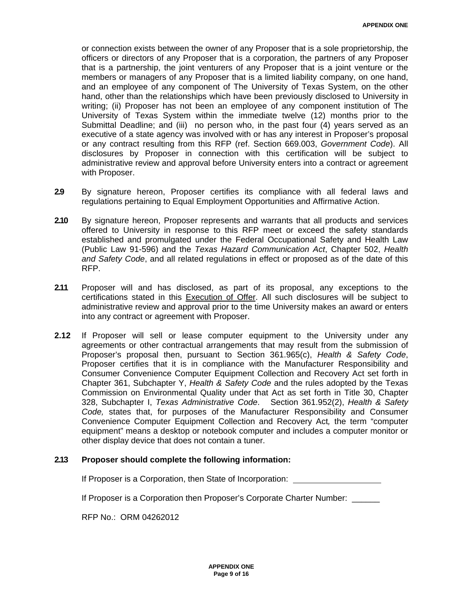or connection exists between the owner of any Proposer that is a sole proprietorship, the officers or directors of any Proposer that is a corporation, the partners of any Proposer that is a partnership, the joint venturers of any Proposer that is a joint venture or the members or managers of any Proposer that is a limited liability company, on one hand, and an employee of any component of The University of Texas System, on the other hand, other than the relationships which have been previously disclosed to University in writing; (ii) Proposer has not been an employee of any component institution of The University of Texas System within the immediate twelve (12) months prior to the Submittal Deadline; and (iii) no person who, in the past four (4) years served as an executive of a state agency was involved with or has any interest in Proposer's proposal or any contract resulting from this RFP (ref. Section 669.003, *Government Code*). All disclosures by Proposer in connection with this certification will be subject to administrative review and approval before University enters into a contract or agreement with Proposer.

- **2.9** By signature hereon, Proposer certifies its compliance with all federal laws and regulations pertaining to Equal Employment Opportunities and Affirmative Action.
- **2.10** By signature hereon, Proposer represents and warrants that all products and services offered to University in response to this RFP meet or exceed the safety standards established and promulgated under the Federal Occupational Safety and Health Law (Public Law 91-596) and the *Texas Hazard Communication Act*, Chapter 502, *Health and Safety Code*, and all related regulations in effect or proposed as of the date of this RFP.
- **2.11** Proposer will and has disclosed, as part of its proposal, any exceptions to the certifications stated in this Execution of Offer. All such disclosures will be subject to administrative review and approval prior to the time University makes an award or enters into any contract or agreement with Proposer.
- **2.12** If Proposer will sell or lease computer equipment to the University under any agreements or other contractual arrangements that may result from the submission of Proposer's proposal then, pursuant to Section 361.965(c), *Health & Safety Code*, Proposer certifies that it is in compliance with the Manufacturer Responsibility and Consumer Convenience Computer Equipment Collection and Recovery Act set forth in Chapter 361, Subchapter Y, *Health & Safety Code* and the rules adopted by the Texas Commission on Environmental Quality under that Act as set forth in Title 30, Chapter 328, Subchapter I, *Texas Administrative Code*. Section 361.952(2), *Health & Safety Code,* states that, for purposes of the Manufacturer Responsibility and Consumer Convenience Computer Equipment Collection and Recovery Act*,* the term "computer equipment" means a desktop or notebook computer and includes a computer monitor or other display device that does not contain a tuner.

#### **2.13 Proposer should complete the following information:**

If Proposer is a Corporation, then State of Incorporation:

If Proposer is a Corporation then Proposer's Corporate Charter Number:

RFP No.: ORM 04262012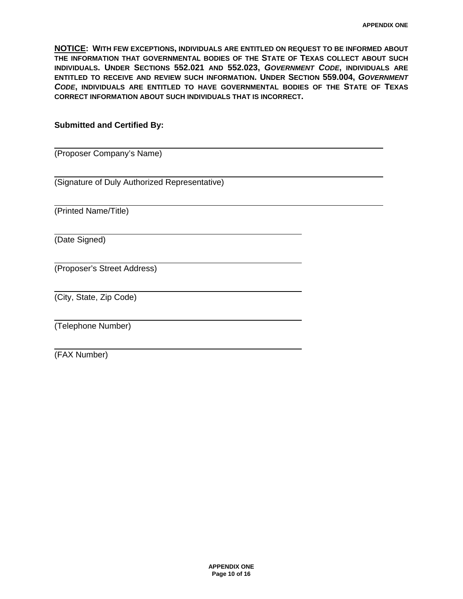**NOTICE: WITH FEW EXCEPTIONS, INDIVIDUALS ARE ENTITLED ON REQUEST TO BE INFORMED ABOUT THE INFORMATION THAT GOVERNMENTAL BODIES OF THE STATE OF TEXAS COLLECT ABOUT SUCH INDIVIDUALS. UNDER SECTIONS 552.021 AND 552.023,** *GOVERNMENT CODE***, INDIVIDUALS ARE ENTITLED TO RECEIVE AND REVIEW SUCH INFORMATION. UNDER SECTION 559.004,** *GOVERNMENT CODE***, INDIVIDUALS ARE ENTITLED TO HAVE GOVERNMENTAL BODIES OF THE STATE OF TEXAS CORRECT INFORMATION ABOUT SUCH INDIVIDUALS THAT IS INCORRECT.**

#### **Submitted and Certified By:**

(Proposer Company's Name)

(Signature of Duly Authorized Representative)

(Printed Name/Title)

(Date Signed)

(Proposer's Street Address)

(City, State, Zip Code)

(Telephone Number)

(FAX Number)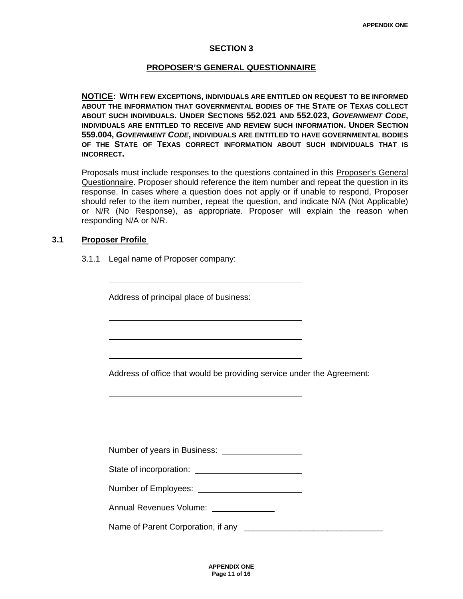#### **PROPOSER'S GENERAL QUESTIONNAIRE**

**NOTICE: WITH FEW EXCEPTIONS, INDIVIDUALS ARE ENTITLED ON REQUEST TO BE INFORMED ABOUT THE INFORMATION THAT GOVERNMENTAL BODIES OF THE STATE OF TEXAS COLLECT ABOUT SUCH INDIVIDUALS. UNDER SECTIONS 552.021 AND 552.023,** *GOVERNMENT CODE***, INDIVIDUALS ARE ENTITLED TO RECEIVE AND REVIEW SUCH INFORMATION. UNDER SECTION 559.004,** *GOVERNMENT CODE***, INDIVIDUALS ARE ENTITLED TO HAVE GOVERNMENTAL BODIES OF THE STATE OF TEXAS CORRECT INFORMATION ABOUT SUCH INDIVIDUALS THAT IS INCORRECT.**

Proposals must include responses to the questions contained in this Proposer's General Questionnaire. Proposer should reference the item number and repeat the question in its response. In cases where a question does not apply or if unable to respond, Proposer should refer to the item number, repeat the question, and indicate N/A (Not Applicable) or N/R (No Response), as appropriate. Proposer will explain the reason when responding N/A or N/R.

#### **3.1 Proposer Profile**

3.1.1 Legal name of Proposer company:

Address of principal place of business:

Address of office that would be providing service under the Agreement:

Number of years in Business:

State of incorporation:

Number of Employees:

Annual Revenues Volume: \[\stangumad Revenues Volume: \]

Name of Parent Corporation, if any \_\_\_\_\_\_\_\_\_\_\_\_\_\_\_\_\_\_\_\_\_\_\_\_\_\_\_\_\_\_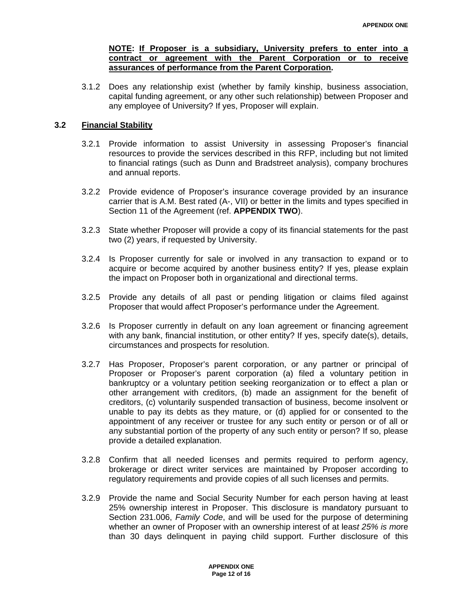#### **NOTE: If Proposer is a subsidiary, University prefers to enter into a contract or agreement with the Parent Corporation or to receive assurances of performance from the Parent Corporation.**

3.1.2 Does any relationship exist (whether by family kinship, business association, capital funding agreement, or any other such relationship) between Proposer and any employee of University? If yes, Proposer will explain.

#### **3.2 Financial Stability**

- 3.2.1 Provide information to assist University in assessing Proposer's financial resources to provide the services described in this RFP, including but not limited to financial ratings (such as Dunn and Bradstreet analysis), company brochures and annual reports.
- 3.2.2 Provide evidence of Proposer's insurance coverage provided by an insurance carrier that is A.M. Best rated (A-, VII) or better in the limits and types specified in Section 11 of the Agreement (ref. **APPENDIX TWO**).
- 3.2.3 State whether Proposer will provide a copy of its financial statements for the past two (2) years, if requested by University.
- 3.2.4 Is Proposer currently for sale or involved in any transaction to expand or to acquire or become acquired by another business entity? If yes, please explain the impact on Proposer both in organizational and directional terms.
- 3.2.5 Provide any details of all past or pending litigation or claims filed against Proposer that would affect Proposer's performance under the Agreement.
- 3.2.6 Is Proposer currently in default on any loan agreement or financing agreement with any bank, financial institution, or other entity? If yes, specify date(s), details, circumstances and prospects for resolution.
- 3.2.7 Has Proposer, Proposer's parent corporation, or any partner or principal of Proposer or Proposer's parent corporation (a) filed a voluntary petition in bankruptcy or a voluntary petition seeking reorganization or to effect a plan or other arrangement with creditors, (b) made an assignment for the benefit of creditors, (c) voluntarily suspended transaction of business, become insolvent or unable to pay its debts as they mature, or (d) applied for or consented to the appointment of any receiver or trustee for any such entity or person or of all or any substantial portion of the property of any such entity or person? If so, please provide a detailed explanation.
- 3.2.8 Confirm that all needed licenses and permits required to perform agency, brokerage or direct writer services are maintained by Proposer according to regulatory requirements and provide copies of all such licenses and permits.
- 3.2.9 Provide the name and Social Security Number for each person having at least 25% ownership interest in Proposer. This disclosure is mandatory pursuant to Section 231.006, *Family Code*, and will be used for the purpose of determining whether an owner of Proposer with an ownership interest of at leas*t 25% is mo*re than 30 days delinquent in paying child support. Further disclosure of this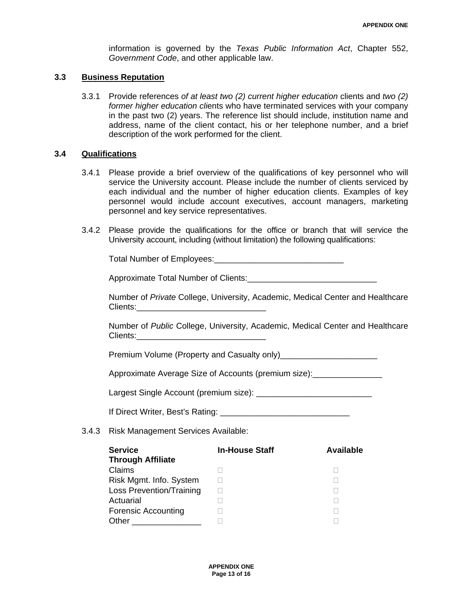information is governed by the *Texas Public Information Act*, Chapter 552, *Government Code*, and other applicable law.

#### **3.3 Business Reputation**

3.3.1 Provide references *of at least two (2) current higher education* clients and *two (2) former higher education cli*ents who have terminated services with your company in the past two (2) years. The reference list should include, institution name and address, name of the client contact, his or her telephone number, and a brief description of the work performed for the client.

#### **3.4 Qualifications**

- 3.4.1 Please provide a brief overview of the qualifications of key personnel who will service the University account. Please include the number of clients serviced by each individual and the number of higher education clients. Examples of key personnel would include account executives, account managers, marketing personnel and key service representatives.
- 3.4.2 Please provide the qualifications for the office or branch that will service the University account, including (without limitation) the following qualifications:

Total Number of Employees:

Approximate Total Number of Clients:

Number of *Private* College, University, Academic, Medical Center and Healthcare Clients:\_\_\_\_\_\_\_\_\_\_\_\_\_\_\_\_\_\_\_\_\_\_\_\_\_\_\_\_

Number of *Public* College, University, Academic, Medical Center and Healthcare Clients:\_\_\_\_\_\_\_\_\_\_\_\_\_\_\_\_\_\_\_\_\_\_\_\_\_\_\_\_

Premium Volume (Property and Casualty only)

Approximate Average Size of Accounts (premium size):

Largest Single Account (premium size): \_\_\_\_\_\_\_\_\_\_\_\_\_\_\_\_\_\_\_\_\_\_\_\_\_

If Direct Writer, Best's Rating: \_\_\_\_\_\_\_\_\_\_\_\_\_\_\_\_\_\_\_\_\_\_\_\_\_\_\_\_

3.4.3 Risk Management Services Available:

| <b>Service</b><br><b>Through Affiliate</b> | <b>In-House Staff</b> | <b>Available</b> |
|--------------------------------------------|-----------------------|------------------|
| Claims                                     |                       |                  |
| Risk Mgmt. Info. System                    |                       |                  |
| <b>Loss Prevention/Training</b>            |                       |                  |
| Actuarial                                  |                       |                  |
| <b>Forensic Accounting</b>                 |                       |                  |
| Other                                      |                       |                  |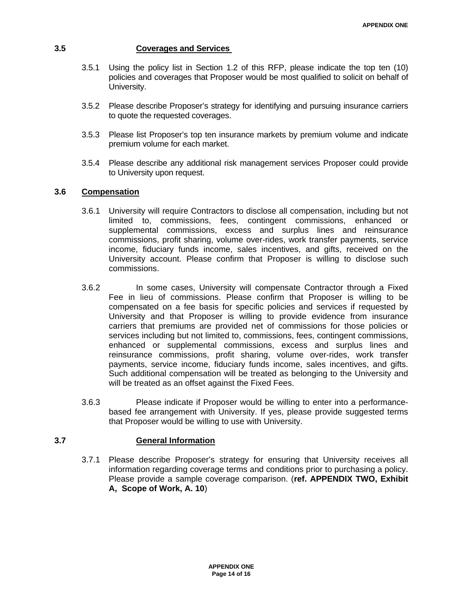#### **3.5 Coverages and Services**

- 3.5.1 Using the policy list in Section 1.2 of this RFP, please indicate the top ten (10) policies and coverages that Proposer would be most qualified to solicit on behalf of University.
- 3.5.2 Please describe Proposer's strategy for identifying and pursuing insurance carriers to quote the requested coverages.
- 3.5.3 Please list Proposer's top ten insurance markets by premium volume and indicate premium volume for each market.
- 3.5.4 Please describe any additional risk management services Proposer could provide to University upon request.

## **3.6 Compensation**

- 3.6.1 University will require Contractors to disclose all compensation, including but not limited to, commissions, fees, contingent commissions, enhanced or supplemental commissions, excess and surplus lines and reinsurance commissions, profit sharing, volume over-rides, work transfer payments, service income, fiduciary funds income, sales incentives, and gifts, received on the University account. Please confirm that Proposer is willing to disclose such commissions.
- 3.6.2 In some cases, University will compensate Contractor through a Fixed Fee in lieu of commissions. Please confirm that Proposer is willing to be compensated on a fee basis for specific policies and services if requested by University and that Proposer is willing to provide evidence from insurance carriers that premiums are provided net of commissions for those policies or services including but not limited to, commissions, fees, contingent commissions, enhanced or supplemental commissions, excess and surplus lines and reinsurance commissions, profit sharing, volume over-rides, work transfer payments, service income, fiduciary funds income, sales incentives, and gifts. Such additional compensation will be treated as belonging to the University and will be treated as an offset against the Fixed Fees.
- 3.6.3 Please indicate if Proposer would be willing to enter into a performancebased fee arrangement with University. If yes, please provide suggested terms that Proposer would be willing to use with University.

#### **3.7 General Information**

3.7.1 Please describe Proposer's strategy for ensuring that University receives all information regarding coverage terms and conditions prior to purchasing a policy. Please provide a sample coverage comparison. (**ref. APPENDIX TWO, Exhibit A, Scope of Work, A. 10**)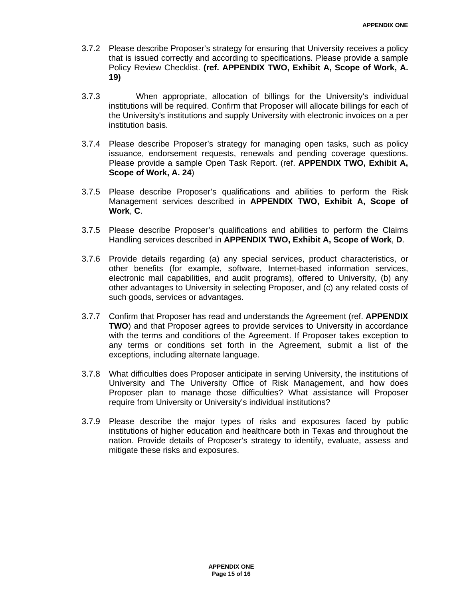- 3.7.2 Please describe Proposer's strategy for ensuring that University receives a policy that is issued correctly and according to specifications. Please provide a sample Policy Review Checklist. **(ref. APPENDIX TWO, Exhibit A, Scope of Work, A. 19)**
- 3.7.3 When appropriate, allocation of billings for the University's individual institutions will be required. Confirm that Proposer will allocate billings for each of the University's institutions and supply University with electronic invoices on a per institution basis.
- 3.7.4 Please describe Proposer's strategy for managing open tasks, such as policy issuance, endorsement requests, renewals and pending coverage questions. Please provide a sample Open Task Report. (ref. **APPENDIX TWO, Exhibit A, Scope of Work, A. 24**)
- 3.7.5 Please describe Proposer's qualifications and abilities to perform the Risk Management services described in **APPENDIX TWO, Exhibit A, Scope of Work**, **C**.
- 3.7.5 Please describe Proposer's qualifications and abilities to perform the Claims Handling services described in **APPENDIX TWO, Exhibit A, Scope of Work**, **D**.
- 3.7.6 Provide details regarding (a) any special services, product characteristics, or other benefits (for example, software, Internet-based information services, electronic mail capabilities, and audit programs), offered to University, (b) any other advantages to University in selecting Proposer, and (c) any related costs of such goods, services or advantages.
- 3.7.7 Confirm that Proposer has read and understands the Agreement (ref. **APPENDIX TWO**) and that Proposer agrees to provide services to University in accordance with the terms and conditions of the Agreement. If Proposer takes exception to any terms or conditions set forth in the Agreement, submit a list of the exceptions, including alternate language.
- 3.7.8 What difficulties does Proposer anticipate in serving University, the institutions of University and The University Office of Risk Management, and how does Proposer plan to manage those difficulties? What assistance will Proposer require from University or University's individual institutions?
- 3.7.9 Please describe the major types of risks and exposures faced by public institutions of higher education and healthcare both in Texas and throughout the nation. Provide details of Proposer's strategy to identify, evaluate, assess and mitigate these risks and exposures.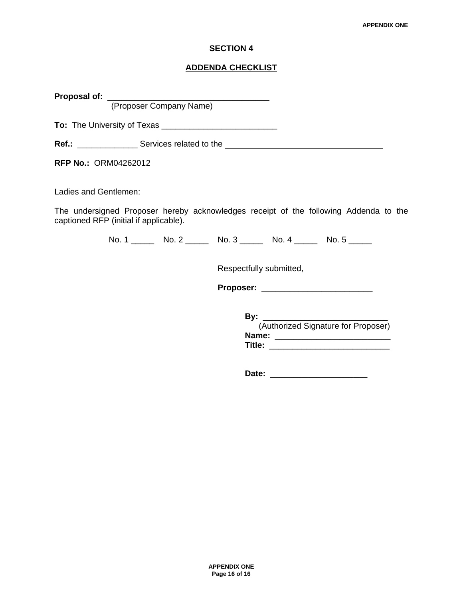## **ADDENDA CHECKLIST**

| (Proposer Company Name)                |                                                                                      |
|----------------------------------------|--------------------------------------------------------------------------------------|
|                                        |                                                                                      |
|                                        | Ref.: ___________________Services related to the _______________________________     |
| <b>RFP No.: ORM04262012</b>            |                                                                                      |
| Ladies and Gentlemen:                  |                                                                                      |
| captioned RFP (initial if applicable). | The undersigned Proposer hereby acknowledges receipt of the following Addenda to the |
|                                        |                                                                                      |
|                                        | Respectfully submitted,                                                              |
|                                        |                                                                                      |
|                                        | By: $\_\_$<br>(Authorized Signature for Proposer)                                    |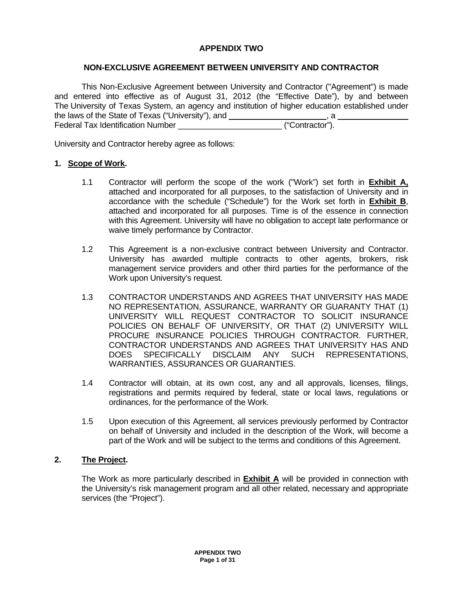## **APPENDIX TWO**

## **NON-EXCLUSIVE AGREEMENT BETWEEN UNIVERSITY AND CONTRACTOR**

This Non-Exclusive Agreement between University and Contractor ("Agreement") is made and entered into effective as of August 31, 2012 (the "Effective Date"), by and between The University of Texas System, an agency and institution of higher education established under the laws of the State of Texas ("University"), and \_\_\_\_\_\_\_\_\_\_\_\_\_\_\_\_\_\_\_\_\_\_\_\_\_\_\_, a<br>Federal Tax Identification Number ("Contractor"). Federal Tax Identification Number **Lawrence (Table 1988)** 

University and Contractor hereby agree as follows:

## **1. Scope of Work.**

- 1.1 Contractor will perform the scope of the work ("Work") set forth in **Exhibit A,**  attached and incorporated for all purposes, to the satisfaction of University and in accordance with the schedule ("Schedule") for the Work set forth in **Exhibit B**, attached and incorporated for all purposes. Time is of the essence in connection with this Agreement. University will have no obligation to accept late performance or waive timely performance by Contractor.
- 1.2 This Agreement is a non-exclusive contract between University and Contractor. University has awarded multiple contracts to other agents, brokers, risk management service providers and other third parties for the performance of the Work upon University's request.
- 1.3 CONTRACTOR UNDERSTANDS AND AGREES THAT UNIVERSITY HAS MADE NO REPRESENTATION, ASSURANCE, WARRANTY OR GUARANTY THAT (1) UNIVERSITY WILL REQUEST CONTRACTOR TO SOLICIT INSURANCE POLICIES ON BEHALF OF UNIVERSITY, OR THAT (2) UNIVERSITY WILL PROCURE INSURANCE POLICIES THROUGH CONTRACTOR. FURTHER, CONTRACTOR UNDERSTANDS AND AGREES THAT UNIVERSITY HAS AND DOES SPECIFICALLY DISCLAIM ANY SUCH REPRESENTATIONS, WARRANTIES, ASSURANCES OR GUARANTIES.
- 1.4 Contractor will obtain, at its own cost, any and all approvals, licenses, filings, registrations and permits required by federal, state or local laws, regulations or ordinances, for the performance of the Work.
- 1.5 Upon execution of this Agreement, all services previously performed by Contractor on behalf of University and included in the description of the Work, will become a part of the Work and will be subject to the terms and conditions of this Agreement.

## **2. The Project.**

The Work as more particularly described in **Exhibit A** will be provided in connection with the University's risk management program and all other related, necessary and appropriate services (the "Project").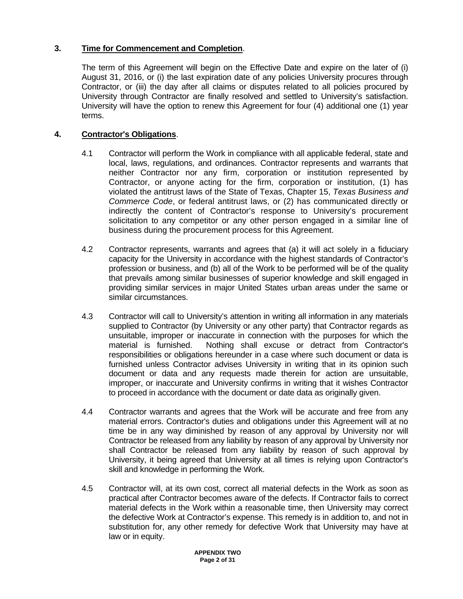## **3. Time for Commencement and Completion**.

The term of this Agreement will begin on the Effective Date and expire on the later of (i) August 31, 2016, or (i) the last expiration date of any policies University procures through Contractor, or (iii) the day after all claims or disputes related to all policies procured by University through Contractor are finally resolved and settled to University's satisfaction. University will have the option to renew this Agreement for four (4) additional one (1) year terms.

## **4. Contractor's Obligations**.

- 4.1 Contractor will perform the Work in compliance with all applicable federal, state and local, laws, regulations, and ordinances. Contractor represents and warrants that neither Contractor nor any firm, corporation or institution represented by Contractor, or anyone acting for the firm, corporation or institution, (1) has violated the antitrust laws of the State of Texas, Chapter 15, *Texas Business and Commerce Code*, or federal antitrust laws, or (2) has communicated directly or indirectly the content of Contractor's response to University's procurement solicitation to any competitor or any other person engaged in a similar line of business during the procurement process for this Agreement.
- 4.2 Contractor represents, warrants and agrees that (a) it will act solely in a fiduciary capacity for the University in accordance with the highest standards of Contractor's profession or business, and (b) all of the Work to be performed will be of the quality that prevails among similar businesses of superior knowledge and skill engaged in providing similar services in major United States urban areas under the same or similar circumstances.
- 4.3 Contractor will call to University's attention in writing all information in any materials supplied to Contractor (by University or any other party) that Contractor regards as unsuitable, improper or inaccurate in connection with the purposes for which the material is furnished. Nothing shall excuse or detract from Contractor's responsibilities or obligations hereunder in a case where such document or data is furnished unless Contractor advises University in writing that in its opinion such document or data and any requests made therein for action are unsuitable, improper, or inaccurate and University confirms in writing that it wishes Contractor to proceed in accordance with the document or date data as originally given.
- 4.4 Contractor warrants and agrees that the Work will be accurate and free from any material errors. Contractor's duties and obligations under this Agreement will at no time be in any way diminished by reason of any approval by University nor will Contractor be released from any liability by reason of any approval by University nor shall Contractor be released from any liability by reason of such approval by University, it being agreed that University at all times is relying upon Contractor's skill and knowledge in performing the Work.
- 4.5 Contractor will, at its own cost, correct all material defects in the Work as soon as practical after Contractor becomes aware of the defects. If Contractor fails to correct material defects in the Work within a reasonable time, then University may correct the defective Work at Contractor's expense. This remedy is in addition to, and not in substitution for, any other remedy for defective Work that University may have at law or in equity.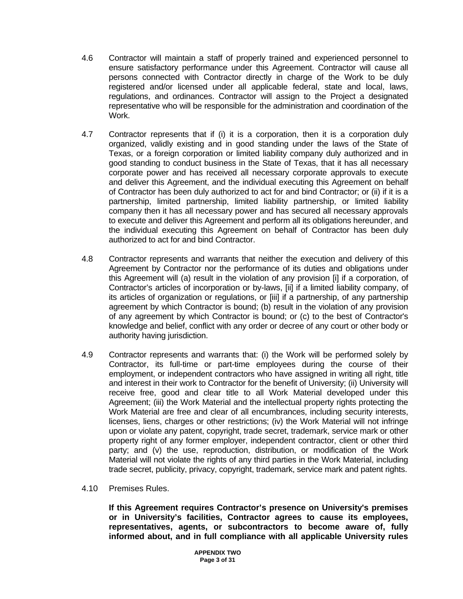- 4.6 Contractor will maintain a staff of properly trained and experienced personnel to ensure satisfactory performance under this Agreement. Contractor will cause all persons connected with Contractor directly in charge of the Work to be duly registered and/or licensed under all applicable federal, state and local, laws, regulations, and ordinances. Contractor will assign to the Project a designated representative who will be responsible for the administration and coordination of the Work.
- 4.7 Contractor represents that if (i) it is a corporation, then it is a corporation duly organized, validly existing and in good standing under the laws of the State of Texas, or a foreign corporation or limited liability company duly authorized and in good standing to conduct business in the State of Texas, that it has all necessary corporate power and has received all necessary corporate approvals to execute and deliver this Agreement, and the individual executing this Agreement on behalf of Contractor has been duly authorized to act for and bind Contractor; or (ii) if it is a partnership, limited partnership, limited liability partnership, or limited liability company then it has all necessary power and has secured all necessary approvals to execute and deliver this Agreement and perform all its obligations hereunder, and the individual executing this Agreement on behalf of Contractor has been duly authorized to act for and bind Contractor.
- 4.8 Contractor represents and warrants that neither the execution and delivery of this Agreement by Contractor nor the performance of its duties and obligations under this Agreement will (a) result in the violation of any provision [i] if a corporation, of Contractor's articles of incorporation or by-laws, [ii] if a limited liability company, of its articles of organization or regulations, or [iii] if a partnership, of any partnership agreement by which Contractor is bound; (b) result in the violation of any provision of any agreement by which Contractor is bound; or (c) to the best of Contractor's knowledge and belief, conflict with any order or decree of any court or other body or authority having jurisdiction.
- 4.9 Contractor represents and warrants that: (i) the Work will be performed solely by Contractor, its full-time or part-time employees during the course of their employment, or independent contractors who have assigned in writing all right, title and interest in their work to Contractor for the benefit of University; (ii) University will receive free, good and clear title to all Work Material developed under this Agreement; (iii) the Work Material and the intellectual property rights protecting the Work Material are free and clear of all encumbrances, including security interests, licenses, liens, charges or other restrictions; (iv) the Work Material will not infringe upon or violate any patent, copyright, trade secret, trademark, service mark or other property right of any former employer, independent contractor, client or other third party; and (v) the use, reproduction, distribution, or modification of the Work Material will not violate the rights of any third parties in the Work Material, including trade secret, publicity, privacy, copyright, trademark, service mark and patent rights.
- 4.10 Premises Rules.

**If this Agreement requires Contractor's presence on University's premises or in University's facilities, Contractor agrees to cause its employees, representatives, agents, or subcontractors to become aware of, fully informed about, and in full compliance with all applicable University rules**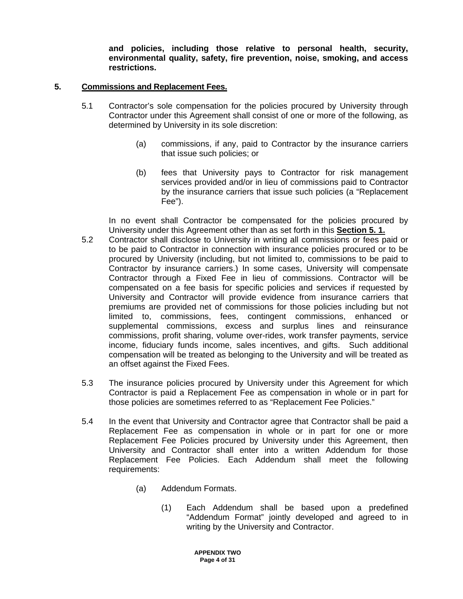**and policies, including those relative to personal health, security, environmental quality, safety, fire prevention, noise, smoking, and access restrictions.**

## **5. Commissions and Replacement Fees.**

- 5.1 Contractor's sole compensation for the policies procured by University through Contractor under this Agreement shall consist of one or more of the following, as determined by University in its sole discretion:
	- (a) commissions, if any, paid to Contractor by the insurance carriers that issue such policies; or
	- (b) fees that University pays to Contractor for risk management services provided and/or in lieu of commissions paid to Contractor by the insurance carriers that issue such policies (a "Replacement Fee").

In no event shall Contractor be compensated for the policies procured by University under this Agreement other than as set forth in this **Section 5. 1.**

- 5.2 Contractor shall disclose to University in writing all commissions or fees paid or to be paid to Contractor in connection with insurance policies procured or to be procured by University (including, but not limited to, commissions to be paid to Contractor by insurance carriers.) In some cases, University will compensate Contractor through a Fixed Fee in lieu of commissions. Contractor will be compensated on a fee basis for specific policies and services if requested by University and Contractor will provide evidence from insurance carriers that premiums are provided net of commissions for those policies including but not limited to, commissions, fees, contingent commissions, enhanced or supplemental commissions, excess and surplus lines and reinsurance commissions, profit sharing, volume over-rides, work transfer payments, service income, fiduciary funds income, sales incentives, and gifts. Such additional compensation will be treated as belonging to the University and will be treated as an offset against the Fixed Fees.
- 5.3 The insurance policies procured by University under this Agreement for which Contractor is paid a Replacement Fee as compensation in whole or in part for those policies are sometimes referred to as "Replacement Fee Policies."
- 5.4 In the event that University and Contractor agree that Contractor shall be paid a Replacement Fee as compensation in whole or in part for one or more Replacement Fee Policies procured by University under this Agreement, then University and Contractor shall enter into a written Addendum for those Replacement Fee Policies. Each Addendum shall meet the following requirements:
	- (a) Addendum Formats.
		- (1) Each Addendum shall be based upon a predefined "Addendum Format" jointly developed and agreed to in writing by the University and Contractor.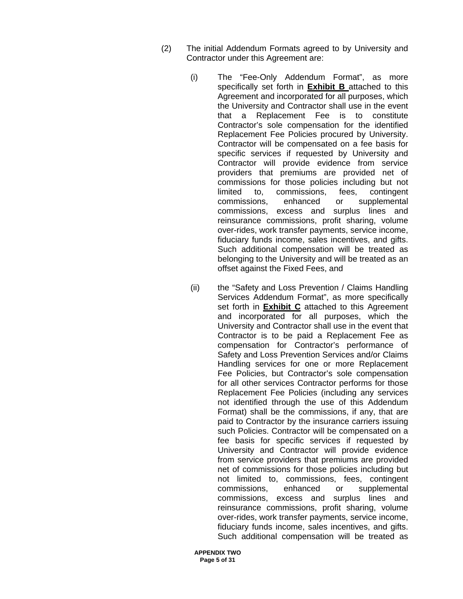- (2) The initial Addendum Formats agreed to by University and Contractor under this Agreement are:
	- (i) The "Fee-Only Addendum Format", as more specifically set forth in **Exhibit B** attached to this Agreement and incorporated for all purposes, which the University and Contractor shall use in the event that a Replacement Fee is to constitute Contractor's sole compensation for the identified Replacement Fee Policies procured by University. Contractor will be compensated on a fee basis for specific services if requested by University and Contractor will provide evidence from service providers that premiums are provided net of commissions for those policies including but not limited to, commissions, fees, contingent commissions, enhanced or supplemental commissions, excess and surplus lines and reinsurance commissions, profit sharing, volume over-rides, work transfer payments, service income, fiduciary funds income, sales incentives, and gifts. Such additional compensation will be treated as belonging to the University and will be treated as an offset against the Fixed Fees, and
	- (ii) the "Safety and Loss Prevention / Claims Handling Services Addendum Format", as more specifically set forth in **Exhibit C** attached to this Agreement and incorporated for all purposes, which the University and Contractor shall use in the event that Contractor is to be paid a Replacement Fee as compensation for Contractor's performance of Safety and Loss Prevention Services and/or Claims Handling services for one or more Replacement Fee Policies, but Contractor's sole compensation for all other services Contractor performs for those Replacement Fee Policies (including any services not identified through the use of this Addendum Format) shall be the commissions, if any, that are paid to Contractor by the insurance carriers issuing such Policies. Contractor will be compensated on a fee basis for specific services if requested by University and Contractor will provide evidence from service providers that premiums are provided net of commissions for those policies including but not limited to, commissions, fees, contingent commissions, enhanced or supplemental commissions, excess and surplus lines and reinsurance commissions, profit sharing, volume over-rides, work transfer payments, service income, fiduciary funds income, sales incentives, and gifts. Such additional compensation will be treated as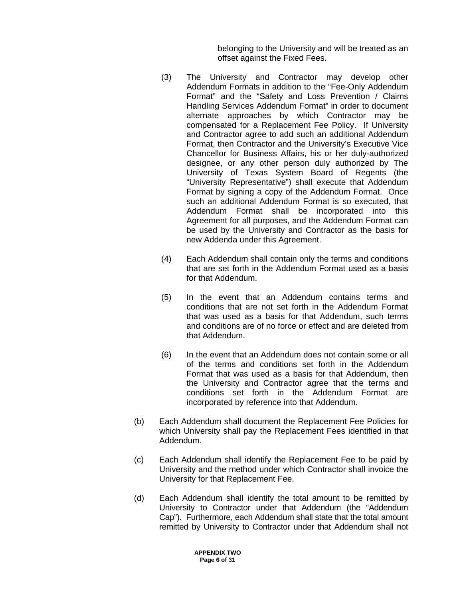belonging to the University and will be treated as an offset against the Fixed Fees.

- (3) The University and Contractor may develop other Addendum Formats in addition to the "Fee-Only Addendum Format" and the "Safety and Loss Prevention / Claims Handling Services Addendum Format" in order to document alternate approaches by which Contractor may be compensated for a Replacement Fee Policy. If University and Contractor agree to add such an additional Addendum Format, then Contractor and the University's Executive Vice Chancellor for Business Affairs, his or her duly-authorized designee, or any other person duly authorized by The University of Texas System Board of Regents (the "University Representative") shall execute that Addendum Format by signing a copy of the Addendum Format. Once such an additional Addendum Format is so executed, that Addendum Format shall be incorporated into this Agreement for all purposes, and the Addendum Format can be used by the University and Contractor as the basis for new Addenda under this Agreement.
- (4) Each Addendum shall contain only the terms and conditions that are set forth in the Addendum Format used as a basis for that Addendum.
- (5) In the event that an Addendum contains terms and conditions that are not set forth in the Addendum Format that was used as a basis for that Addendum, such terms and conditions are of no force or effect and are deleted from that Addendum.
- (6) In the event that an Addendum does not contain some or all of the terms and conditions set forth in the Addendum Format that was used as a basis for that Addendum, then the University and Contractor agree that the terms and conditions set forth in the Addendum Format are incorporated by reference into that Addendum.
- (b) Each Addendum shall document the Replacement Fee Policies for which University shall pay the Replacement Fees identified in that Addendum.
- (c) Each Addendum shall identify the Replacement Fee to be paid by University and the method under which Contractor shall invoice the University for that Replacement Fee.
- (d) Each Addendum shall identify the total amount to be remitted by University to Contractor under that Addendum (the "Addendum Cap"). Furthermore, each Addendum shall state that the total amount remitted by University to Contractor under that Addendum shall not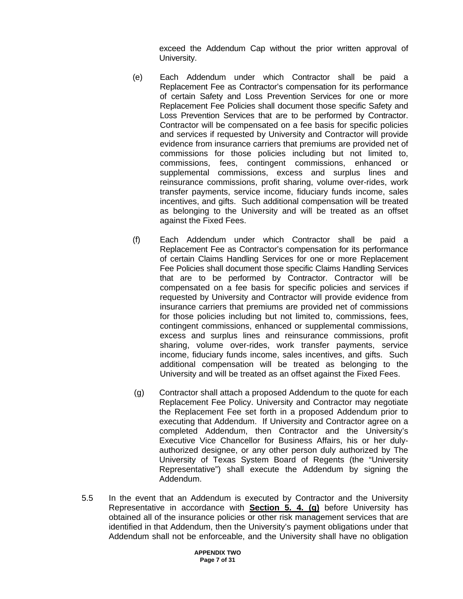exceed the Addendum Cap without the prior written approval of University.

- (e) Each Addendum under which Contractor shall be paid a Replacement Fee as Contractor's compensation for its performance of certain Safety and Loss Prevention Services for one or more Replacement Fee Policies shall document those specific Safety and Loss Prevention Services that are to be performed by Contractor. Contractor will be compensated on a fee basis for specific policies and services if requested by University and Contractor will provide evidence from insurance carriers that premiums are provided net of commissions for those policies including but not limited to, commissions, fees, contingent commissions, enhanced or supplemental commissions, excess and surplus lines and reinsurance commissions, profit sharing, volume over-rides, work transfer payments, service income, fiduciary funds income, sales incentives, and gifts. Such additional compensation will be treated as belonging to the University and will be treated as an offset against the Fixed Fees.
- (f) Each Addendum under which Contractor shall be paid a Replacement Fee as Contractor's compensation for its performance of certain Claims Handling Services for one or more Replacement Fee Policies shall document those specific Claims Handling Services that are to be performed by Contractor. Contractor will be compensated on a fee basis for specific policies and services if requested by University and Contractor will provide evidence from insurance carriers that premiums are provided net of commissions for those policies including but not limited to, commissions, fees, contingent commissions, enhanced or supplemental commissions, excess and surplus lines and reinsurance commissions, profit sharing, volume over-rides, work transfer payments, service income, fiduciary funds income, sales incentives, and gifts. Such additional compensation will be treated as belonging to the University and will be treated as an offset against the Fixed Fees.
- (g) Contractor shall attach a proposed Addendum to the quote for each Replacement Fee Policy. University and Contractor may negotiate the Replacement Fee set forth in a proposed Addendum prior to executing that Addendum. If University and Contractor agree on a completed Addendum, then Contractor and the University's Executive Vice Chancellor for Business Affairs, his or her dulyauthorized designee, or any other person duly authorized by The University of Texas System Board of Regents (the "University Representative") shall execute the Addendum by signing the Addendum.
- 5.5 In the event that an Addendum is executed by Contractor and the University Representative in accordance with **Section 5. 4. (g)** before University has obtained all of the insurance policies or other risk management services that are identified in that Addendum, then the University's payment obligations under that Addendum shall not be enforceable, and the University shall have no obligation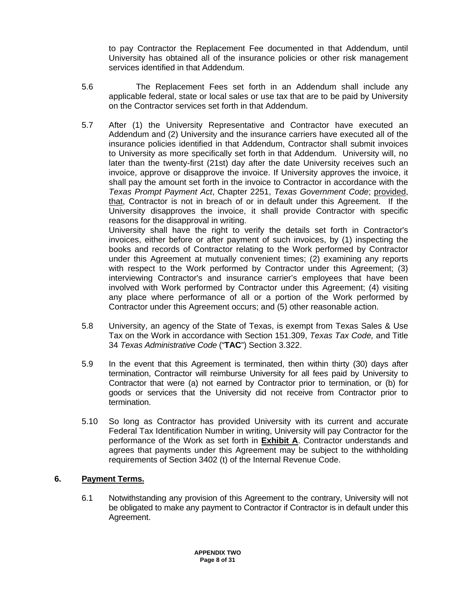to pay Contractor the Replacement Fee documented in that Addendum, until University has obtained all of the insurance policies or other risk management services identified in that Addendum.

- 5.6 The Replacement Fees set forth in an Addendum shall include any applicable federal, state or local sales or use tax that are to be paid by University on the Contractor services set forth in that Addendum.
- 5.7 After (1) the University Representative and Contractor have executed an Addendum and (2) University and the insurance carriers have executed all of the insurance policies identified in that Addendum, Contractor shall submit invoices to University as more specifically set forth in that Addendum. University will, no later than the twenty-first (21st) day after the date University receives such an invoice, approve or disapprove the invoice. If University approves the invoice, it shall pay the amount set forth in the invoice to Contractor in accordance with the *Texas Prompt Payment Act*, Chapter 2251, *Texas Government Code*; provided, that, Contractor is not in breach of or in default under this Agreement. If the University disapproves the invoice, it shall provide Contractor with specific reasons for the disapproval in writing. University shall have the right to verify the details set forth in Contractor's invoices, either before or after payment of such invoices, by (1) inspecting the books and records of Contractor relating to the Work performed by Contractor under this Agreement at mutually convenient times; (2) examining any reports

with respect to the Work performed by Contractor under this Agreement; (3) interviewing Contractor's and insurance carrier's employees that have been involved with Work performed by Contractor under this Agreement; (4) visiting any place where performance of all or a portion of the Work performed by Contractor under this Agreement occurs; and (5) other reasonable action.

- 5.8 University, an agency of the State of Texas, is exempt from Texas Sales & Use Tax on the Work in accordance with Section 151.309, *Texas Tax Code,* and Title 34 *Texas Administrative Code* ("**TAC**") Section 3.322.
- 5.9 In the event that this Agreement is terminated, then within thirty (30) days after termination, Contractor will reimburse University for all fees paid by University to Contractor that were (a) not earned by Contractor prior to termination, or (b) for goods or services that the University did not receive from Contractor prior to termination.
- 5.10 So long as Contractor has provided University with its current and accurate Federal Tax Identification Number in writing, University will pay Contractor for the performance of the Work as set forth in **Exhibit A**. Contractor understands and agrees that payments under this Agreement may be subject to the withholding requirements of Section 3402 (t) of the Internal Revenue Code.

# **6. Payment Terms.**

6.1 Notwithstanding any provision of this Agreement to the contrary, University will not be obligated to make any payment to Contractor if Contractor is in default under this Agreement.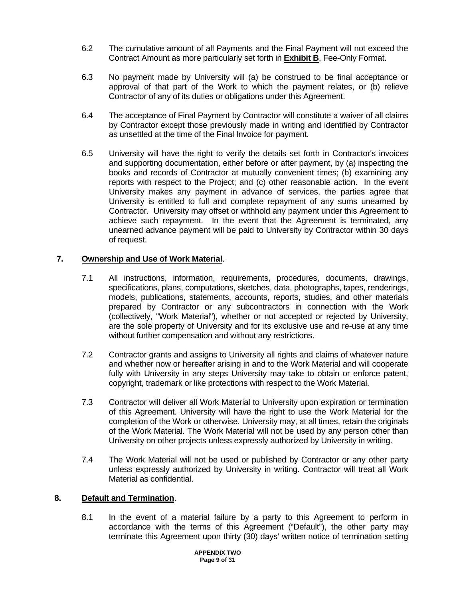- 6.2 The cumulative amount of all Payments and the Final Payment will not exceed the Contract Amount as more particularly set forth in **Exhibit B**, Fee-Only Format.
- 6.3 No payment made by University will (a) be construed to be final acceptance or approval of that part of the Work to which the payment relates, or (b) relieve Contractor of any of its duties or obligations under this Agreement.
- 6.4 The acceptance of Final Payment by Contractor will constitute a waiver of all claims by Contractor except those previously made in writing and identified by Contractor as unsettled at the time of the Final Invoice for payment.
- 6.5 University will have the right to verify the details set forth in Contractor's invoices and supporting documentation, either before or after payment, by (a) inspecting the books and records of Contractor at mutually convenient times; (b) examining any reports with respect to the Project; and (c) other reasonable action. In the event University makes any payment in advance of services, the parties agree that University is entitled to full and complete repayment of any sums unearned by Contractor. University may offset or withhold any payment under this Agreement to achieve such repayment. In the event that the Agreement is terminated, any unearned advance payment will be paid to University by Contractor within 30 days of request.

# **7. Ownership and Use of Work Material**.

- 7.1 All instructions, information, requirements, procedures, documents, drawings, specifications, plans, computations, sketches, data, photographs, tapes, renderings, models, publications, statements, accounts, reports, studies, and other materials prepared by Contractor or any subcontractors in connection with the Work (collectively, "Work Material"), whether or not accepted or rejected by University, are the sole property of University and for its exclusive use and re-use at any time without further compensation and without any restrictions.
- 7.2 Contractor grants and assigns to University all rights and claims of whatever nature and whether now or hereafter arising in and to the Work Material and will cooperate fully with University in any steps University may take to obtain or enforce patent, copyright, trademark or like protections with respect to the Work Material.
- 7.3 Contractor will deliver all Work Material to University upon expiration or termination of this Agreement. University will have the right to use the Work Material for the completion of the Work or otherwise. University may, at all times, retain the originals of the Work Material. The Work Material will not be used by any person other than University on other projects unless expressly authorized by University in writing.
- 7.4 The Work Material will not be used or published by Contractor or any other party unless expressly authorized by University in writing. Contractor will treat all Work Material as confidential.

# **8. Default and Termination**.

8.1 In the event of a material failure by a party to this Agreement to perform in accordance with the terms of this Agreement ("Default"), the other party may terminate this Agreement upon thirty (30) days' written notice of termination setting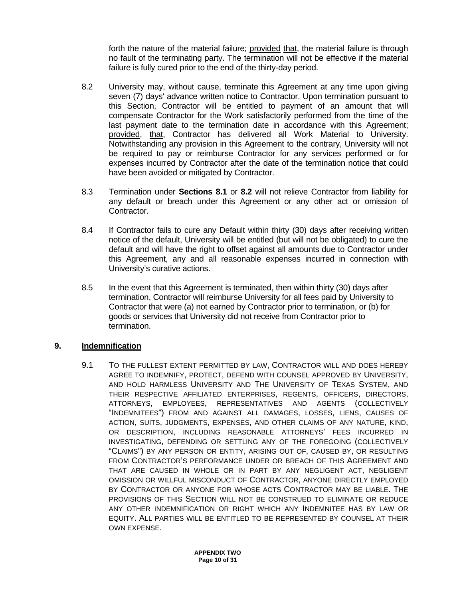forth the nature of the material failure; provided that, the material failure is through no fault of the terminating party. The termination will not be effective if the material failure is fully cured prior to the end of the thirty-day period.

- 8.2 University may, without cause, terminate this Agreement at any time upon giving seven (7) days' advance written notice to Contractor. Upon termination pursuant to this Section, Contractor will be entitled to payment of an amount that will compensate Contractor for the Work satisfactorily performed from the time of the last payment date to the termination date in accordance with this Agreement; provided, that, Contractor has delivered all Work Material to University. Notwithstanding any provision in this Agreement to the contrary, University will not be required to pay or reimburse Contractor for any services performed or for expenses incurred by Contractor after the date of the termination notice that could have been avoided or mitigated by Contractor.
- 8.3 Termination under **Sections 8.1** or **8.2** will not relieve Contractor from liability for any default or breach under this Agreement or any other act or omission of Contractor.
- 8.4 If Contractor fails to cure any Default within thirty (30) days after receiving written notice of the default, University will be entitled (but will not be obligated) to cure the default and will have the right to offset against all amounts due to Contractor under this Agreement, any and all reasonable expenses incurred in connection with University's curative actions.
- 8.5 In the event that this Agreement is terminated, then within thirty (30) days after termination, Contractor will reimburse University for all fees paid by University to Contractor that were (a) not earned by Contractor prior to termination, or (b) for goods or services that University did not receive from Contractor prior to termination.

# **9. Indemnification**

9.1 TO THE FULLEST EXTENT PERMITTED BY LAW, CONTRACTOR WILL AND DOES HEREBY AGREE TO INDEMNIFY, PROTECT, DEFEND WITH COUNSEL APPROVED BY UNIVERSITY, AND HOLD HARMLESS UNIVERSITY AND THE UNIVERSITY OF TEXAS SYSTEM, AND THEIR RESPECTIVE AFFILIATED ENTERPRISES, REGENTS, OFFICERS, DIRECTORS, ATTORNEYS, EMPLOYEES, REPRESENTATIVES AND AGENTS (COLLECTIVELY "INDEMNITEES") FROM AND AGAINST ALL DAMAGES, LOSSES, LIENS, CAUSES OF ACTION, SUITS, JUDGMENTS, EXPENSES, AND OTHER CLAIMS OF ANY NATURE, KIND, OR DESCRIPTION, INCLUDING REASONABLE ATTORNEYS' FEES INCURRED IN INVESTIGATING, DEFENDING OR SETTLING ANY OF THE FOREGOING (COLLECTIVELY "CLAIMS") BY ANY PERSON OR ENTITY, ARISING OUT OF, CAUSED BY, OR RESULTING FROM CONTRACTOR'S PERFORMANCE UNDER OR BREACH OF THIS AGREEMENT AND THAT ARE CAUSED IN WHOLE OR IN PART BY ANY NEGLIGENT ACT, NEGLIGENT OMISSION OR WILLFUL MISCONDUCT OF CONTRACTOR, ANYONE DIRECTLY EMPLOYED BY CONTRACTOR OR ANYONE FOR WHOSE ACTS CONTRACTOR MAY BE LIABLE. THE PROVISIONS OF THIS SECTION WILL NOT BE CONSTRUED TO ELIMINATE OR REDUCE ANY OTHER INDEMNIFICATION OR RIGHT WHICH ANY INDEMNITEE HAS BY LAW OR EQUITY. ALL PARTIES WILL BE ENTITLED TO BE REPRESENTED BY COUNSEL AT THEIR OWN EXPENSE.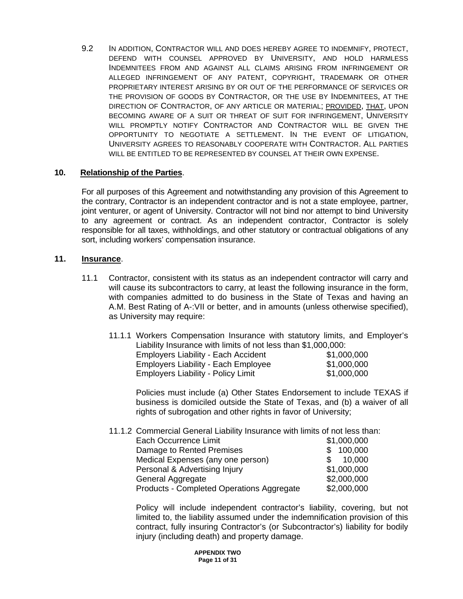9.2 IN ADDITION, CONTRACTOR WILL AND DOES HEREBY AGREE TO INDEMNIFY, PROTECT, DEFEND WITH COUNSEL APPROVED BY UNIVERSITY, AND HOLD HARMLESS INDEMNITEES FROM AND AGAINST ALL CLAIMS ARISING FROM INFRINGEMENT OR ALLEGED INFRINGEMENT OF ANY PATENT, COPYRIGHT, TRADEMARK OR OTHER PROPRIETARY INTEREST ARISING BY OR OUT OF THE PERFORMANCE OF SERVICES OR THE PROVISION OF GOODS BY CONTRACTOR, OR THE USE BY INDEMNITEES, AT THE DIRECTION OF CONTRACTOR, OF ANY ARTICLE OR MATERIAL; PROVIDED, THAT, UPON BECOMING AWARE OF A SUIT OR THREAT OF SUIT FOR INFRINGEMENT, UNIVERSITY WILL PROMPTLY NOTIFY CONTRACTOR AND CONTRACTOR WILL BE GIVEN THE OPPORTUNITY TO NEGOTIATE A SETTLEMENT. IN THE EVENT OF LITIGATION, UNIVERSITY AGREES TO REASONABLY COOPERATE WITH CONTRACTOR. ALL PARTIES WILL BE ENTITLED TO BE REPRESENTED BY COUNSEL AT THEIR OWN EXPENSE.

## **10. Relationship of the Parties**.

For all purposes of this Agreement and notwithstanding any provision of this Agreement to the contrary, Contractor is an independent contractor and is not a state employee, partner, joint venturer, or agent of University. Contractor will not bind nor attempt to bind University to any agreement or contract. As an independent contractor, Contractor is solely responsible for all taxes, withholdings, and other statutory or contractual obligations of any sort, including workers' compensation insurance.

# **11. Insurance**.

- 11.1 Contractor, consistent with its status as an independent contractor will carry and will cause its subcontractors to carry, at least the following insurance in the form, with companies admitted to do business in the State of Texas and having an A.M. Best Rating of A-:VII or better, and in amounts (unless otherwise specified), as University may require:
	- 11.1.1 Workers Compensation Insurance with statutory limits, and Employer's Liability Insurance with limits of not less than \$1,000,000:

| \$1,000,000 |
|-------------|
| \$1,000,000 |
| \$1,000,000 |
|             |

Policies must include (a) Other States Endorsement to include TEXAS if business is domiciled outside the State of Texas, and (b) a waiver of all rights of subrogation and other rights in favor of University;

11.1.2 Commercial General Liability Insurance with limits of not less than:

| Each Occurrence Limit                     | \$1,000,000 |
|-------------------------------------------|-------------|
| Damage to Rented Premises                 | \$100,000   |
| Medical Expenses (any one person)         | \$ 10,000   |
| Personal & Advertising Injury             | \$1,000,000 |
| General Aggregate                         | \$2,000,000 |
| Products - Completed Operations Aggregate | \$2,000,000 |

Policy will include independent contractor's liability, covering, but not limited to, the liability assumed under the indemnification provision of this contract, fully insuring Contractor's (or Subcontractor's) liability for bodily injury (including death) and property damage.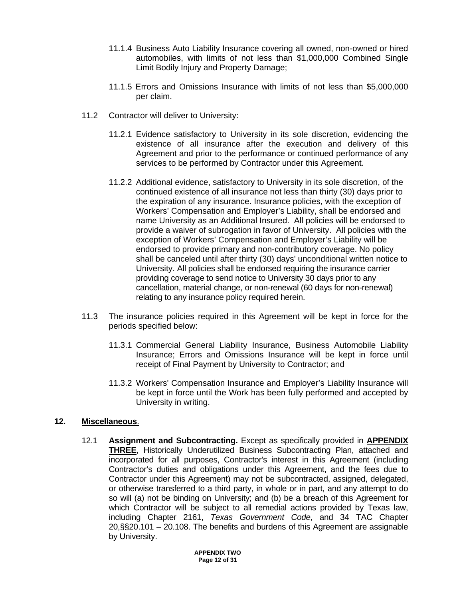- 11.1.4 Business Auto Liability Insurance covering all owned, non-owned or hired automobiles, with limits of not less than \$1,000,000 Combined Single Limit Bodily Injury and Property Damage;
- 11.1.5 Errors and Omissions Insurance with limits of not less than \$5,000,000 per claim.
- 11.2 Contractor will deliver to University:
	- 11.2.1 Evidence satisfactory to University in its sole discretion, evidencing the existence of all insurance after the execution and delivery of this Agreement and prior to the performance or continued performance of any services to be performed by Contractor under this Agreement.
	- 11.2.2 Additional evidence, satisfactory to University in its sole discretion, of the continued existence of all insurance not less than thirty (30) days prior to the expiration of any insurance. Insurance policies, with the exception of Workers' Compensation and Employer's Liability, shall be endorsed and name University as an Additional Insured. All policies will be endorsed to provide a waiver of subrogation in favor of University. All policies with the exception of Workers' Compensation and Employer's Liability will be endorsed to provide primary and non-contributory coverage. No policy shall be canceled until after thirty (30) days' unconditional written notice to University. All policies shall be endorsed requiring the insurance carrier providing coverage to send notice to University 30 days prior to any cancellation, material change, or non-renewal (60 days for non-renewal) relating to any insurance policy required herein.
- 11.3 The insurance policies required in this Agreement will be kept in force for the periods specified below:
	- 11.3.1 Commercial General Liability Insurance, Business Automobile Liability Insurance; Errors and Omissions Insurance will be kept in force until receipt of Final Payment by University to Contractor; and
	- 11.3.2 Workers' Compensation Insurance and Employer's Liability Insurance will be kept in force until the Work has been fully performed and accepted by University in writing.

# **12. Miscellaneous**.

12.1 **Assignment and Subcontracting.** Except as specifically provided in **APPENDIX THREE**, Historically Underutilized Business Subcontracting Plan, attached and incorporated for all purposes, Contractor's interest in this Agreement (including Contractor's duties and obligations under this Agreement, and the fees due to Contractor under this Agreement) may not be subcontracted, assigned, delegated, or otherwise transferred to a third party, in whole or in part, and any attempt to do so will (a) not be binding on University; and (b) be a breach of this Agreement for which Contractor will be subject to all remedial actions provided by Texas law, including Chapter 2161, *Texas Government Code*, and 34 TAC Chapter 20,§§20.101 – 20.108. The benefits and burdens of this Agreement are assignable by University.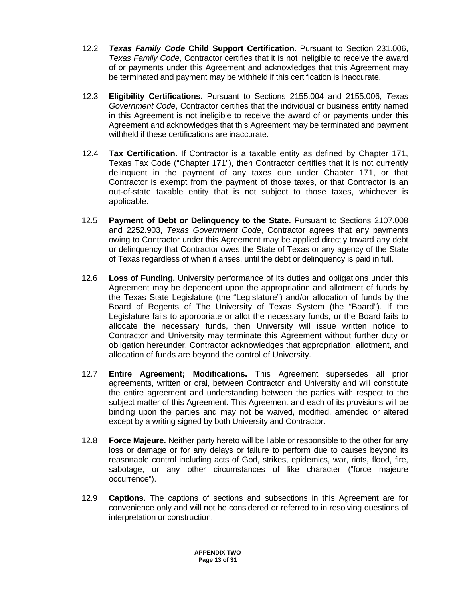- 12.2 *Texas Family Code* **Child Support Certification.** Pursuant to Section 231.006, *Texas Family Code*, Contractor certifies that it is not ineligible to receive the award of or payments under this Agreement and acknowledges that this Agreement may be terminated and payment may be withheld if this certification is inaccurate.
- 12.3 **Eligibility Certifications.** Pursuant to Sections 2155.004 and 2155.006, *Texas Government Code*, Contractor certifies that the individual or business entity named in this Agreement is not ineligible to receive the award of or payments under this Agreement and acknowledges that this Agreement may be terminated and payment withheld if these certifications are inaccurate.
- 12.4 **Tax Certification.** If Contractor is a taxable entity as defined by Chapter 171, Texas Tax Code ("Chapter 171"), then Contractor certifies that it is not currently delinquent in the payment of any taxes due under Chapter 171, or that Contractor is exempt from the payment of those taxes, or that Contractor is an out-of-state taxable entity that is not subject to those taxes, whichever is applicable.
- 12.5 **Payment of Debt or Delinquency to the State.** Pursuant to Sections 2107.008 and 2252.903, *Texas Government Code*, Contractor agrees that any payments owing to Contractor under this Agreement may be applied directly toward any debt or delinquency that Contractor owes the State of Texas or any agency of the State of Texas regardless of when it arises, until the debt or delinquency is paid in full.
- 12.6 **Loss of Funding.** University performance of its duties and obligations under this Agreement may be dependent upon the appropriation and allotment of funds by the Texas State Legislature (the "Legislature") and/or allocation of funds by the Board of Regents of The University of Texas System (the "Board"). If the Legislature fails to appropriate or allot the necessary funds, or the Board fails to allocate the necessary funds, then University will issue written notice to Contractor and University may terminate this Agreement without further duty or obligation hereunder. Contractor acknowledges that appropriation, allotment, and allocation of funds are beyond the control of University.
- 12.7 **Entire Agreement; Modifications.** This Agreement supersedes all prior agreements, written or oral, between Contractor and University and will constitute the entire agreement and understanding between the parties with respect to the subject matter of this Agreement. This Agreement and each of its provisions will be binding upon the parties and may not be waived, modified, amended or altered except by a writing signed by both University and Contractor.
- 12.8 **Force Majeure.** Neither party hereto will be liable or responsible to the other for any loss or damage or for any delays or failure to perform due to causes beyond its reasonable control including acts of God, strikes, epidemics, war, riots, flood, fire, sabotage, or any other circumstances of like character ("force majeure occurrence").
- 12.9 **Captions.** The captions of sections and subsections in this Agreement are for convenience only and will not be considered or referred to in resolving questions of interpretation or construction.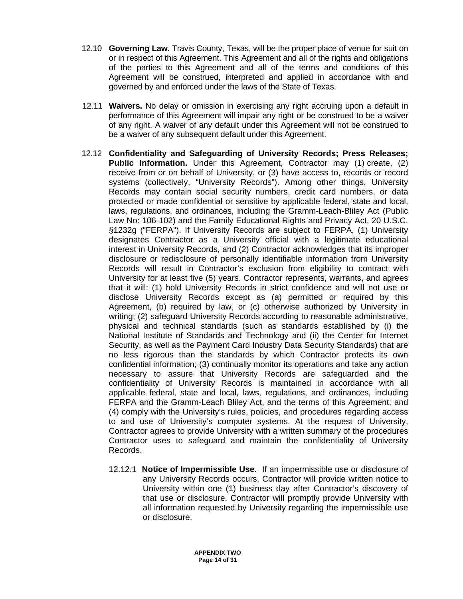- 12.10 **Governing Law.** Travis County, Texas, will be the proper place of venue for suit on or in respect of this Agreement. This Agreement and all of the rights and obligations of the parties to this Agreement and all of the terms and conditions of this Agreement will be construed, interpreted and applied in accordance with and governed by and enforced under the laws of the State of Texas.
- 12.11 **Waivers.** No delay or omission in exercising any right accruing upon a default in performance of this Agreement will impair any right or be construed to be a waiver of any right. A waiver of any default under this Agreement will not be construed to be a waiver of any subsequent default under this Agreement.
- 12.12 **Confidentiality and Safeguarding of University Records; Press Releases; Public Information.** Under this Agreement. Contractor may (1) create. (2) receive from or on behalf of University, or (3) have access to, records or record systems (collectively, "University Records"). Among other things, University Records may contain social security numbers, credit card numbers, or data protected or made confidential or sensitive by applicable federal, state and local, laws, regulations, and ordinances, including the Gramm-Leach-Bliley Act (Public Law No: 106-102) and the Family Educational Rights and Privacy Act, 20 U.S.C. §1232g ("FERPA"). If University Records are subject to FERPA, (1) University designates Contractor as a University official with a legitimate educational interest in University Records, and (2) Contractor acknowledges that its improper disclosure or redisclosure of personally identifiable information from University Records will result in Contractor's exclusion from eligibility to contract with University for at least five (5) years. Contractor represents, warrants, and agrees that it will: (1) hold University Records in strict confidence and will not use or disclose University Records except as (a) permitted or required by this Agreement, (b) required by law, or (c) otherwise authorized by University in writing; (2) safeguard University Records according to reasonable administrative, physical and technical standards (such as standards established by (i) the National Institute of Standards and Technology and (ii) the Center for Internet Security, as well as the Payment Card Industry Data Security Standards) that are no less rigorous than the standards by which Contractor protects its own confidential information; (3) continually monitor its operations and take any action necessary to assure that University Records are safeguarded and the confidentiality of University Records is maintained in accordance with all applicable federal, state and local, laws, regulations, and ordinances, including FERPA and the Gramm-Leach Bliley Act, and the terms of this Agreement; and (4) comply with the University's rules, policies, and procedures regarding access to and use of University's computer systems. At the request of University, Contractor agrees to provide University with a written summary of the procedures Contractor uses to safeguard and maintain the confidentiality of University Records.
	- 12.12.1 **Notice of Impermissible Use.** If an impermissible use or disclosure of any University Records occurs, Contractor will provide written notice to University within one (1) business day after Contractor's discovery of that use or disclosure. Contractor will promptly provide University with all information requested by University regarding the impermissible use or disclosure.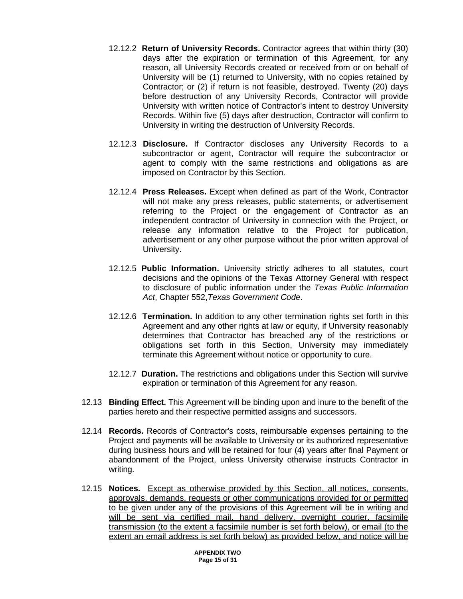- 12.12.2 **Return of University Records.** Contractor agrees that within thirty (30) days after the expiration or termination of this Agreement, for any reason, all University Records created or received from or on behalf of University will be (1) returned to University, with no copies retained by Contractor; or (2) if return is not feasible, destroyed. Twenty (20) days before destruction of any University Records, Contractor will provide University with written notice of Contractor's intent to destroy University Records. Within five (5) days after destruction, Contractor will confirm to University in writing the destruction of University Records.
- 12.12.3 **Disclosure.** If Contractor discloses any University Records to a subcontractor or agent, Contractor will require the subcontractor or agent to comply with the same restrictions and obligations as are imposed on Contractor by this Section.
- 12.12.4 **Press Releases.** Except when defined as part of the Work, Contractor will not make any press releases, public statements, or advertisement referring to the Project or the engagement of Contractor as an independent contractor of University in connection with the Project, or release any information relative to the Project for publication, advertisement or any other purpose without the prior written approval of University.
- 12.12.5 **Public Information.** University strictly adheres to all statutes, court decisions and the opinions of the Texas Attorney General with respect to disclosure of public information under the *Texas Public Information Act*, Chapter 552,*Texas Government Code*.
- 12.12.6 **Termination.** In addition to any other termination rights set forth in this Agreement and any other rights at law or equity, if University reasonably determines that Contractor has breached any of the restrictions or obligations set forth in this Section, University may immediately terminate this Agreement without notice or opportunity to cure.
- 12.12.7 **Duration.** The restrictions and obligations under this Section will survive expiration or termination of this Agreement for any reason.
- 12.13 **Binding Effect.** This Agreement will be binding upon and inure to the benefit of the parties hereto and their respective permitted assigns and successors.
- 12.14 **Records.** Records of Contractor's costs, reimbursable expenses pertaining to the Project and payments will be available to University or its authorized representative during business hours and will be retained for four (4) years after final Payment or abandonment of the Project, unless University otherwise instructs Contractor in writing.
- 12.15 **Notices.** Except as otherwise provided by this Section, all notices, consents, approvals, demands, requests or other communications provided for or permitted to be given under any of the provisions of this Agreement will be in writing and will be sent via certified mail, hand delivery, overnight courier, facsimile transmission (to the extent a facsimile number is set forth below), or email (to the extent an email address is set forth below) as provided below, and notice will be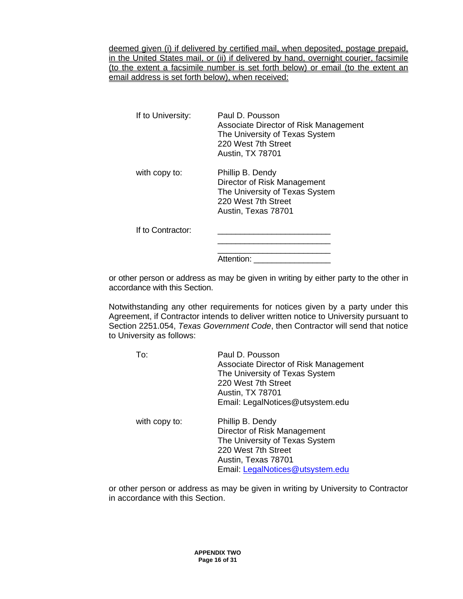deemed given (i) if delivered by certified mail, when deposited, postage prepaid, in the United States mail, or (ii) if delivered by hand, overnight courier, facsimile (to the extent a facsimile number is set forth below) or email (to the extent an email address is set forth below), when received:

| If to University: | Paul D. Pousson<br>Associate Director of Risk Management<br>The University of Texas System<br>220 West 7th Street<br><b>Austin, TX 78701</b> |
|-------------------|----------------------------------------------------------------------------------------------------------------------------------------------|
| with copy to:     | Phillip B. Dendy<br>Director of Risk Management<br>The University of Texas System<br>220 West 7th Street<br>Austin, Texas 78701              |
| If to Contractor: |                                                                                                                                              |

or other person or address as may be given in writing by either party to the other in accordance with this Section.

\_\_\_\_\_\_\_\_\_\_\_\_\_\_\_\_\_\_\_\_\_\_\_\_\_ Attention: **Attention:** 

Notwithstanding any other requirements for notices given by a party under this Agreement, if Contractor intends to deliver written notice to University pursuant to Section 2251.054, *Texas Government Code*, then Contractor will send that notice to University as follows:

| To:           | Paul D. Pousson<br>Associate Director of Risk Management<br>The University of Texas System<br>220 West 7th Street<br><b>Austin, TX 78701</b><br>Email: LegalNotices@utsystem.edu |
|---------------|----------------------------------------------------------------------------------------------------------------------------------------------------------------------------------|
| with copy to: | Phillip B. Dendy<br>Director of Risk Management<br>The University of Texas System<br>220 West 7th Street<br>Austin, Texas 78701<br>Email: LegalNotices@utsystem.edu              |

or other person or address as may be given in writing by University to Contractor in accordance with this Section.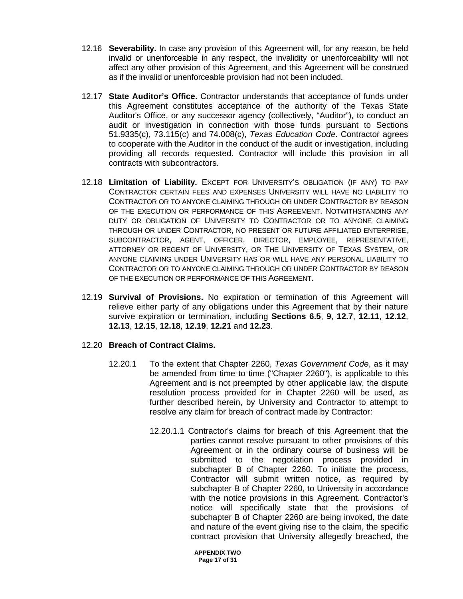- 12.16 **Severability.** In case any provision of this Agreement will, for any reason, be held invalid or unenforceable in any respect, the invalidity or unenforceability will not affect any other provision of this Agreement, and this Agreement will be construed as if the invalid or unenforceable provision had not been included.
- 12.17 **State Auditor's Office.** Contractor understands that acceptance of funds under this Agreement constitutes acceptance of the authority of the Texas State Auditor's Office, or any successor agency (collectively, "Auditor"), to conduct an audit or investigation in connection with those funds pursuant to Sections 51.9335(c), 73.115(c) and 74.008(c), *Texas Education Code*. Contractor agrees to cooperate with the Auditor in the conduct of the audit or investigation, including providing all records requested. Contractor will include this provision in all contracts with subcontractors.
- 12.18 **Limitation of Liability.** EXCEPT FOR UNIVERSITY'S OBLIGATION (IF ANY) TO PAY CONTRACTOR CERTAIN FEES AND EXPENSES UNIVERSITY WILL HAVE NO LIABILITY TO CONTRACTOR OR TO ANYONE CLAIMING THROUGH OR UNDER CONTRACTOR BY REASON OF THE EXECUTION OR PERFORMANCE OF THIS AGREEMENT. NOTWITHSTANDING ANY DUTY OR OBLIGATION OF UNIVERSITY TO CONTRACTOR OR TO ANYONE CLAIMING THROUGH OR UNDER CONTRACTOR, NO PRESENT OR FUTURE AFFILIATED ENTERPRISE, SUBCONTRACTOR, AGENT, OFFICER, DIRECTOR, EMPLOYEE, REPRESENTATIVE, ATTORNEY OR REGENT OF UNIVERSITY, OR THE UNIVERSITY OF TEXAS SYSTEM, OR ANYONE CLAIMING UNDER UNIVERSITY HAS OR WILL HAVE ANY PERSONAL LIABILITY TO CONTRACTOR OR TO ANYONE CLAIMING THROUGH OR UNDER CONTRACTOR BY REASON OF THE EXECUTION OR PERFORMANCE OF THIS AGREEMENT.
- 12.19 **Survival of Provisions.** No expiration or termination of this Agreement will relieve either party of any obligations under this Agreement that by their nature survive expiration or termination, including **Sections 6.5**, **9**, **12.7**, **12.11**, **12.12**, **12.13**, **12.15**, **12.18**, **12.19**, **12.21** and **12.23**.

# 12.20 **Breach of Contract Claims.**

- 12.20.1 To the extent that Chapter 2260, *Texas Government Code*, as it may be amended from time to time ("Chapter 2260"), is applicable to this Agreement and is not preempted by other applicable law, the dispute resolution process provided for in Chapter 2260 will be used, as further described herein, by University and Contractor to attempt to resolve any claim for breach of contract made by Contractor:
	- 12.20.1.1 Contractor's claims for breach of this Agreement that the parties cannot resolve pursuant to other provisions of this Agreement or in the ordinary course of business will be submitted to the negotiation process provided in subchapter B of Chapter 2260. To initiate the process, Contractor will submit written notice, as required by subchapter B of Chapter 2260, to University in accordance with the notice provisions in this Agreement. Contractor's notice will specifically state that the provisions of subchapter B of Chapter 2260 are being invoked, the date and nature of the event giving rise to the claim, the specific contract provision that University allegedly breached, the

 **APPENDIX TWO Page 17 of 31**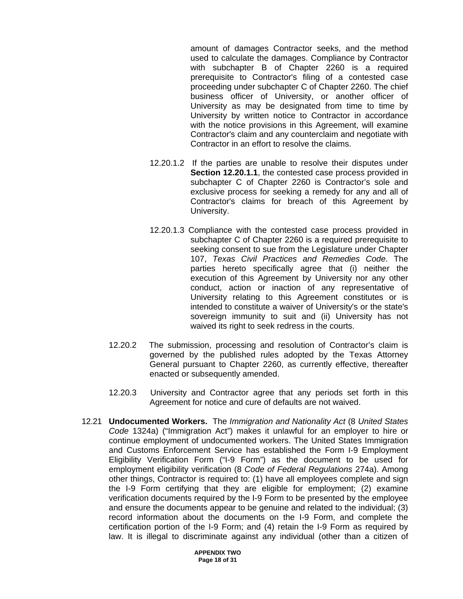amount of damages Contractor seeks, and the method used to calculate the damages. Compliance by Contractor with subchapter B of Chapter 2260 is a required prerequisite to Contractor's filing of a contested case proceeding under subchapter C of Chapter 2260. The chief business officer of University, or another officer of University as may be designated from time to time by University by written notice to Contractor in accordance with the notice provisions in this Agreement, will examine Contractor's claim and any counterclaim and negotiate with Contractor in an effort to resolve the claims.

- 12.20.1.2 If the parties are unable to resolve their disputes under **Section 12.20.1.1**, the contested case process provided in subchapter C of Chapter 2260 is Contractor's sole and exclusive process for seeking a remedy for any and all of Contractor's claims for breach of this Agreement by University.
- 12.20.1.3 Compliance with the contested case process provided in subchapter C of Chapter 2260 is a required prerequisite to seeking consent to sue from the Legislature under Chapter 107, *Texas Civil Practices and Remedies Code*. The parties hereto specifically agree that (i) neither the execution of this Agreement by University nor any other conduct, action or inaction of any representative of University relating to this Agreement constitutes or is intended to constitute a waiver of University's or the state's sovereign immunity to suit and (ii) University has not waived its right to seek redress in the courts.
- 12.20.2 The submission, processing and resolution of Contractor's claim is governed by the published rules adopted by the Texas Attorney General pursuant to Chapter 2260, as currently effective, thereafter enacted or subsequently amended.
- 12.20.3 University and Contractor agree that any periods set forth in this Agreement for notice and cure of defaults are not waived.
- 12.21 **Undocumented Workers.** The *Immigration and Nationality Act* (8 *United States Code* 1324a) ("Immigration Act") makes it unlawful for an employer to hire or continue employment of undocumented workers. The United States Immigration and Customs Enforcement Service has established the Form I-9 Employment Eligibility Verification Form ("I-9 Form") as the document to be used for employment eligibility verification (8 *Code of Federal Regulations* 274a). Among other things, Contractor is required to: (1) have all employees complete and sign the I-9 Form certifying that they are eligible for employment; (2) examine verification documents required by the I-9 Form to be presented by the employee and ensure the documents appear to be genuine and related to the individual; (3) record information about the documents on the I-9 Form, and complete the certification portion of the I-9 Form; and (4) retain the I-9 Form as required by law. It is illegal to discriminate against any individual (other than a citizen of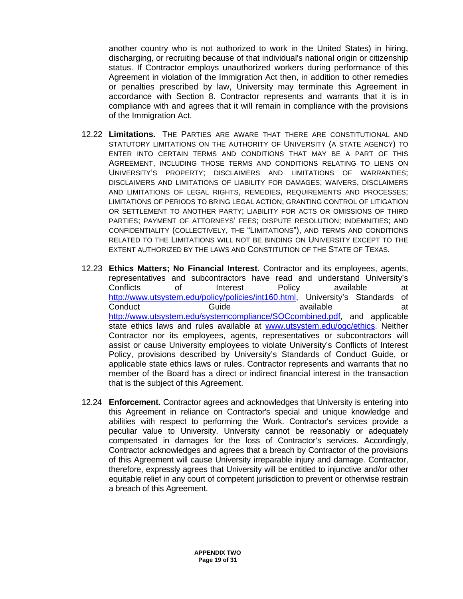another country who is not authorized to work in the United States) in hiring, discharging, or recruiting because of that individual's national origin or citizenship status. If Contractor employs unauthorized workers during performance of this Agreement in violation of the Immigration Act then, in addition to other remedies or penalties prescribed by law, University may terminate this Agreement in accordance with Section 8. Contractor represents and warrants that it is in compliance with and agrees that it will remain in compliance with the provisions of the Immigration Act.

- 12.22 **Limitations.** THE PARTIES ARE AWARE THAT THERE ARE CONSTITUTIONAL AND STATUTORY LIMITATIONS ON THE AUTHORITY OF UNIVERSITY (A STATE AGENCY) TO ENTER INTO CERTAIN TERMS AND CONDITIONS THAT MAY BE A PART OF THIS AGREEMENT, INCLUDING THOSE TERMS AND CONDITIONS RELATING TO LIENS ON UNIVERSITY'S PROPERTY; DISCLAIMERS AND LIMITATIONS OF WARRANTIES; DISCLAIMERS AND LIMITATIONS OF LIABILITY FOR DAMAGES; WAIVERS, DISCLAIMERS AND LIMITATIONS OF LEGAL RIGHTS, REMEDIES, REQUIREMENTS AND PROCESSES; LIMITATIONS OF PERIODS TO BRING LEGAL ACTION; GRANTING CONTROL OF LITIGATION OR SETTLEMENT TO ANOTHER PARTY; LIABILITY FOR ACTS OR OMISSIONS OF THIRD PARTIES; PAYMENT OF ATTORNEYS' FEES; DISPUTE RESOLUTION; INDEMNITIES; AND CONFIDENTIALITY (COLLECTIVELY, THE "LIMITATIONS"), AND TERMS AND CONDITIONS RELATED TO THE LIMITATIONS WILL NOT BE BINDING ON UNIVERSITY EXCEPT TO THE EXTENT AUTHORIZED BY THE LAWS AND CONSTITUTION OF THE STATE OF TEXAS.
- 12.23 **Ethics Matters; No Financial Interest.** Contractor and its employees, agents, representatives and subcontractors have read and understand University's Conflicts of Interest Policy available at [http://www.utsystem.edu/policy/policies/int160.html,](http://www.utsystem.edu/policy/policies/int160.html) University's Standards of Conduct **Guide** Guide available available at [http://www.utsystem.edu/systemcompliance/SOCcombined.pdf,](http://www.utsystem.edu/systemcompliance/SOCcombined.pdf) and applicable state ethics laws and rules available at [www.utsystem.edu/ogc/ethics.](http://www.utsystem.edu/ogc/ethics) Neither Contractor nor its employees, agents, representatives or subcontractors will assist or cause University employees to violate University's Conflicts of Interest Policy, provisions described by University's Standards of Conduct Guide, or applicable state ethics laws or rules. Contractor represents and warrants that no member of the Board has a direct or indirect financial interest in the transaction that is the subject of this Agreement.
- 12.24 **Enforcement.** Contractor agrees and acknowledges that University is entering into this Agreement in reliance on Contractor's special and unique knowledge and abilities with respect to performing the Work. Contractor's services provide a peculiar value to University. University cannot be reasonably or adequately compensated in damages for the loss of Contractor's services. Accordingly, Contractor acknowledges and agrees that a breach by Contractor of the provisions of this Agreement will cause University irreparable injury and damage. Contractor, therefore, expressly agrees that University will be entitled to injunctive and/or other equitable relief in any court of competent jurisdiction to prevent or otherwise restrain a breach of this Agreement.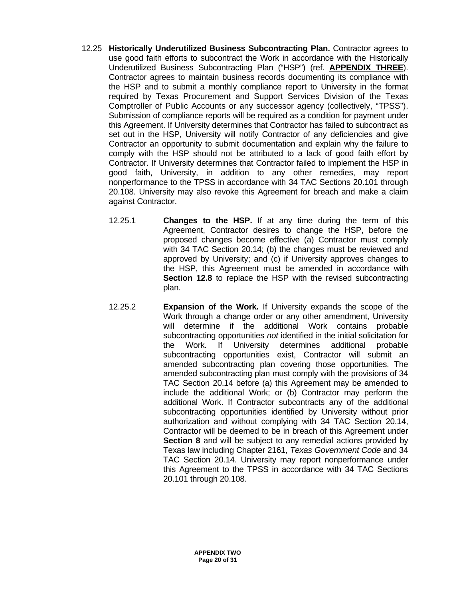- 12.25 **Historically Underutilized Business Subcontracting Plan.** Contractor agrees to use good faith efforts to subcontract the Work in accordance with the Historically Underutilized Business Subcontracting Plan ("HSP") (ref. **APPENDIX THREE**). Contractor agrees to maintain business records documenting its compliance with the HSP and to submit a monthly compliance report to University in the format required by Texas Procurement and Support Services Division of the Texas Comptroller of Public Accounts or any successor agency (collectively, "TPSS"). Submission of compliance reports will be required as a condition for payment under this Agreement. If University determines that Contractor has failed to subcontract as set out in the HSP, University will notify Contractor of any deficiencies and give Contractor an opportunity to submit documentation and explain why the failure to comply with the HSP should not be attributed to a lack of good faith effort by Contractor. If University determines that Contractor failed to implement the HSP in good faith, University, in addition to any other remedies, may report nonperformance to the TPSS in accordance with 34 TAC Sections 20.101 through 20.108. University may also revoke this Agreement for breach and make a claim against Contractor.
	- 12.25.1 **Changes to the HSP.** If at any time during the term of this Agreement, Contractor desires to change the HSP, before the proposed changes become effective (a) Contractor must comply with 34 TAC Section 20.14; (b) the changes must be reviewed and approved by University; and (c) if University approves changes to the HSP, this Agreement must be amended in accordance with **Section 12.8** to replace the HSP with the revised subcontracting plan.
	- 12.25.2 **Expansion of the Work.** If University expands the scope of the Work through a change order or any other amendment, University will determine if the additional Work contains probable subcontracting opportunities *not* identified in the initial solicitation for the Work. If University determines additional probable subcontracting opportunities exist, Contractor will submit an amended subcontracting plan covering those opportunities. The amended subcontracting plan must comply with the provisions of 34 TAC Section 20.14 before (a) this Agreement may be amended to include the additional Work; or (b) Contractor may perform the additional Work. If Contractor subcontracts any of the additional subcontracting opportunities identified by University without prior authorization and without complying with 34 TAC Section 20.14, Contractor will be deemed to be in breach of this Agreement under **Section 8** and will be subject to any remedial actions provided by Texas law including Chapter 2161, *Texas Government Code* and 34 TAC Section 20.14. University may report nonperformance under this Agreement to the TPSS in accordance with 34 TAC Sections 20.101 through 20.108.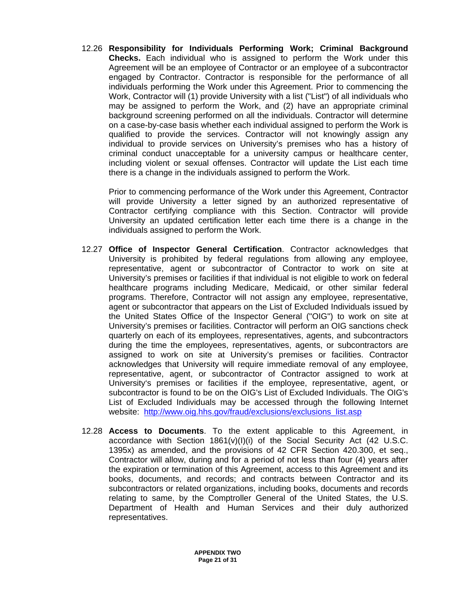12.26 **Responsibility for Individuals Performing Work; Criminal Background Checks.** Each individual who is assigned to perform the Work under this Agreement will be an employee of Contractor or an employee of a subcontractor engaged by Contractor. Contractor is responsible for the performance of all individuals performing the Work under this Agreement. Prior to commencing the Work, Contractor will (1) provide University with a list ("List") of all individuals who may be assigned to perform the Work, and (2) have an appropriate criminal background screening performed on all the individuals. Contractor will determine on a case-by-case basis whether each individual assigned to perform the Work is qualified to provide the services. Contractor will not knowingly assign any individual to provide services on University's premises who has a history of criminal conduct unacceptable for a university campus or healthcare center, including violent or sexual offenses. Contractor will update the List each time there is a change in the individuals assigned to perform the Work.

Prior to commencing performance of the Work under this Agreement, Contractor will provide University a letter signed by an authorized representative of Contractor certifying compliance with this Section. Contractor will provide University an updated certification letter each time there is a change in the individuals assigned to perform the Work.

- 12.27 **Office of Inspector General Certification**. Contractor acknowledges that University is prohibited by federal regulations from allowing any employee, representative, agent or subcontractor of Contractor to work on site at University's premises or facilities if that individual is not eligible to work on federal healthcare programs including Medicare, Medicaid, or other similar federal programs. Therefore, Contractor will not assign any employee, representative, agent or subcontractor that appears on the List of Excluded Individuals issued by the United States Office of the Inspector General ("OIG") to work on site at University's premises or facilities. Contractor will perform an OIG sanctions check quarterly on each of its employees, representatives, agents, and subcontractors during the time the employees, representatives, agents, or subcontractors are assigned to work on site at University's premises or facilities. Contractor acknowledges that University will require immediate removal of any employee, representative, agent, or subcontractor of Contractor assigned to work at University's premises or facilities if the employee, representative, agent, or subcontractor is found to be on the OIG's List of Excluded Individuals. The OIG's List of Excluded Individuals may be accessed through the following Internet website: [http://www.oig.hhs.gov/fraud/exclusions/exclusions\\_list.asp](http://www.oig.hhs.gov/fraud/exclusions/exclusions_list.asp)
- 12.28 **Access to Documents**. To the extent applicable to this Agreement, in accordance with Section  $1861(v)(I)(i)$  of the Social Security Act (42 U.S.C. 1395x) as amended, and the provisions of 42 CFR Section 420.300, et seq., Contractor will allow, during and for a period of not less than four (4) years after the expiration or termination of this Agreement, access to this Agreement and its books, documents, and records; and contracts between Contractor and its subcontractors or related organizations, including books, documents and records relating to same, by the Comptroller General of the United States, the U.S. Department of Health and Human Services and their duly authorized representatives.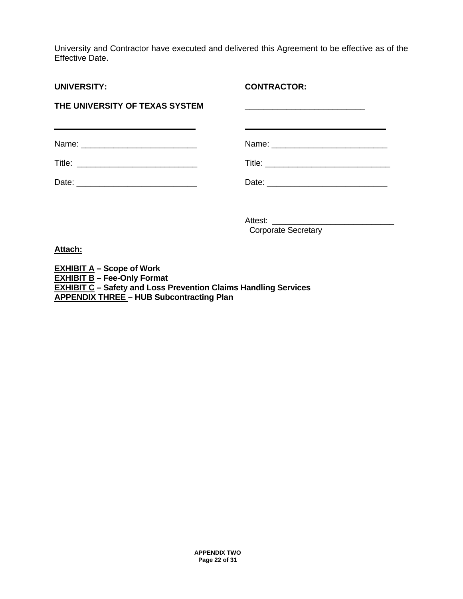University and Contractor have executed and delivered this Agreement to be effective as of the Effective Date.

| <b>UNIVERSITY:</b>                                        | <b>CONTRACTOR:</b>                                                                                                   |  |
|-----------------------------------------------------------|----------------------------------------------------------------------------------------------------------------------|--|
| THE UNIVERSITY OF TEXAS SYSTEM                            | <u> 1989 - Andrea Stadt Britain, amerikansk politiker (d. 1989)</u>                                                  |  |
| <u> 1989 - Johann Barnett, fransk politiker (d. 1989)</u> | <u> 1989 - Johann Stein, marwolaethau a bhann an t-Amhair an t-Amhair an t-Amhair an t-Amhair an t-Amhair an t-A</u> |  |
|                                                           |                                                                                                                      |  |
|                                                           |                                                                                                                      |  |
|                                                           |                                                                                                                      |  |

Corporate Secretary

# **Attach:**

**EXHIBIT A – Scope of Work EXHIBIT B – Fee-Only Format EXHIBIT C – Safety and Loss Prevention Claims Handling Services APPENDIX THREE – HUB Subcontracting Plan**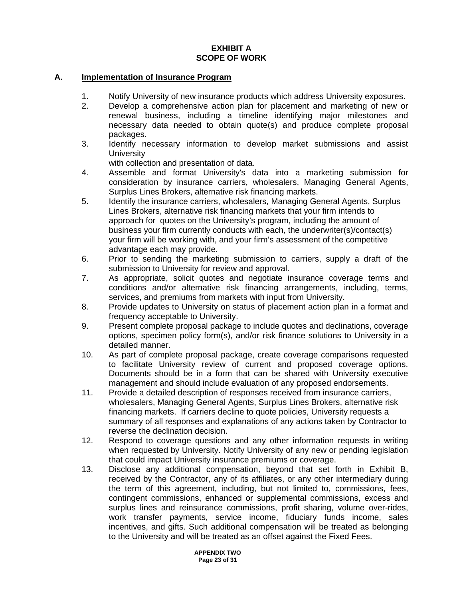## **EXHIBIT A SCOPE OF WORK**

### **A. Implementation of Insurance Program**

- 1. Notify University of new insurance products which address University exposures.
- 2. Develop a comprehensive action plan for placement and marketing of new or renewal business, including a timeline identifying major milestones and necessary data needed to obtain quote(s) and produce complete proposal packages.
- 3. Identify necessary information to develop market submissions and assist **University** 
	- with collection and presentation of data.
- 4. Assemble and format University's data into a marketing submission for consideration by insurance carriers, wholesalers, Managing General Agents, Surplus Lines Brokers, alternative risk financing markets.
- 5. Identify the insurance carriers, wholesalers, Managing General Agents, Surplus Lines Brokers, alternative risk financing markets that your firm intends to approach for quotes on the University's program, including the amount of business your firm currently conducts with each, the underwriter(s)/contact(s) your firm will be working with, and your firm's assessment of the competitive advantage each may provide.
- 6. Prior to sending the marketing submission to carriers, supply a draft of the submission to University for review and approval.
- 7. As appropriate, solicit quotes and negotiate insurance coverage terms and conditions and/or alternative risk financing arrangements, including, terms, services, and premiums from markets with input from University.
- 8. Provide updates to University on status of placement action plan in a format and frequency acceptable to University.
- 9. Present complete proposal package to include quotes and declinations, coverage options, specimen policy form(s), and/or risk finance solutions to University in a detailed manner.
- 10. As part of complete proposal package, create coverage comparisons requested to facilitate University review of current and proposed coverage options. Documents should be in a form that can be shared with University executive management and should include evaluation of any proposed endorsements.
- 11. Provide a detailed description of responses received from insurance carriers, wholesalers, Managing General Agents, Surplus Lines Brokers, alternative risk financing markets. If carriers decline to quote policies, University requests a summary of all responses and explanations of any actions taken by Contractor to reverse the declination decision.
- 12. Respond to coverage questions and any other information requests in writing when requested by University. Notify University of any new or pending legislation that could impact University insurance premiums or coverage.
- 13. Disclose any additional compensation, beyond that set forth in Exhibit B, received by the Contractor, any of its affiliates, or any other intermediary during the term of this agreement, including, but not limited to, commissions, fees, contingent commissions, enhanced or supplemental commissions, excess and surplus lines and reinsurance commissions, profit sharing, volume over-rides, work transfer payments, service income, fiduciary funds income, sales incentives, and gifts. Such additional compensation will be treated as belonging to the University and will be treated as an offset against the Fixed Fees.

 **APPENDIX TWO Page 23 of 31**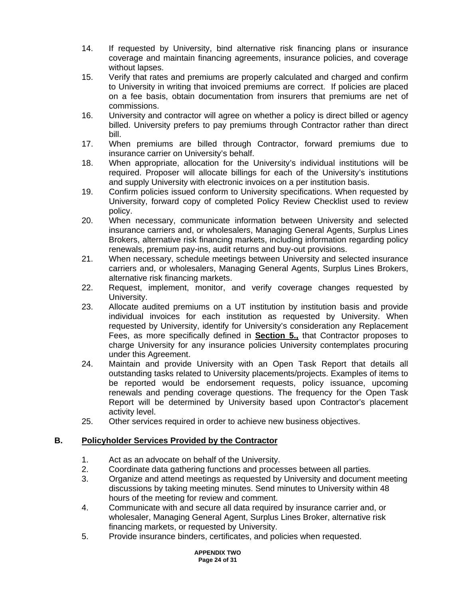- 14. If requested by University, bind alternative risk financing plans or insurance coverage and maintain financing agreements, insurance policies, and coverage without lapses.
- 15. Verify that rates and premiums are properly calculated and charged and confirm to University in writing that invoiced premiums are correct. If policies are placed on a fee basis, obtain documentation from insurers that premiums are net of commissions.
- 16. University and contractor will agree on whether a policy is direct billed or agency billed. University prefers to pay premiums through Contractor rather than direct bill.
- 17. When premiums are billed through Contractor, forward premiums due to insurance carrier on University's behalf.
- 18. When appropriate, allocation for the University's individual institutions will be required. Proposer will allocate billings for each of the University's institutions and supply University with electronic invoices on a per institution basis.
- 19. Confirm policies issued conform to University specifications. When requested by University, forward copy of completed Policy Review Checklist used to review policy.
- 20. When necessary, communicate information between University and selected insurance carriers and, or wholesalers, Managing General Agents, Surplus Lines Brokers, alternative risk financing markets, including information regarding policy renewals, premium pay-ins, audit returns and buy-out provisions.
- 21. When necessary, schedule meetings between University and selected insurance carriers and, or wholesalers, Managing General Agents, Surplus Lines Brokers, alternative risk financing markets.
- 22. Request, implement, monitor, and verify coverage changes requested by University.
- 23. Allocate audited premiums on a UT institution by institution basis and provide individual invoices for each institution as requested by University. When requested by University, identify for University's consideration any Replacement Fees, as more specifically defined in **Section 5.,** that Contractor proposes to charge University for any insurance policies University contemplates procuring under this Agreement.
- 24. Maintain and provide University with an Open Task Report that details all outstanding tasks related to University placements/projects. Examples of items to be reported would be endorsement requests, policy issuance, upcoming renewals and pending coverage questions. The frequency for the Open Task Report will be determined by University based upon Contractor's placement activity level.
- 25. Other services required in order to achieve new business objectives.

# **B. Policyholder Services Provided by the Contractor**

- 1. Act as an advocate on behalf of the University.
- 2. Coordinate data gathering functions and processes between all parties.<br>3. Croanize and attend meetings as requested by University and documen
- 3. Organize and attend meetings as requested by University and document meeting discussions by taking meeting minutes. Send minutes to University within 48 hours of the meeting for review and comment.
- 4. Communicate with and secure all data required by insurance carrier and, or wholesaler, Managing General Agent, Surplus Lines Broker, alternative risk financing markets, or requested by University.
- 5. Provide insurance binders, certificates, and policies when requested.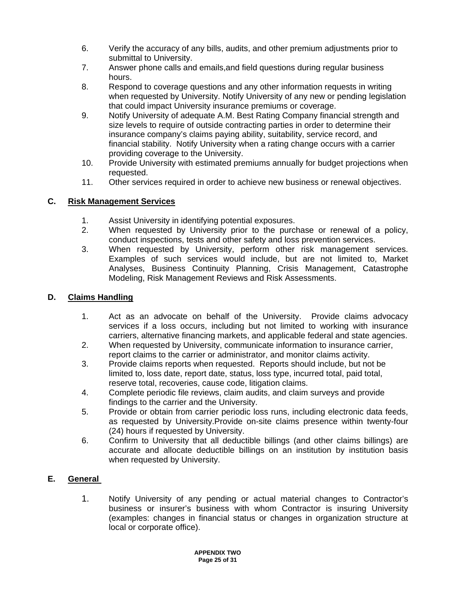- 6. Verify the accuracy of any bills, audits, and other premium adjustments prior to submittal to University.
- 7. Answer phone calls and emails,and field questions during regular business hours.
- 8. Respond to coverage questions and any other information requests in writing when requested by University. Notify University of any new or pending legislation that could impact University insurance premiums or coverage.
- 9. Notify University of adequate A.M. Best Rating Company financial strength and size levels to require of outside contracting parties in order to determine their insurance company's claims paying ability, suitability, service record, and financial stability. Notify University when a rating change occurs with a carrier providing coverage to the University.
- 10. Provide University with estimated premiums annually for budget projections when requested.
- 11. Other services required in order to achieve new business or renewal objectives.

# **C. Risk Management Services**

- 1. Assist University in identifying potential exposures.
- 2. When requested by University prior to the purchase or renewal of a policy, conduct inspections, tests and other safety and loss prevention services.
- 3. When requested by University, perform other risk management services. Examples of such services would include, but are not limited to, Market Analyses, Business Continuity Planning, Crisis Management, Catastrophe Modeling, Risk Management Reviews and Risk Assessments.

# **D. Claims Handling**

- 1. Act as an advocate on behalf of the University.Provide claims advocacy services if a loss occurs, including but not limited to working with insurance carriers, alternative financing markets, and applicable federal and state agencies.
- 2. When requested by University, communicate information to insurance carrier, report claims to the carrier or administrator, and monitor claims activity.
- 3. Provide claims reports when requested. Reports should include, but not be limited to, loss date, report date, status, loss type, incurred total, paid total, reserve total, recoveries, cause code, litigation claims.
- 4. Complete periodic file reviews, claim audits, and claim surveys and provide findings to the carrier and the University.
- 5. Provide or obtain from carrier periodic loss runs, including electronic data feeds, as requested by University.Provide on-site claims presence within twenty-four (24) hours if requested by University.
- 6. Confirm to University that all deductible billings (and other claims billings) are accurate and allocate deductible billings on an institution by institution basis when requested by University.

# **E. General**

1. Notify University of any pending or actual material changes to Contractor's business or insurer's business with whom Contractor is insuring University (examples: changes in financial status or changes in organization structure at local or corporate office).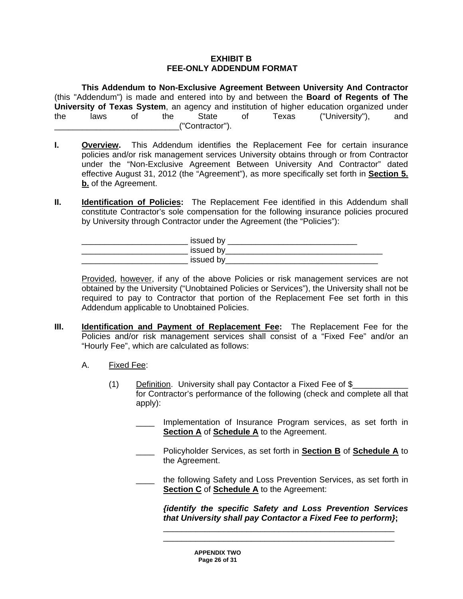## **EXHIBIT B FEE-ONLY ADDENDUM FORMAT**

**This Addendum to Non-Exclusive Agreement Between University And Contractor** (this "Addendum") is made and entered into by and between the **Board of Regents of The University of Texas System**, an agency and institution of higher education organized under<br>the laws of the State of Texas ("University"), and ("University"), and \_\_\_\_\_\_\_\_\_\_\_\_\_\_\_\_\_\_\_\_\_\_\_\_\_\_\_("Contractor").

- **I. Overview.** This Addendum identifies the Replacement Fee for certain insurance policies and/or risk management services University obtains through or from Contractor under the "Non-Exclusive Agreement Between University And Contractor" dated effective August 31, 2012 (the "Agreement"), as more specifically set forth in **Section 5. b.** of the Agreement.
- **II. Identification of Policies:** The Replacement Fee identified in this Addendum shall constitute Contractor's sole compensation for the following insurance policies procured by University through Contractor under the Agreement (the "Policies"):

| issued by |  |
|-----------|--|
| issued by |  |
| issued by |  |

Provided, however, if any of the above Policies or risk management services are not obtained by the University ("Unobtained Policies or Services"), the University shall not be required to pay to Contractor that portion of the Replacement Fee set forth in this Addendum applicable to Unobtained Policies.

- **III. Identification and Payment of Replacement Fee:** The Replacement Fee for the Policies and/or risk management services shall consist of a "Fixed Fee" and/or an "Hourly Fee", which are calculated as follows:
	- A. Fixed Fee:
		- (1) Definition. University shall pay Contactor a Fixed Fee of \$\_\_\_\_\_\_\_\_\_\_\_\_ for Contractor's performance of the following (check and complete all that apply):
			- Implementation of Insurance Program services, as set forth in **Section A** of **Schedule A** to the Agreement.
			- \_\_\_\_ Policyholder Services, as set forth in **Section B** of **Schedule A** to the Agreement.
			- the following Safety and Loss Prevention Services, as set forth in **Section C** of **Schedule A** to the Agreement:

*{identify the specific Safety and Loss Prevention Services that University shall pay Contactor a Fixed Fee to perform}***;**

\_\_\_\_\_\_\_\_\_\_\_\_\_\_\_\_\_\_\_\_\_\_\_\_\_\_\_\_\_\_\_\_\_\_\_\_\_\_\_\_\_\_\_\_\_\_\_\_\_\_ \_\_\_\_\_\_\_\_\_\_\_\_\_\_\_\_\_\_\_\_\_\_\_\_\_\_\_\_\_\_\_\_\_\_\_\_\_\_\_\_\_\_\_\_\_\_\_\_\_\_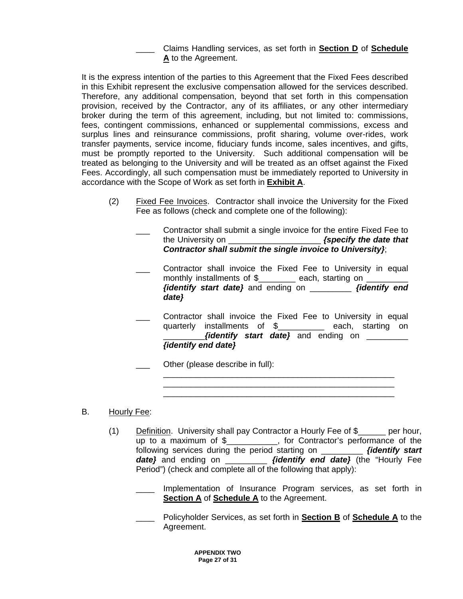\_\_\_\_ Claims Handling services, as set forth in **Section D** of **Schedule A** to the Agreement.

It is the express intention of the parties to this Agreement that the Fixed Fees described in this Exhibit represent the exclusive compensation allowed for the services described. Therefore, any additional compensation, beyond that set forth in this compensation provision, received by the Contractor, any of its affiliates, or any other intermediary broker during the term of this agreement, including, but not limited to: commissions, fees, contingent commissions, enhanced or supplemental commissions, excess and surplus lines and reinsurance commissions, profit sharing, volume over-rides, work transfer payments, service income, fiduciary funds income, sales incentives, and gifts, must be promptly reported to the University. Such additional compensation will be treated as belonging to the University and will be treated as an offset against the Fixed Fees. Accordingly, all such compensation must be immediately reported to University in accordance with the Scope of Work as set forth in **Exhibit A**.

- (2) Fixed Fee Invoices. Contractor shall invoice the University for the Fixed Fee as follows (check and complete one of the following):
	- Contractor shall submit a single invoice for the entire Fixed Fee to the University on \_\_\_\_\_\_\_\_\_\_\_\_\_\_\_\_\_\_\_\_ *{specify the date that Contractor shall submit the single invoice to University}*;
	- Contractor shall invoice the Fixed Fee to University in equal monthly installments of \$\_\_\_\_\_\_\_\_\_ each, starting on \_ *{identify start date}* and ending on \_\_\_\_\_\_\_\_\_ *{identify end date}*
	- Contractor shall invoice the Fixed Fee to University in equal quarterly installments of \$\_\_\_\_\_\_\_\_\_\_ each, starting on \_\_\_\_\_\_\_\_\_*{identify start date}* and ending on \_\_\_\_\_\_\_\_\_ *{identify end date}*

\_\_\_\_\_\_\_\_\_\_\_\_\_\_\_\_\_\_\_\_\_\_\_\_\_\_\_\_\_\_\_\_\_\_\_\_\_\_\_\_\_\_\_\_\_\_\_\_\_\_ \_\_\_\_\_\_\_\_\_\_\_\_\_\_\_\_\_\_\_\_\_\_\_\_\_\_\_\_\_\_\_\_\_\_\_\_\_\_\_\_\_\_\_\_\_\_\_\_\_\_ \_\_\_\_\_\_\_\_\_\_\_\_\_\_\_\_\_\_\_\_\_\_\_\_\_\_\_\_\_\_\_\_\_\_\_\_\_\_\_\_\_\_\_\_\_\_\_\_\_\_

- Other (please describe in full):
- B. Hourly Fee:
	- (1) Definition. University shall pay Contractor a Hourly Fee of \$\_\_\_\_\_\_ per hour, up to a maximum of \$\_\_\_\_\_\_\_\_\_\_\_, for Contractor's performance of the following services during the period starting on \_\_\_\_\_\_\_\_\_ *{identify start date}* and ending on \_\_\_\_\_\_\_\_\_ *{identify end date}* (the "Hourly Fee Period") (check and complete all of the following that apply):

Implementation of Insurance Program services, as set forth in **Section A** of **Schedule A** to the Agreement.

\_\_\_\_ Policyholder Services, as set forth in **Section B** of **Schedule A** to the Agreement.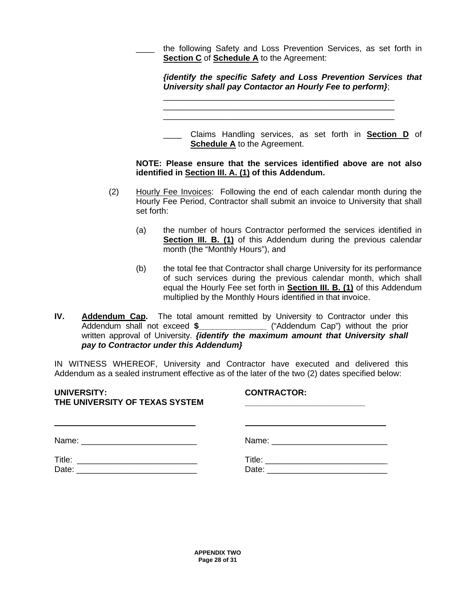the following Safety and Loss Prevention Services, as set forth in **Section C** of **Schedule A** to the Agreement:

*{identify the specific Safety and Loss Prevention Services that University shall pay Contactor an Hourly Fee to perform}*;

| _________________ |  |  |
|-------------------|--|--|
|                   |  |  |
|                   |  |  |
|                   |  |  |
|                   |  |  |

\_\_\_\_ Claims Handling services, as set forth in **Section D** of **Schedule A** to the Agreement.

# **NOTE: Please ensure that the services identified above are not also identified in Section III. A. (1) of this Addendum.**

- (2) Hourly Fee Invoices: Following the end of each calendar month during the Hourly Fee Period, Contractor shall submit an invoice to University that shall set forth:
	- (a) the number of hours Contractor performed the services identified in **Section III. B. (1)** of this Addendum during the previous calendar month (the "Monthly Hours"), and
	- (b) the total fee that Contractor shall charge University for its performance of such services during the previous calendar month, which shall equal the Hourly Fee set forth in **Section III. B. (1)** of this Addendum multiplied by the Monthly Hours identified in that invoice.
- **IV. Addendum Cap.** The total amount remitted by University to Contractor under this Addendum shall not exceed **\$\_\_\_\_\_\_\_\_\_\_\_\_\_\_\_** ("Addendum Cap") without the prior written approval of University. *{identify the maximum amount that University shall pay to Contractor under this Addendum}*

IN WITNESS WHEREOF, University and Contractor have executed and delivered this Addendum as a sealed instrument effective as of the later of the two (2) dates specified below:

| <b>UNIVERSITY:</b><br>THE UNIVERSITY OF TEXAS SYSTEM                                                                                                                                                                                                                   | <b>CONTRACTOR:</b> |  |
|------------------------------------------------------------------------------------------------------------------------------------------------------------------------------------------------------------------------------------------------------------------------|--------------------|--|
| the control of the control of the control of the control of the control of the control of the control of the control of the control of the control of the control of the control of the control of the control of the control<br>Name: _______________________________ |                    |  |
| Title: __________________________________                                                                                                                                                                                                                              |                    |  |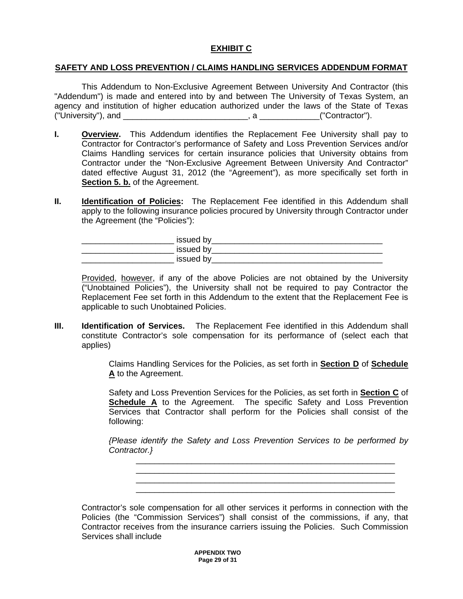# **EXHIBIT C**

# **SAFETY AND LOSS PREVENTION / CLAIMS HANDLING SERVICES ADDENDUM FORMAT**

This Addendum to Non-Exclusive Agreement Between University And Contractor (this "Addendum") is made and entered into by and between The University of Texas System, an agency and institution of higher education authorized under the laws of the State of Texas ("University"), and \_\_\_\_\_\_\_\_\_\_\_\_\_\_\_\_\_\_\_\_\_\_\_\_\_\_\_, a \_\_\_\_\_\_\_\_\_\_\_\_\_("Contractor").

- **I. Overview.** This Addendum identifies the Replacement Fee University shall pay to Contractor for Contractor's performance of Safety and Loss Prevention Services and/or Claims Handling services for certain insurance policies that University obtains from Contractor under the "Non-Exclusive Agreement Between University And Contractor" dated effective August 31, 2012 (the "Agreement"), as more specifically set forth in **Section 5. b.** of the Agreement.
- **II. Identification of Policies:** The Replacement Fee identified in this Addendum shall apply to the following insurance policies procured by University through Contractor under the Agreement (the "Policies"):

| issued |  |
|--------|--|
| issued |  |
| issued |  |

Provided, however, if any of the above Policies are not obtained by the University ("Unobtained Policies"), the University shall not be required to pay Contractor the Replacement Fee set forth in this Addendum to the extent that the Replacement Fee is applicable to such Unobtained Policies.

**III. Identification of Services.** The Replacement Fee identified in this Addendum shall constitute Contractor's sole compensation for its performance of (select each that applies)

> Claims Handling Services for the Policies, as set forth in **Section D** of **Schedule A** to the Agreement.

> Safety and Loss Prevention Services for the Policies, as set forth in **Section C** of **Schedule A** to the Agreement. The specific Safety and Loss Prevention Services that Contractor shall perform for the Policies shall consist of the following:

> *{Please identify the Safety and Loss Prevention Services to be performed by Contractor.}*

\_\_\_\_\_\_\_\_\_\_\_\_\_\_\_\_\_\_\_\_\_\_\_\_\_\_\_\_\_\_\_\_\_\_\_\_\_\_\_\_\_\_\_\_\_\_\_\_\_\_\_\_\_\_\_\_ \_\_\_\_\_\_\_\_\_\_\_\_\_\_\_\_\_\_\_\_\_\_\_\_\_\_\_\_\_\_\_\_\_\_\_\_\_\_\_\_\_\_\_\_\_\_\_\_\_\_\_\_\_\_\_\_

\_\_\_\_\_\_\_\_\_\_\_\_\_\_\_\_\_\_\_\_\_\_\_\_\_\_\_\_\_\_\_\_\_\_\_\_\_\_\_\_\_\_\_\_\_\_\_\_\_\_\_\_\_\_\_\_

Contractor's sole compensation for all other services it performs in connection with the Policies (the "Commission Services") shall consist of the commissions, if any, that Contractor receives from the insurance carriers issuing the Policies. Such Commission Services shall include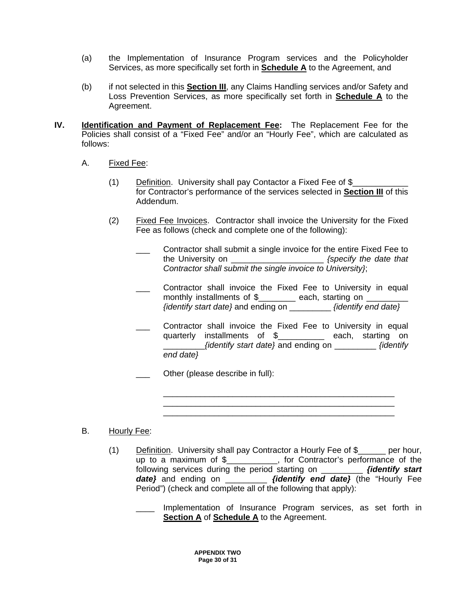- (a) the Implementation of Insurance Program services and the Policyholder Services, as more specifically set forth in **Schedule A** to the Agreement, and
- (b) if not selected in this **Section III**, any Claims Handling services and/or Safety and Loss Prevention Services, as more specifically set forth in **Schedule A** to the Agreement.
- **IV. Identification and Payment of Replacement Fee:** The Replacement Fee for the Policies shall consist of a "Fixed Fee" and/or an "Hourly Fee", which are calculated as follows:
	- A. Fixed Fee:
		- (1) Definition. University shall pay Contactor a Fixed Fee of \$ for Contractor's performance of the services selected in **Section III** of this Addendum.
		- (2) Fixed Fee Invoices. Contractor shall invoice the University for the Fixed Fee as follows (check and complete one of the following):
			- Contractor shall submit a single invoice for the entire Fixed Fee to the University on \_\_\_\_\_\_\_\_\_\_\_\_\_\_\_\_\_\_\_\_ *{specify the date that Contractor shall submit the single invoice to University}*;
			- Contractor shall invoice the Fixed Fee to University in equal monthly installments of \$\_\_\_\_\_\_\_\_ each, starting on \_\_\_\_\_\_\_\_\_ *{identify start date}* and ending on \_\_\_\_\_\_\_\_\_ *{identify end date}*
			- Contractor shall invoice the Fixed Fee to University in equal quarterly installments of \$\_\_\_\_\_\_\_\_\_\_ each, starting on \_\_\_\_\_\_\_\_\_*{identify start date}* and ending on \_\_\_\_\_\_\_\_\_ *{identify end date}*

\_\_\_\_\_\_\_\_\_\_\_\_\_\_\_\_\_\_\_\_\_\_\_\_\_\_\_\_\_\_\_\_\_\_\_\_\_\_\_\_\_\_\_\_\_\_\_\_\_\_ \_\_\_\_\_\_\_\_\_\_\_\_\_\_\_\_\_\_\_\_\_\_\_\_\_\_\_\_\_\_\_\_\_\_\_\_\_\_\_\_\_\_\_\_\_\_\_\_\_\_ \_\_\_\_\_\_\_\_\_\_\_\_\_\_\_\_\_\_\_\_\_\_\_\_\_\_\_\_\_\_\_\_\_\_\_\_\_\_\_\_\_\_\_\_\_\_\_\_\_\_

- Other (please describe in full):
- B. Hourly Fee:
	- (1) Definition. University shall pay Contractor a Hourly Fee of \$\_\_\_\_\_\_ per hour, up to a maximum of \$\_\_\_\_\_\_\_\_\_\_\_, for Contractor's performance of the following services during the period starting on \_\_\_\_\_\_\_\_\_ *{identify start date}* and ending on \_\_\_\_\_\_\_\_\_ *{identify end date}* (the "Hourly Fee Period") (check and complete all of the following that apply):

Implementation of Insurance Program services, as set forth in **Section A** of **Schedule A** to the Agreement.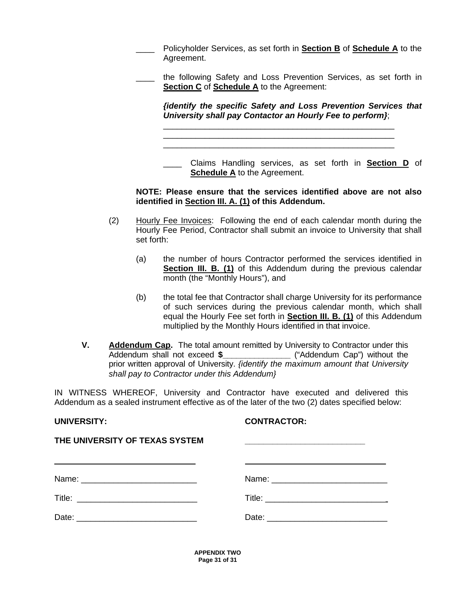\_\_\_\_ Policyholder Services, as set forth in **Section B** of **Schedule A** to the Agreement.

the following Safety and Loss Prevention Services, as set forth in **Section C** of **Schedule A** to the Agreement:

*{identify the specific Safety and Loss Prevention Services that University shall pay Contactor an Hourly Fee to perform}*;

\_\_\_\_ Claims Handling services, as set forth in **Section D** of **Schedule A** to the Agreement.

# **NOTE: Please ensure that the services identified above are not also identified in Section III. A. (1) of this Addendum.**

\_\_\_\_\_\_\_\_\_\_\_\_\_\_\_\_\_\_\_\_\_\_\_\_\_\_\_\_\_\_\_\_\_\_\_\_\_\_\_\_\_\_\_\_\_\_\_\_\_\_ \_\_\_\_\_\_\_\_\_\_\_\_\_\_\_\_\_\_\_\_\_\_\_\_\_\_\_\_\_\_\_\_\_\_\_\_\_\_\_\_\_\_\_\_\_\_\_\_\_\_ \_\_\_\_\_\_\_\_\_\_\_\_\_\_\_\_\_\_\_\_\_\_\_\_\_\_\_\_\_\_\_\_\_\_\_\_\_\_\_\_\_\_\_\_\_\_\_\_\_\_

- (2) Hourly Fee Invoices: Following the end of each calendar month during the Hourly Fee Period, Contractor shall submit an invoice to University that shall set forth:
	- (a) the number of hours Contractor performed the services identified in **Section III. B. (1)** of this Addendum during the previous calendar month (the "Monthly Hours"), and
	- (b) the total fee that Contractor shall charge University for its performance of such services during the previous calendar month, which shall equal the Hourly Fee set forth in **Section III. B. (1)** of this Addendum multiplied by the Monthly Hours identified in that invoice.
- **V. Addendum Cap.** The total amount remitted by University to Contractor under this Addendum shall not exceed **\$\_\_\_\_\_\_\_\_\_\_\_\_\_\_\_** ("Addendum Cap") without the prior written approval of University. *{identify the maximum amount that University shall pay to Contractor under this Addendum}*

IN WITNESS WHEREOF, University and Contractor have executed and delivered this Addendum as a sealed instrument effective as of the later of the two (2) dates specified below:

# **UNIVERSITY: CONTRACTOR:**

| THE UNIVERSITY OF TEXAS SYSTEM |  |
|--------------------------------|--|
|                                |  |
|                                |  |
|                                |  |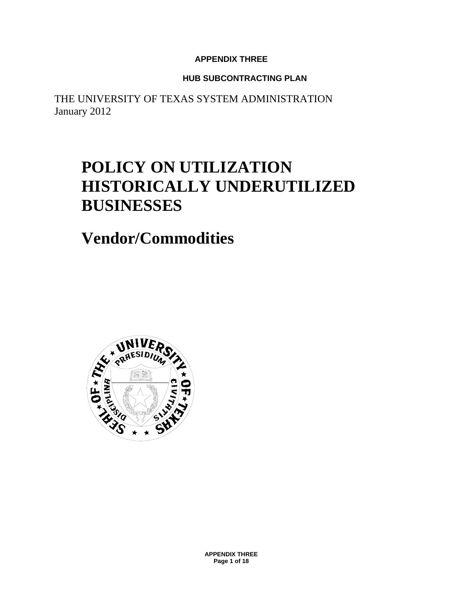# **APPENDIX THREE**

# **HUB SUBCONTRACTING PLAN**

THE UNIVERSITY OF TEXAS SYSTEM ADMINISTRATION January 2012

# **POLICY ON UTILIZATION HISTORICALLY UNDERUTILIZED BUSINESSES**

# **Vendor/Commodities**

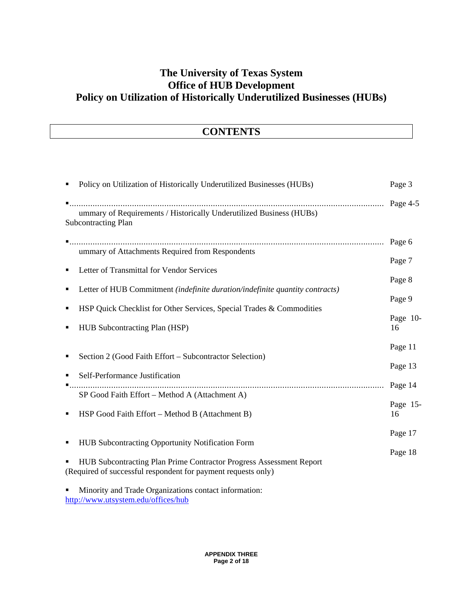# **The University of Texas System Office of HUB Development Policy on Utilization of Historically Underutilized Businesses (HUBs)**

|                            | Policy on Utilization of Historically Underutilized Businesses (HUBs)                                                                                                                                                                              | Page 3                             |
|----------------------------|----------------------------------------------------------------------------------------------------------------------------------------------------------------------------------------------------------------------------------------------------|------------------------------------|
| <b>Subcontracting Plan</b> | ummary of Requirements / Historically Underutilized Business (HUBs)                                                                                                                                                                                |                                    |
|                            | ummary of Attachments Required from Respondents<br>Letter of Transmittal for Vendor Services                                                                                                                                                       | Page 6<br>Page 7                   |
| п<br>٠                     | Letter of HUB Commitment (indefinite duration/indefinite quantity contracts)<br>HSP Quick Checklist for Other Services, Special Trades & Commodities<br>HUB Subcontracting Plan (HSP)                                                              | Page 8<br>Page 9<br>Page 10-<br>16 |
|                            | Section 2 (Good Faith Effort – Subcontractor Selection)<br>Self-Performance Justification<br>SP Good Faith Effort – Method A (Attachment A)                                                                                                        | Page 11<br>Page 13<br>Page 15-     |
|                            | HSP Good Faith Effort - Method B (Attachment B)<br><b>HUB Subcontracting Opportunity Notification Form</b><br>HUB Subcontracting Plan Prime Contractor Progress Assessment Report<br>(Required of successful respondent for payment requests only) | 16<br>Page 17<br>Page 18           |

 Minority and Trade Organizations contact information: <http://www.utsystem.edu/offices/hub>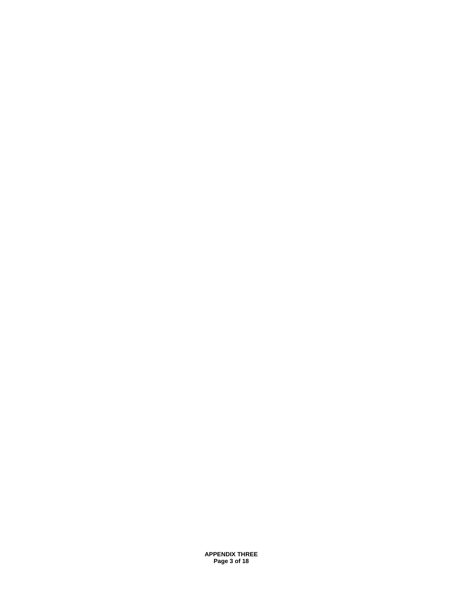**APPENDIX THREE Page 3 of 18**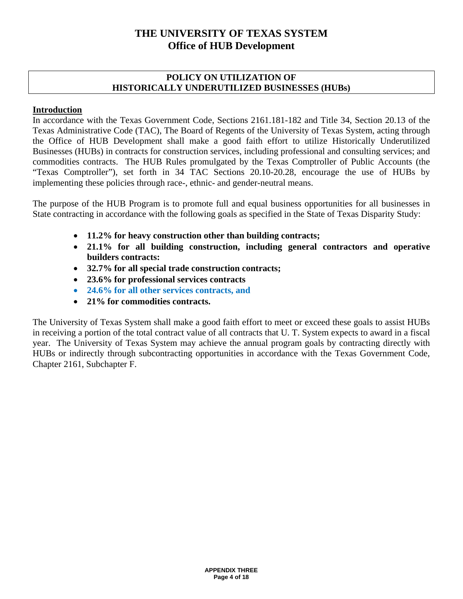# **THE UNIVERSITY OF TEXAS SYSTEM Office of HUB Development**

# **POLICY ON UTILIZATION OF HISTORICALLY UNDERUTILIZED BUSINESSES (HUBs)**

# **Introduction**

In accordance with the Texas Government Code, Sections 2161.181-182 and Title 34, Section 20.13 of the Texas Administrative Code (TAC), The Board of Regents of the University of Texas System, acting through the Office of HUB Development shall make a good faith effort to utilize Historically Underutilized Businesses (HUBs) in contracts for construction services, including professional and consulting services; and commodities contracts. The HUB Rules promulgated by the Texas Comptroller of Public Accounts (the "Texas Comptroller"), set forth in 34 TAC Sections 20.10-20.28, encourage the use of HUBs by implementing these policies through race-, ethnic- and gender-neutral means.

The purpose of the HUB Program is to promote full and equal business opportunities for all businesses in State contracting in accordance with the following goals as specified in the State of Texas Disparity Study:

- **11.2% for heavy construction other than building contracts;**
- **21.1% for all building construction, including general contractors and operative builders contracts:**
- **32.7% for all special trade construction contracts;**
- **23.6% for professional services contracts**
- **24.6% for all other services contracts, and**
- **21% for commodities contracts.**

The University of Texas System shall make a good faith effort to meet or exceed these goals to assist HUBs in receiving a portion of the total contract value of all contracts that U. T. System expects to award in a fiscal year. The University of Texas System may achieve the annual program goals by contracting directly with HUBs or indirectly through subcontracting opportunities in accordance with the Texas Government Code, Chapter 2161, Subchapter F.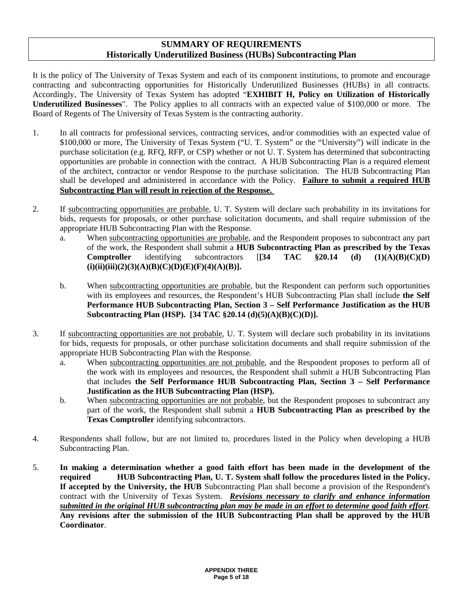# **SUMMARY OF REQUIREMENTS Historically Underutilized Business (HUBs) Subcontracting Plan**

It is the policy of The University of Texas System and each of its component institutions, to promote and encourage contracting and subcontracting opportunities for Historically Underutilized Businesses (HUBs) in all contracts. Accordingly, The University of Texas System has adopted "**EXHIBIT H, Policy on Utilization of Historically Underutilized Businesses**". The Policy applies to all contracts with an expected value of \$100,000 or more. The Board of Regents of The University of Texas System is the contracting authority.

- 1. In all contracts for professional services, contracting services, and/or commodities with an expected value of \$100,000 or more, The University of Texas System ("U. T. System" or the "University") will indicate in the purchase solicitation (e.g. RFQ, RFP, or CSP) whether or not U. T. System has determined that subcontracting opportunities are probable in connection with the contract. A HUB Subcontracting Plan is a required element of the architect, contractor or vendor Response to the purchase solicitation. The HUB Subcontracting Plan shall be developed and administered in accordance with the Policy. **Failure to submit a required HUB Subcontracting Plan will result in rejection of the Response.**
- 2. If subcontracting opportunities are probable, U. T. System will declare such probability in its invitations for bids, requests for proposals, or other purchase solicitation documents, and shall require submission of the appropriate HUB Subcontracting Plan with the Response.
	- a. When subcontracting opportunities are probable, and the Respondent proposes to subcontract any part of the work, the Respondent shall submit a **HUB Subcontracting Plan as prescribed by the Texas Comptroller** identifying subcontractors [**[34 TAC §20.14 (d) (1)(A)(B)(C)(D)**   $(i)(ii)(iii)(2)(3)(A)(B)(C)(D)(E)(F)(4)(A)(B)].$
	- b. When subcontracting opportunities are probable, but the Respondent can perform such opportunities with its employees and resources, the Respondent's HUB Subcontracting Plan shall include **the Self Performance HUB Subcontracting Plan, Section 3 – Self Performance Justification as the HUB Subcontracting Plan (HSP). [34 TAC §20.14 (d)(5)(A)(B)(C)(D)].**
- 3. If subcontracting opportunities are not probable, U. T. System will declare such probability in its invitations for bids, requests for proposals, or other purchase solicitation documents and shall require submission of the appropriate HUB Subcontracting Plan with the Response.
	- a. When subcontracting opportunities are not probable, and the Respondent proposes to perform all of the work with its employees and resources, the Respondent shall submit a HUB Subcontracting Plan that includes **the Self Performance HUB Subcontracting Plan, Section 3 – Self Performance Justification as the HUB Subcontracting Plan (HSP).**
	- b. When subcontracting opportunities are not probable, but the Respondent proposes to subcontract any part of the work, the Respondent shall submit a **HUB Subcontracting Plan as prescribed by the Texas Comptroller** identifying subcontractors.
- 4. Respondents shall follow, but are not limited to, procedures listed in the Policy when developing a HUB Subcontracting Plan.
- 5. **In making a determination whether a good faith effort has been made in the development of the required HUB Subcontracting Plan, U. T. System shall follow the procedures listed in the Policy. If accepted by the University, the HUB** Subcontracting Plan shall become a provision of the Respondent's contract with the University of Texas System. *Revisions necessary to clarify and enhance information submitted in the original HUB subcontracting plan may be made in an effort to determine good faith effort*. **Any revisions after the submission of the HUB Subcontracting Plan shall be approved by the HUB Coordinator**.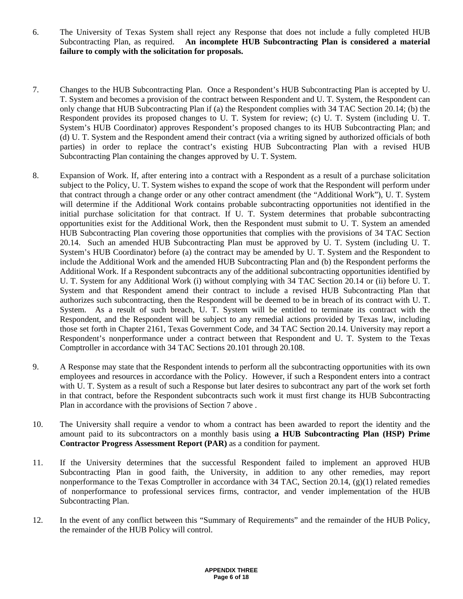- 6. The University of Texas System shall reject any Response that does not include a fully completed HUB Subcontracting Plan, as required. **An incomplete HUB Subcontracting Plan is considered a material failure to comply with the solicitation for proposals.**
- 7. Changes to the HUB Subcontracting Plan. Once a Respondent's HUB Subcontracting Plan is accepted by U. T. System and becomes a provision of the contract between Respondent and U. T. System, the Respondent can only change that HUB Subcontracting Plan if (a) the Respondent complies with 34 TAC Section 20.14; (b) the Respondent provides its proposed changes to U. T. System for review; (c) U. T. System (including U. T. System's HUB Coordinator) approves Respondent's proposed changes to its HUB Subcontracting Plan; and (d) U. T. System and the Respondent amend their contract (via a writing signed by authorized officials of both parties) in order to replace the contract's existing HUB Subcontracting Plan with a revised HUB Subcontracting Plan containing the changes approved by U. T. System.
- 8. Expansion of Work. If, after entering into a contract with a Respondent as a result of a purchase solicitation subject to the Policy, U. T. System wishes to expand the scope of work that the Respondent will perform under that contract through a change order or any other contract amendment (the "Additional Work"), U. T. System will determine if the Additional Work contains probable subcontracting opportunities not identified in the initial purchase solicitation for that contract. If U. T. System determines that probable subcontracting opportunities exist for the Additional Work, then the Respondent must submit to U. T. System an amended HUB Subcontracting Plan covering those opportunities that complies with the provisions of 34 TAC Section 20.14. Such an amended HUB Subcontracting Plan must be approved by U. T. System (including U. T. System's HUB Coordinator) before (a) the contract may be amended by U. T. System and the Respondent to include the Additional Work and the amended HUB Subcontracting Plan and (b) the Respondent performs the Additional Work. If a Respondent subcontracts any of the additional subcontracting opportunities identified by U. T. System for any Additional Work (i) without complying with 34 TAC Section 20.14 or (ii) before U. T. System and that Respondent amend their contract to include a revised HUB Subcontracting Plan that authorizes such subcontracting, then the Respondent will be deemed to be in breach of its contract with U. T. System. As a result of such breach, U. T. System will be entitled to terminate its contract with the Respondent, and the Respondent will be subject to any remedial actions provided by Texas law, including those set forth in Chapter 2161, Texas Government Code, and 34 TAC Section 20.14. University may report a Respondent's nonperformance under a contract between that Respondent and U. T. System to the Texas Comptroller in accordance with 34 TAC Sections 20.101 through 20.108.
- 9. A Response may state that the Respondent intends to perform all the subcontracting opportunities with its own employees and resources in accordance with the Policy. However, if such a Respondent enters into a contract with U. T. System as a result of such a Response but later desires to subcontract any part of the work set forth in that contract, before the Respondent subcontracts such work it must first change its HUB Subcontracting Plan in accordance with the provisions of Section 7 above .
- 10. The University shall require a vendor to whom a contract has been awarded to report the identity and the amount paid to its subcontractors on a monthly basis using **a HUB Subcontracting Plan (HSP) Prime Contractor Progress Assessment Report (PAR)** as a condition for payment.
- 11. If the University determines that the successful Respondent failed to implement an approved HUB Subcontracting Plan in good faith, the University, in addition to any other remedies, may report nonperformance to the Texas Comptroller in accordance with 34 TAC, Section 20.14, (g)(1) related remedies of nonperformance to professional services firms, contractor, and vender implementation of the HUB Subcontracting Plan.
- 12. In the event of any conflict between this "Summary of Requirements" and the remainder of the HUB Policy, the remainder of the HUB Policy will control.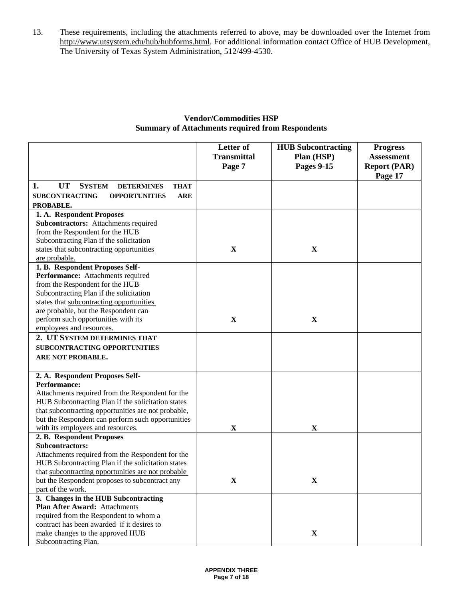13. These requirements, including the attachments referred to above, may be downloaded over the Internet from http://www.utsystem.edu/hub/hubforms.html. For additional information contact Office of HUB Development, The University of Texas System Administration, 512/499-4530.

|                                                                                                      | Letter of<br><b>Transmittal</b><br>Page 7 | <b>HUB</b> Subcontracting<br>Plan (HSP)<br><b>Pages 9-15</b> | <b>Progress</b><br><b>Assessment</b><br><b>Report (PAR)</b><br>Page 17 |
|------------------------------------------------------------------------------------------------------|-------------------------------------------|--------------------------------------------------------------|------------------------------------------------------------------------|
| <b>UT</b><br>1.<br><b>SYSTEM</b><br><b>DETERMINES</b><br><b>THAT</b>                                 |                                           |                                                              |                                                                        |
| <b>SUBCONTRACTING</b><br><b>OPPORTUNITIES</b><br><b>ARE</b>                                          |                                           |                                                              |                                                                        |
| PROBABLE.                                                                                            |                                           |                                                              |                                                                        |
| 1. A. Respondent Proposes                                                                            |                                           |                                                              |                                                                        |
| <b>Subcontractors:</b> Attachments required                                                          |                                           |                                                              |                                                                        |
| from the Respondent for the HUB                                                                      |                                           |                                                              |                                                                        |
| Subcontracting Plan if the solicitation                                                              |                                           |                                                              |                                                                        |
| states that subcontracting opportunities                                                             | $\mathbf X$                               | X                                                            |                                                                        |
| are probable.                                                                                        |                                           |                                                              |                                                                        |
| 1. B. Respondent Proposes Self-                                                                      |                                           |                                                              |                                                                        |
| Performance: Attachments required                                                                    |                                           |                                                              |                                                                        |
| from the Respondent for the HUB<br>Subcontracting Plan if the solicitation                           |                                           |                                                              |                                                                        |
| states that subcontracting opportunities                                                             |                                           |                                                              |                                                                        |
| are probable, but the Respondent can                                                                 |                                           |                                                              |                                                                        |
| perform such opportunities with its                                                                  | $\mathbf X$                               | $\mathbf X$                                                  |                                                                        |
| employees and resources.                                                                             |                                           |                                                              |                                                                        |
| 2. UT SYSTEM DETERMINES THAT                                                                         |                                           |                                                              |                                                                        |
| <b>SUBCONTRACTING OPPORTUNITIES</b>                                                                  |                                           |                                                              |                                                                        |
| ARE NOT PROBABLE.                                                                                    |                                           |                                                              |                                                                        |
|                                                                                                      |                                           |                                                              |                                                                        |
| 2. A. Respondent Proposes Self-                                                                      |                                           |                                                              |                                                                        |
| <b>Performance:</b>                                                                                  |                                           |                                                              |                                                                        |
| Attachments required from the Respondent for the                                                     |                                           |                                                              |                                                                        |
| HUB Subcontracting Plan if the solicitation states                                                   |                                           |                                                              |                                                                        |
| that subcontracting opportunities are not probable,                                                  |                                           |                                                              |                                                                        |
| but the Respondent can perform such opportunities                                                    |                                           |                                                              |                                                                        |
| with its employees and resources.                                                                    | $\mathbf X$                               | $\mathbf X$                                                  |                                                                        |
| 2. B. Respondent Proposes                                                                            |                                           |                                                              |                                                                        |
| Subcontractors:                                                                                      |                                           |                                                              |                                                                        |
| Attachments required from the Respondent for the                                                     |                                           |                                                              |                                                                        |
| HUB Subcontracting Plan if the solicitation states                                                   |                                           |                                                              |                                                                        |
| that subcontracting opportunities are not probable<br>but the Respondent proposes to subcontract any | $\mathbf X$                               | $\mathbf X$                                                  |                                                                        |
| part of the work.                                                                                    |                                           |                                                              |                                                                        |
| 3. Changes in the HUB Subcontracting                                                                 |                                           |                                                              |                                                                        |
| <b>Plan After Award: Attachments</b>                                                                 |                                           |                                                              |                                                                        |
| required from the Respondent to whom a                                                               |                                           |                                                              |                                                                        |
| contract has been awarded if it desires to                                                           |                                           |                                                              |                                                                        |
| make changes to the approved HUB                                                                     |                                           | $\mathbf X$                                                  |                                                                        |
| Subcontracting Plan.                                                                                 |                                           |                                                              |                                                                        |

## **Vendor/Commodities HSP Summary of Attachments required from Respondents**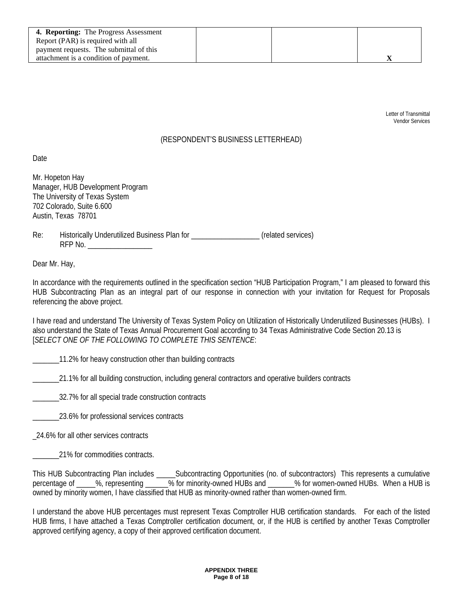Letter of Transmittal Vendor Services

# (RESPONDENT'S BUSINESS LETTERHEAD)

**Date** 

Mr. Hopeton Hay Manager, HUB Development Program The University of Texas System 702 Colorado, Suite 6.600 Austin, Texas 78701

Re: Historically Underutilized Business Plan for **Example 2018** (related services) RFP No.

Dear Mr. Hay,

In accordance with the requirements outlined in the specification section "HUB Participation Program," I am pleased to forward this HUB Subcontracting Plan as an integral part of our response in connection with your invitation for Request for Proposals referencing the above project.

I have read and understand The University of Texas System Policy on Utilization of Historically Underutilized Businesses (HUBs). I also understand the State of Texas Annual Procurement Goal according to 34 Texas Administrative Code Section 20.13 is [*SELECT ONE OF THE FOLLOWING TO COMPLETE THIS SENTENCE*:

11.2% for heavy construction other than building contracts

\_\_\_\_\_\_\_21.1% for all building construction, including general contractors and operative builders contracts

\_\_\_\_\_\_\_32.7% for all special trade construction contracts

\_\_\_\_\_\_\_23.6% for professional services contracts

\_24.6% for all other services contracts

\_\_\_\_\_\_\_21% for commodities contracts.

This HUB Subcontracting Plan includes \_\_\_\_\_Subcontracting Opportunities (no. of subcontractors) This represents a cumulative percentage of \_\_\_\_\_%, representing \_\_\_\_\_\_% for minority-owned HUBs and \_\_\_\_\_\_\_% for women-owned HUBs. When a HUB is owned by minority women, I have classified that HUB as minority-owned rather than women-owned firm.

I understand the above HUB percentages must represent Texas Comptroller HUB certification standards. For each of the listed HUB firms, I have attached a Texas Comptroller certification document, or, if the HUB is certified by another Texas Comptroller approved certifying agency, a copy of their approved certification document.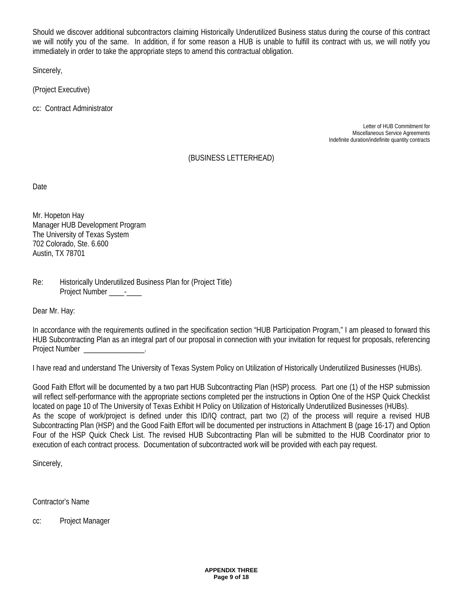Should we discover additional subcontractors claiming Historically Underutilized Business status during the course of this contract we will notify you of the same. In addition, if for some reason a HUB is unable to fulfill its contract with us, we will notify you immediately in order to take the appropriate steps to amend this contractual obligation.

Sincerely,

(Project Executive)

cc: Contract Administrator

Letter of HUB Commitment for Miscellaneous Service Agreements Indefinite duration/indefinite quantity contracts

(BUSINESS LETTERHEAD)

Date

Mr. Hopeton Hay Manager HUB Development Program The University of Texas System 702 Colorado, Ste. 6.600 Austin, TX 78701

Re: Historically Underutilized Business Plan for (Project Title) Project Number \_\_\_\_\_\_\_

Dear Mr. Hay:

In accordance with the requirements outlined in the specification section "HUB Participation Program," I am pleased to forward this HUB Subcontracting Plan as an integral part of our proposal in connection with your invitation for request for proposals, referencing Project Number

I have read and understand The University of Texas System Policy on Utilization of Historically Underutilized Businesses (HUBs).

Good Faith Effort will be documented by a two part HUB Subcontracting Plan (HSP) process. Part one (1) of the HSP submission will reflect self-performance with the appropriate sections completed per the instructions in Option One of the HSP Quick Checklist located on page 10 of The University of Texas Exhibit H Policy on Utilization of Historically Underutilized Businesses (HUBs). As the scope of work/project is defined under this ID/IQ contract, part two (2) of the process will require a revised HUB Subcontracting Plan (HSP) and the Good Faith Effort will be documented per instructions in Attachment B (page 16-17) and Option Four of the HSP Quick Check List. The revised HUB Subcontracting Plan will be submitted to the HUB Coordinator prior to execution of each contract process. Documentation of subcontracted work will be provided with each pay request.

Sincerely,

Contractor's Name

cc: Project Manager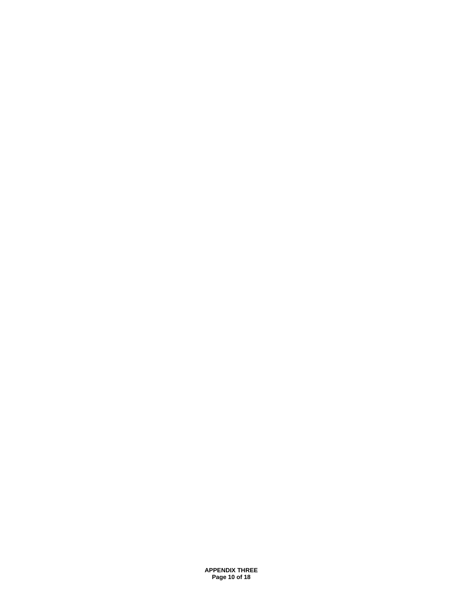**APPENDIX THREE Page 10 of 18**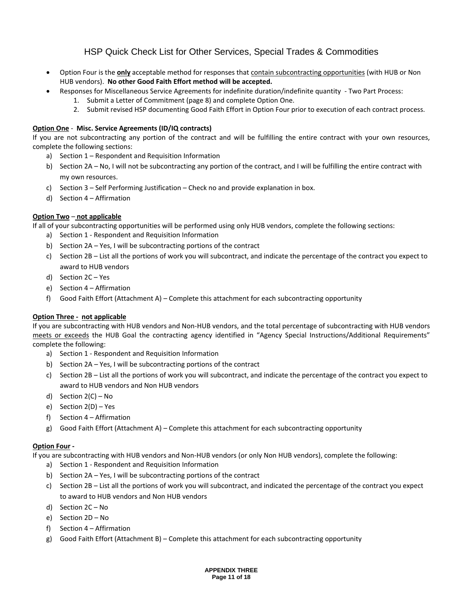# HSP Quick Check List for Other Services, Special Trades & Commodities

- Option Four is the **only** acceptable method for responses that contain subcontracting opportunities (with HUB or Non HUB vendors). **No other Good Faith Effort method will be accepted.**
- Responses for Miscellaneous Service Agreements for indefinite duration/indefinite quantity Two Part Process:
	- 1. Submit a Letter of Commitment (page 8) and complete Option One.
	- 2. Submit revised HSP documenting Good Faith Effort in Option Four prior to execution of each contract process.

### **Option One** - **Misc. Service Agreements (ID/IQ contracts)**

If you are not subcontracting any portion of the contract and will be fulfilling the entire contract with your own resources, complete the following sections:

- a) Section 1 Respondent and Requisition Information
- b) Section 2A No, I will not be subcontracting any portion of the contract, and I will be fulfilling the entire contract with my own resources.
- c) Section 3 Self Performing Justification Check no and provide explanation in box.
- d) Section 4 Affirmation

### **Option Two** – **not applicable**

If all of your subcontracting opportunities will be performed using only HUB vendors, complete the following sections:

- a) Section 1 Respondent and Requisition Information
- b) Section 2A Yes, I will be subcontracting portions of the contract
- c) Section 2B List all the portions of work you will subcontract, and indicate the percentage of the contract you expect to award to HUB vendors
- d) Section 2C Yes
- e) Section 4 Affirmation
- f) Good Faith Effort (Attachment A) Complete this attachment for each subcontracting opportunity

### **Option Three - not applicable**

If you are subcontracting with HUB vendors and Non-HUB vendors, and the total percentage of subcontracting with HUB vendors meets or exceeds the HUB Goal the contracting agency identified in "Agency Special Instructions/Additional Requirements" complete the following:

- a) Section 1 Respondent and Requisition Information
- b) Section 2A Yes, I will be subcontracting portions of the contract
- c) Section 2B List all the portions of work you will subcontract, and indicate the percentage of the contract you expect to award to HUB vendors and Non HUB vendors
- d) Section 2(C) No
- e) Section 2(D) Yes
- f) Section 4 Affirmation
- g) Good Faith Effort (Attachment A) Complete this attachment for each subcontracting opportunity

### **Option Four -**

If you are subcontracting with HUB vendors and Non-HUB vendors (or only Non HUB vendors), complete the following:

- a) Section 1 Respondent and Requisition Information
- b) Section 2A Yes, I will be subcontracting portions of the contract
- c) Section 2B List all the portions of work you will subcontract, and indicated the percentage of the contract you expect to award to HUB vendors and Non HUB vendors
- d) Section 2C No
- e) Section 2D No
- f) Section 4 Affirmation
- g) Good Faith Effort (Attachment B) Complete this attachment for each subcontracting opportunity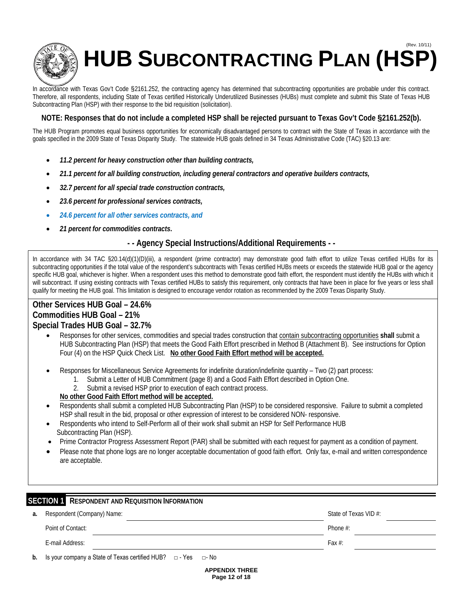

In accordance with Texas Gov't Code §2161.252, the contracting agency has determined that subcontracting opportunities are probable under this contract. Therefore, all respondents, including State of Texas certified Historically Underutilized Businesses (HUBs) must complete and submit this State of Texas HUB Subcontracting Plan (HSP) with their response to the bid requisition (solicitation).

#### **NOTE: Responses that do not include a completed HSP shall be rejected pursuant to Texas Gov't Code §2161.252(b).**

The HUB Program promotes equal business opportunities for economically disadvantaged persons to contract with the State of Texas in accordance with the goals specified in the 2009 State of Texas Disparity Study. The statewide HUB goals defined in 34 Texas Administrative Code (TAC) §20.13 are:

- *11.2 percent for heavy construction other than building contracts,*
- *21.1 percent for all building construction, including general contractors and operative builders contracts,*
- *32.7 percent for all special trade construction contracts,*
- *23.6 percent for professional services contracts,*
- *24.6 percent for all other services contracts, and*
- *21 percent for commodities contracts***.**

# **- - Agency Special Instructions/Additional Requirements - -**

In accordance with 34 TAC §20.14(d)(1)(D)(iii), a respondent (prime contractor) may demonstrate good faith effort to utilize Texas certified HUBs for its subcontracting opportunities if the total value of the respondent's subcontracts with Texas certified HUBs meets or exceeds the statewide HUB goal or the agency specific HUB goal, whichever is higher. When a respondent uses this method to demonstrate good faith effort, the respondent must identify the HUBs with which it will subcontract. If using existing contracts with Texas certified HUBs to satisfy this requirement, only contracts that have been in place for five years or less shall qualify for meeting the HUB goal. This limitation is designed to encourage vendor rotation as recommended by the 2009 Texas Disparity Study.

# **Other Services HUB Goal – 24.6% Commodities HUB Goal – 21% Special Trades HUB Goal – 32.7%**

- Responses for other services, commodities and special trades construction that contain subcontracting opportunities **shall** submit a HUB Subcontracting Plan (HSP) that meets the Good Faith Effort prescribed in Method B (Attachment B). See instructions for Option Four (4) on the HSP Quick Check List. **No other Good Faith Effort method will be accepted.**
- Responses for Miscellaneous Service Agreements for indefinite duration/indefinite quantity Two (2) part process:
	- 1. Submit a Letter of HUB Commitment (page 8) and a Good Faith Effort described in Option One.
	- 2. Submit a revised HSP prior to execution of each contract process.

#### **No other Good Faith Effort method will be accepted.**

- Respondents shall submit a completed HUB Subcontracting Plan (HSP) to be considered responsive. Failure to submit a completed HSP shall result in the bid, proposal or other expression of interest to be considered NON- responsive.
- Respondents who intend to Self-Perform all of their work shall submit an HSP for Self Performance HUB Subcontracting Plan (HSP).
- Prime Contractor Progress Assessment Report (PAR) shall be submitted with each request for payment as a condition of payment.
- Please note that phone logs are no longer acceptable documentation of good faith effort. Only fax, e-mail and written correspondence are acceptable.

| <b>SECTION 1 RESPONDENT AND REQUISITION INFORMATION</b> |                       |
|---------------------------------------------------------|-----------------------|
| a. Respondent (Company) Name:                           | State of Texas VID #: |
| Point of Contact:                                       | Phone $#$ :           |
| E-mail Address:                                         | Fax $#$ :             |
|                                                         |                       |

**b.** Is your company a State of Texas certified HUB? □ - Yes □ - No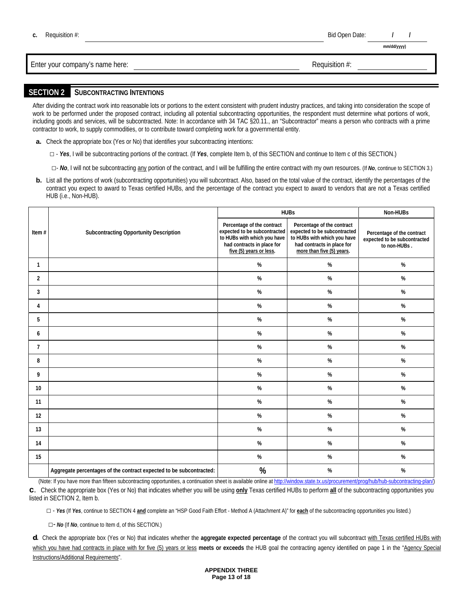**c.** Requisition #: Bid Open Date: **/ /** 

**mm/dd/yyyy)**

Enter your company's name here:  $\overline{R}$  Requisition #:

## **SECTION 2 SUBCONTRACTING INTENTIONS**

After dividing the contract work into reasonable lots or portions to the extent consistent with prudent industry practices, and taking into consideration the scope of work to be performed under the proposed contract, including all potential subcontracting opportunities, the respondent must determine what portions of work, including goods and services, will be subcontracted. Note: In accordance with 34 TAC §20.11., an "Subcontractor" means a person who contracts with a prime contractor to work, to supply commodities, or to contribute toward completing work for a governmental entity.

- **a.** Check the appropriate box (Yes or No) that identifies your subcontracting intentions:
	- □ *Yes*, I will be subcontracting portions of the contract. (If *Yes*, complete Item b, of this SECTION and continue to Item c of this SECTION.)
	- $\square$  *No*, I will not be subcontracting any portion of the contract, and I will be fulfilling the entire contract with my own resources. (If *No*, continue to SECTION 3.)
- **b.** List all the portions of work (subcontracting opportunities) you will subcontract. Also, based on the total value of the contract, identify the percentages of the contract you expect to award to Texas certified HUBs, and the percentage of the contract you expect to award to vendors that are not a Texas certified HUB (i.e., Non-HUB).

|                |                                                                     | <b>HUBs</b>                                                                                                                                        | Non-HUBs                                                                                                                                             |                                                                            |
|----------------|---------------------------------------------------------------------|----------------------------------------------------------------------------------------------------------------------------------------------------|------------------------------------------------------------------------------------------------------------------------------------------------------|----------------------------------------------------------------------------|
| Item#          | <b>Subcontracting Opportunity Description</b>                       | Percentage of the contract<br>expected to be subcontracted<br>to HUBs with which you have<br>had contracts in place for<br>five (5) years or less. | Percentage of the contract<br>expected to be subcontracted<br>to HUBs with which you have<br>had contracts in place for<br>more than five (5) years. | Percentage of the contract<br>expected to be subcontracted<br>to non-HUBs. |
| $\mathbf{1}$   |                                                                     | %                                                                                                                                                  | %                                                                                                                                                    | $\%$                                                                       |
| $\overline{2}$ |                                                                     | %                                                                                                                                                  | %                                                                                                                                                    | $\%$                                                                       |
| 3              |                                                                     | %                                                                                                                                                  | %                                                                                                                                                    | %                                                                          |
| 4              |                                                                     | %                                                                                                                                                  | $\%$                                                                                                                                                 | $\%$                                                                       |
| 5              |                                                                     | $\%$                                                                                                                                               | $\%$                                                                                                                                                 | $\%$                                                                       |
| 6              |                                                                     | $\%$                                                                                                                                               | $\%$                                                                                                                                                 | $\%$                                                                       |
| $\overline{7}$ |                                                                     | $\%$                                                                                                                                               | %                                                                                                                                                    | $\%$                                                                       |
| 8              |                                                                     | %                                                                                                                                                  | %                                                                                                                                                    | %                                                                          |
| 9              |                                                                     | %                                                                                                                                                  | %                                                                                                                                                    | %                                                                          |
| 10             |                                                                     | %                                                                                                                                                  | %                                                                                                                                                    | %                                                                          |
| 11             |                                                                     | %                                                                                                                                                  | %                                                                                                                                                    | %                                                                          |
| 12             |                                                                     | $\%$                                                                                                                                               | $\%$                                                                                                                                                 | $\%$                                                                       |
| 13             |                                                                     | %                                                                                                                                                  | $\%$                                                                                                                                                 | $\%$                                                                       |
| 14             |                                                                     | $\%$                                                                                                                                               | $\%$                                                                                                                                                 | $\%$                                                                       |
| 15             |                                                                     | $\%$                                                                                                                                               | $\%$                                                                                                                                                 | $\%$                                                                       |
|                | Aggregate percentages of the contract expected to be subcontracted: | %                                                                                                                                                  | $\%$                                                                                                                                                 | $\%$                                                                       |

(Note: If you have more than fifteen subcontracting opportunities, a continuation sheet is available online a[t http://window.state.tx.us/procurement/prog/hub/hub-subcontracting-plan/\)](http://window.state.tx.us/procurement/prog/hub/hub-subcontracting-plan/) **c**. Check the appropriate box (Yes or No) that indicates whether you will be using **only** Texas certified HUBs to perform **all** of the subcontracting opportunities you listed in SECTION 2, Item b.

□ - *Yes* (If *Yes*, continue to SECTION 4 **and** complete an "HSP Good Faith Effort - Method A (Attachment A)" for **each** of the subcontracting opportunities you listed.)

□- *No* (If *No*, continue to Item d, of this SECTION.)

**d.** Check the appropriate box (Yes or No) that indicates whether the **aggregate expected percentage** of the contract you will subcontract with Texas certified HUBs with which you have had contracts in place with for five (5) years or less **meets or exceeds** the HUB goal the contracting agency identified on page 1 in the "Agency Special Instructions/Additional Requirements".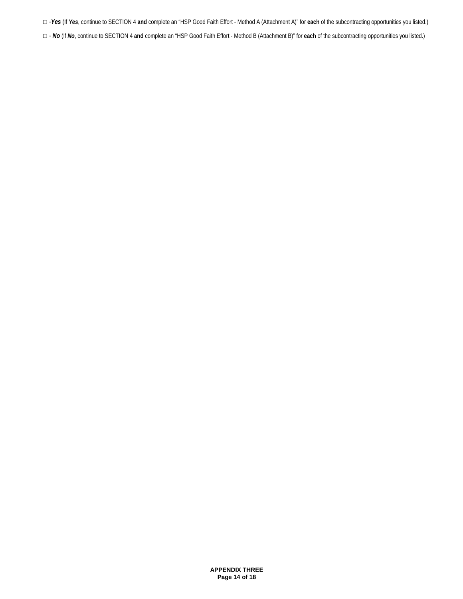□ -*Yes* (If *Yes*, continue to SECTION 4 **and** complete an "HSP Good Faith Effort - Method A (Attachment A)" for **each** of the subcontracting opportunities you listed.)

□ - *No* (If *No*, continue to SECTION 4 **and** complete an "HSP Good Faith Effort - Method B (Attachment B)" for **each** of the subcontracting opportunities you listed.)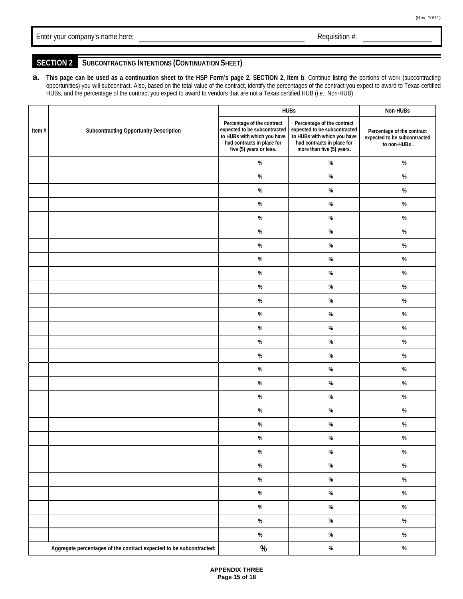Enter your company's name here:  $\blacksquare$ 

## **SECTION 2 SUBCONTRACTING INTENTIONS (CONTINUATION SHEET)**

**a.** This page can be used as a continuation sheet to the HSP Form's page 2, SECTION 2, Item b. Continue listing the portions of work (subcontracting opportunities) you will subcontract. Also, based on the total value of the contract, identify the percentages of the contract you expect to award to Texas certified HUBs, and the percentage of the contract you expect to award to vendors that are not a Texas certified HUB (i.e., Non-HUB).

|       |                                                                     | <b>HUBs</b>                                                                                                                                        |                                                                                                                                                      | Non-HUBs                                                                   |
|-------|---------------------------------------------------------------------|----------------------------------------------------------------------------------------------------------------------------------------------------|------------------------------------------------------------------------------------------------------------------------------------------------------|----------------------------------------------------------------------------|
| Item# | <b>Subcontracting Opportunity Description</b>                       | Percentage of the contract<br>expected to be subcontracted<br>to HUBs with which you have<br>had contracts in place for<br>five (5) years or less. | Percentage of the contract<br>expected to be subcontracted<br>to HUBs with which you have<br>had contracts in place for<br>more than five (5) years. | Percentage of the contract<br>expected to be subcontracted<br>to non-HUBs. |
|       |                                                                     | $\%$                                                                                                                                               | $\%$                                                                                                                                                 | $\%$                                                                       |
|       |                                                                     | $\%$                                                                                                                                               | $\%$                                                                                                                                                 | $\%$                                                                       |
|       |                                                                     | $\%$                                                                                                                                               | $\%$                                                                                                                                                 | $\%$                                                                       |
|       |                                                                     | $\%$                                                                                                                                               | $\%$                                                                                                                                                 | $\%$                                                                       |
|       |                                                                     | $\%$                                                                                                                                               | $\%$                                                                                                                                                 | $\%$                                                                       |
|       |                                                                     | $\%$                                                                                                                                               | $\%$                                                                                                                                                 | $\%$                                                                       |
|       |                                                                     | $\%$                                                                                                                                               | $\%$                                                                                                                                                 | $\%$                                                                       |
|       |                                                                     | $\%$                                                                                                                                               | $\%$                                                                                                                                                 | $\%$                                                                       |
|       |                                                                     | $\%$                                                                                                                                               | $\%$                                                                                                                                                 | $\%$                                                                       |
|       |                                                                     | $\%$                                                                                                                                               | $\%$                                                                                                                                                 | $\%$                                                                       |
|       |                                                                     | $\%$                                                                                                                                               | $\%$                                                                                                                                                 | $\%$                                                                       |
|       |                                                                     | $\%$                                                                                                                                               | $\%$                                                                                                                                                 | $\%$                                                                       |
|       |                                                                     | $\%$                                                                                                                                               | $\%$                                                                                                                                                 | $\%$                                                                       |
|       |                                                                     | $\%$                                                                                                                                               | $\%$                                                                                                                                                 | $\%$                                                                       |
|       |                                                                     | $\%$                                                                                                                                               | $\%$                                                                                                                                                 | $\%$                                                                       |
|       |                                                                     | $\%$                                                                                                                                               | $\%$                                                                                                                                                 | $\%$                                                                       |
|       |                                                                     | $\%$                                                                                                                                               | $\%$                                                                                                                                                 | $\%$                                                                       |
|       |                                                                     | $\%$                                                                                                                                               | $\%$                                                                                                                                                 | $\%$                                                                       |
|       |                                                                     | $\%$                                                                                                                                               | $\%$                                                                                                                                                 | $\%$                                                                       |
|       |                                                                     | $\%$                                                                                                                                               | $\%$                                                                                                                                                 | $\%$                                                                       |
|       |                                                                     | $\%$                                                                                                                                               | $\%$                                                                                                                                                 | $\%$                                                                       |
|       |                                                                     | $\%$                                                                                                                                               | $\%$                                                                                                                                                 | $\%$                                                                       |
|       |                                                                     | $\%$                                                                                                                                               | $\%$                                                                                                                                                 | $\%$                                                                       |
|       |                                                                     | $\%$                                                                                                                                               | $\%$                                                                                                                                                 | $\%$                                                                       |
|       |                                                                     | $\%$                                                                                                                                               | $\%$                                                                                                                                                 | $\%$                                                                       |
|       |                                                                     | $\%$                                                                                                                                               | $\%$                                                                                                                                                 | $\%$                                                                       |
|       |                                                                     | $\%$                                                                                                                                               | $\%$                                                                                                                                                 | $\%$                                                                       |
|       |                                                                     | $\%$                                                                                                                                               | $\%$                                                                                                                                                 | $\%$                                                                       |
|       | Aggregate percentages of the contract expected to be subcontracted: | $\%$                                                                                                                                               | $\%$                                                                                                                                                 | $\%$                                                                       |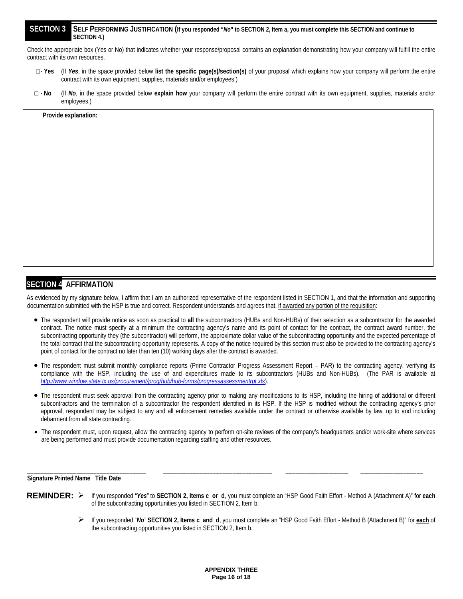#### **SECTION 3 SELF PERFORMING JUSTIFICATION (If you responded "***No***" to SECTION 2, Item a, you must complete this SECTION and continue to SECTION 4.)**

Check the appropriate box (Yes or No) that indicates whether your response/proposal contains an explanation demonstrating how your company will fulfill the entire contract with its own resources.

- □**- Yes** (If *Yes*, in the space provided below **list the specific page(s)/section(s)** of your proposal which explains how your company will perform the entire contract with its own equipment, supplies, materials and/or employees.)
- □ **- No** (If *No*, in the space provided below **explain how** your company will perform the entire contract with its own equipment, supplies, materials and/or employees.)

**Provide explanation:**

#### **SECTION 4 AFFIRMATION**

As evidenced by my signature below, I affirm that I am an authorized representative of the respondent listed in SECTION 1, and that the information and supporting documentation submitted with the HSP is true and correct. Respondent understands and agrees that, if awarded any portion of the requisition:

- The respondent will provide notice as soon as practical to **all** the subcontractors (HUBs and Non-HUBs) of their selection as a subcontractor for the awarded contract. The notice must specify at a minimum the contracting agency's name and its point of contact for the contract, the contract award number, the subcontracting opportunity they (the subcontractor) will perform, the approximate dollar value of the subcontracting opportunity and the expected percentage of the total contract that the subcontracting opportunity represents. A copy of the notice required by this section must also be provided to the contracting agency's point of contact for the contract no later than ten (10) working days after the contract is awarded.
- The respondent must submit monthly compliance reports (Prime Contractor Progress Assessment Report PAR) to the contracting agency, verifying its compliance with the HSP, including the use of and expenditures made to its subcontractors (HUBs and Non-HUBs). (The PAR is available at *<http://www.window.state.tx.us/procurement/prog/hub/hub-forms/progressassessmentrpt.xls>*).
- The respondent must seek approval from the contracting agency prior to making any modifications to its HSP, including the hiring of additional or different subcontractors and the termination of a subcontractor the respondent identified in its HSP. If the HSP is modified without the contracting agency's prior approval, respondent may be subject to any and all enforcement remedies available under the contract or otherwise available by law, up to and including debarment from all state contracting.
- The respondent must, upon request, allow the contracting agency to perform on-site reviews of the company's headquarters and/or work-site where services are being performed and must provide documentation regarding staffing and other resources.

**Signature Printed Name Title Date**

**REMINDER:** If you responded "*Yes"* to **SECTION 2, Items c or d**, you must complete an "HSP Good Faith Effort - Method A (Attachment A)" for **each** of the subcontracting opportunities you listed in SECTION 2, Item b.

\_\_\_\_\_\_\_\_\_\_\_\_\_\_\_\_\_\_\_\_\_\_\_\_\_\_\_\_\_\_\_\_\_\_\_\_ \_\_\_\_\_\_\_\_\_\_\_\_\_\_\_\_\_\_\_\_\_\_\_\_\_\_\_\_\_\_\_\_\_ \_\_\_\_\_\_\_\_\_\_\_\_\_\_\_\_\_\_\_ \_\_\_\_\_\_\_\_\_\_\_\_\_\_\_\_\_\_\_

 If you responded "*No"* **SECTION 2, Items c and d**, you must complete an "HSP Good Faith Effort - Method B (Attachment B)" for **each** of the subcontracting opportunities you listed in SECTION 2, Item b.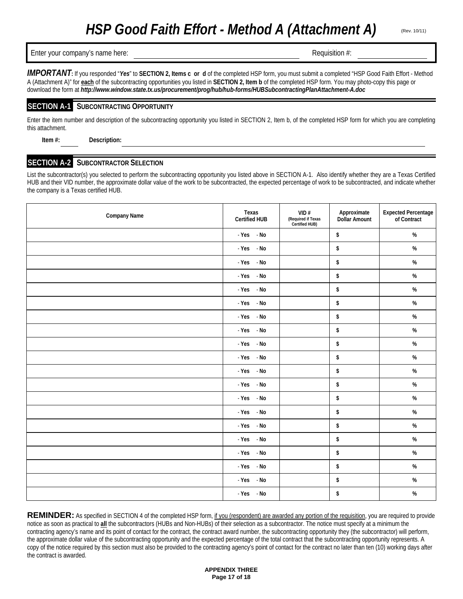Enter your company's name here:  $\blacksquare$  Requisition #:

*IMPORTANT***:** If you responded "*Yes*" to **SECTION 2, Items c or d** of the completed HSP form, you must submit a completed "HSP Good Faith Effort - Method A (Attachment A)" for **each** of the subcontracting opportunities you listed in **SECTION 2, Item b** of the completed HSP form. You may photo-copy this page or download the form at *http://www.window.state.tx.us/procurement/prog/hub/hub-forms/HUBSubcontractingPlanAttachment-A.doc*

#### **SECTION A-1 SUBCONTRACTING OPPORTUNITY**

Enter the item number and description of the subcontracting opportunity you listed in SECTION 2, Item b, of the completed HSP form for which you are completing this attachment.

**Item #: Description:**

#### **SECTION A-2 SUBCONTRACTOR SELECTION**

List the subcontractor(s) you selected to perform the subcontracting opportunity you listed above in SECTION A-1. Also identify whether they are a Texas Certified HUB and their VID number, the approximate dollar value of the work to be subcontracted, the expected percentage of work to be subcontracted, and indicate whether the company is a Texas certified HUB.

| <b>Company Name</b> | Texas<br><b>Certified HUB</b> | VID#<br>(Required if Texas<br>Certified HUB) | Approximate<br><b>Dollar Amount</b> | <b>Expected Percentage</b><br>of Contract |
|---------------------|-------------------------------|----------------------------------------------|-------------------------------------|-------------------------------------------|
|                     | - Yes - No                    |                                              | \$                                  | $\%$                                      |
|                     | - Yes - No                    |                                              | \$                                  | $\%$                                      |
|                     | - Yes - No                    |                                              | \$                                  | $\%$                                      |
|                     | - Yes - No                    |                                              | \$                                  | $\%$                                      |
|                     | - Yes - No                    |                                              | \$                                  | $\%$                                      |
|                     | - Yes - No                    |                                              | \$                                  | $\%$                                      |
|                     | - Yes - No                    |                                              | \$                                  | $\%$                                      |
|                     | - Yes - No                    |                                              | \$                                  | $\%$                                      |
|                     | - Yes - No                    |                                              | \$                                  | $\%$                                      |
|                     | - Yes - No                    |                                              | \$                                  | $\%$                                      |
|                     | - Yes - No                    |                                              | \$                                  | $\%$                                      |
|                     | - Yes - No                    |                                              | \$                                  | $\%$                                      |
|                     | - Yes - No                    |                                              | \$                                  | $\%$                                      |
|                     | - Yes - No                    |                                              | \$                                  | $\%$                                      |
|                     | - Yes - No                    |                                              | \$                                  | $\%$                                      |
|                     | - Yes - No                    |                                              | \$                                  | $\%$                                      |
|                     | - Yes - No                    |                                              | \$                                  | $\%$                                      |
|                     | - Yes - No                    |                                              | \$                                  | $\%$                                      |
|                     | - Yes - No                    |                                              | \$                                  | $\%$                                      |
|                     | - Yes - No                    |                                              | \$                                  | $\%$                                      |

REMINDER: As specified in SECTION 4 of the completed HSP form, if you (respondent) are awarded any portion of the requisition, you are required to provide notice as soon as practical to **all** the subcontractors (HUBs and Non-HUBs) of their selection as a subcontractor. The notice must specify at a minimum the contracting agency's name and its point of contact for the contract, the contract award number, the subcontracting opportunity they (the subcontractor) will perform, the approximate dollar value of the subcontracting opportunity and the expected percentage of the total contract that the subcontracting opportunity represents. A copy of the notice required by this section must also be provided to the contracting agency's point of contact for the contract no later than ten (10) working days after the contract is awarded.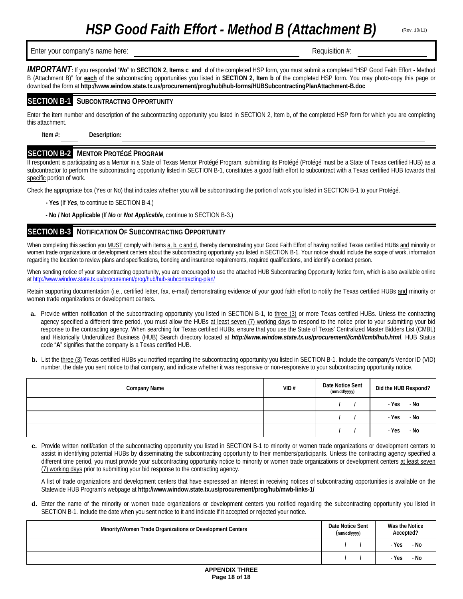Enter your company's name here:  $\overline{R}$  Requisition  $\#$ :

*IMPORTANT***:** If you responded "*No*" to **SECTION 2, Items c and d** of the completed HSP form, you must submit a completed "HSP Good Faith Effort - Method B (Attachment B)" for **each** of the subcontracting opportunities you listed in **SECTION 2, Item b** of the completed HSP form. You may photo-copy this page or download the form at **http://www.window.state.tx.us/procurement/prog/hub/hub-forms/HUBSubcontractingPlanAttachment-B.doc**

#### **SECTION B-1 SUBCONTRACTING OPPORTUNITY**

Enter the item number and description of the subcontracting opportunity you listed in SECTION 2, Item b, of the completed HSP form for which you are completing this attachment.

**Item #: Description:**

#### **SECTION B-2 MENTOR PROTÉGÉ PROGRAM**

If respondent is participating as a Mentor in a State of Texas Mentor Protégé Program, submitting its Protégé (Protégé must be a State of Texas certified HUB) as a subcontractor to perform the subcontracting opportunity listed in SECTION B-1, constitutes a good faith effort to subcontract with a Texas certified HUB towards that specific portion of work.

Check the appropriate box (Yes or No) that indicates whether you will be subcontracting the portion of work you listed in SECTION B-1 to your Protégé.

- **- Yes** (If *Yes*, to continue to SECTION B-4.)
- **- No / Not Applicable** (If *No* or *Not Applicable*, continue to SECTION B-3.)

#### **SECTION B-3 NOTIFICATION OF SUBCONTRACTING OPPORTUNITY**

When completing this section you MUST comply with items a, b, c and d, thereby demonstrating your Good Faith Effort of having notified Texas certified HUBs and minority or women trade organizations or development centers about the subcontracting opportunity you listed in SECTION B-1. Your notice should include the scope of work, information regarding the location to review plans and specifications, bonding and insurance requirements, required qualifications, and identify a contact person.

When sending notice of your subcontracting opportunity, you are encouraged to use the attached HUB Subcontracting Opportunity Notice form, which is also available online at<http://www.window.state.tx.us/procurement/prog/hub/hub-subcontracting-plan/>

Retain supporting documentation (i.e., certified letter, fax, e-mail) demonstrating evidence of your good faith effort to notify the Texas certified HUBs and minority or women trade organizations or development centers.

- **a.** Provide written notification of the subcontracting opportunity you listed in SECTION B-1, to three (3) or more Texas certified HUBs. Unless the contracting agency specified a different time period, you must allow the HUBs at least seven (7) working days to respond to the notice prior to your submitting your bid response to the contracting agency. When searching for Texas certified HUBs, ensure that you use the State of Texas' Centralized Master Bidders List (CMBL) and Historically Underutilized Business (HUB) Search directory located at *http://www.window.state.tx.us/procurement//cmbl/cmblhub.html*. HUB Status code "**A**" signifies that the company is a Texas certified HUB.
- **b.** List the three (3) Texas certified HUBs you notified regarding the subcontracting opportunity you listed in SECTION B-1. Include the company's Vendor ID (VID) number, the date you sent notice to that company, and indicate whether it was responsive or non-responsive to your subcontracting opportunity notice.

| <b>Company Name</b> | VID# | Date Notice Sent<br>(mm/dd/yyyy) | Did the HUB Respond? |  |
|---------------------|------|----------------------------------|----------------------|--|
|                     |      |                                  | - No<br>- Yes        |  |
|                     |      |                                  | - No<br>- Yes        |  |
|                     |      |                                  | - No<br>- Yes        |  |

**c.** Provide written notif*i*cation of the subcontracting opportunity you listed in SECTION B-1 to minority or women trade organizations or development centers to assist in identifying potential HUBs by disseminating the subcontracting opportunity to their members/participants. Unless the contracting agency specified a different time period, you must provide your subcontracting opportunity notice to minority or women trade organizations or development centers at least seven (7) working days prior to submitting your bid response to the contracting agency.

A list of trade organizations and development centers that have expressed an interest in receiving notices of subcontracting opportunities is available on the Statewide HUB Program's webpage at **http://www.window.state.tx.us/procurement/prog/hub/mwb-links-1/**

**d.** Enter the name of the minority or women trade organizations or development centers you notified regarding the subcontracting opportunity you listed in SECTION B-1. Include the date when you sent notice to it and indicate if it accepted or rejected your notice.

| Minority/Women Trade Organizations or Development Centers | Date Notice Sent<br>(mm/dd/yyyy) | Was the Notice<br>Accepted? |
|-----------------------------------------------------------|----------------------------------|-----------------------------|
|                                                           |                                  | - No<br>- Yes               |
|                                                           |                                  | - No<br>- Yes               |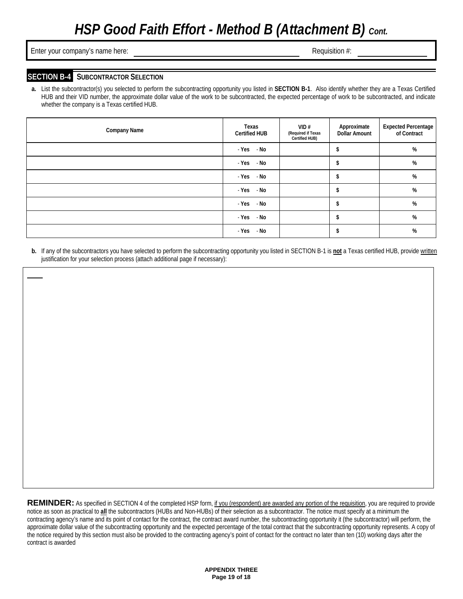Enter your company's name here:  $\blacksquare$  Requisition #:

# **SECTION B-4 SUBCONTRACTOR SELECTION**

**a.** List the subcontractor(s) you selected to perform the subcontracting opportunity you listed in **SECTION B-1**. Also identify whether they are a Texas Certified HUB and their VID number, the approximate dollar value of the work to be subcontracted, the expected percentage of work to be subcontracted, and indicate whether the company is a Texas certified HUB.

| Company Name | Texas<br><b>Certified HUB</b> | VID#<br>(Required if Texas<br>Certified HUB) | Approximate<br><b>Dollar Amount</b> | <b>Expected Percentage</b><br>of Contract |
|--------------|-------------------------------|----------------------------------------------|-------------------------------------|-------------------------------------------|
|              | - Yes - No                    |                                              |                                     | %                                         |
|              | - Yes - No                    |                                              |                                     | %                                         |
|              | - Yes - No                    |                                              |                                     | %                                         |
|              | - Yes - No                    |                                              |                                     | %                                         |
|              | - Yes - No                    |                                              |                                     | %                                         |
|              | - Yes - No                    |                                              |                                     | %                                         |
|              | - Yes - No                    |                                              |                                     | %                                         |

**b.** If any of the subcontractors you have selected to perform the subcontracting opportunity you listed in SECTION B-1 is **not** a Texas certified HUB, provide written justification for your selection process (attach additional page if necessary):

REMINDER: As specified in SECTION 4 of the completed HSP form, if you (respondent) are awarded any portion of the requisition, you are required to provide notice as soon as practical to **all** the subcontractors (HUBs and Non-HUBs) of their selection as a subcontractor. The notice must specify at a minimum the contracting agency's name and its point of contact for the contract, the contract award number, the subcontracting opportunity it (the subcontractor) will perform, the approximate dollar value of the subcontracting opportunity and the expected percentage of the total contract that the subcontracting opportunity represents. A copy of the notice required by this section must also be provided to the contracting agency's point of contact for the contract no later than ten (10) working days after the contract is awarded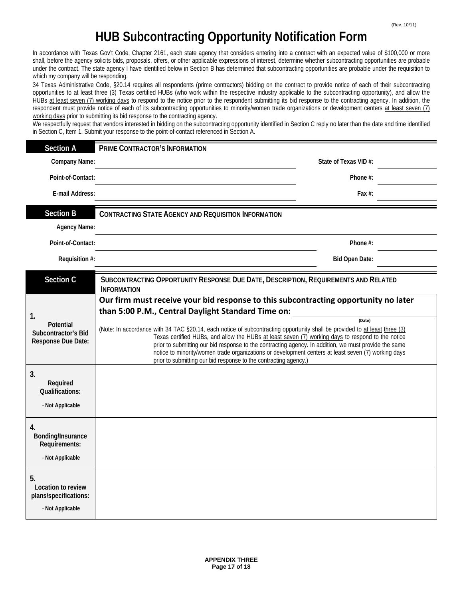# **HUB Subcontracting Opportunity Notification Form**

In accordance with Texas Gov't Code, Chapter 2161, each state agency that considers entering into a contract with an expected value of \$100,000 or more shall, before the agency solicits bids, proposals, offers, or other applicable expressions of interest, determine whether subcontracting opportunities are probable under the contract. The state agency I have identified below in Section B has determined that subcontracting opportunities are probable under the requisition to which my company will be responding.

34 Texas Administrative Code, §20.14 requires all respondents (prime contractors) bidding on the contract to provide notice of each of their subcontracting opportunities to at least three (3) Texas certified HUBs (who work within the respective industry applicable to the subcontracting opportunity), and allow the HUBs at least seven (7) working days to respond to the notice prior to the respondent submitting its bid response to the contracting agency. In addition, the respondent must provide notice of each of its subcontracting opportunities to minority/women trade organizations or development centers at least seven (7) working days prior to submitting its bid response to the contracting agency.

We respectfully request that vendors interested in bidding on the subcontracting opportunity identified in Section C reply no later than the date and time identified in Section C, Item 1. Submit your response to the point-of-contact referenced in Section A.

| <b>Section A</b>                                                          | PRIME CONTRACTOR'S INFORMATION                                                                                                                                                                                                                                                                                                                                                                                                                                                                                                                                                                                                                                             |                       |  |  |  |
|---------------------------------------------------------------------------|----------------------------------------------------------------------------------------------------------------------------------------------------------------------------------------------------------------------------------------------------------------------------------------------------------------------------------------------------------------------------------------------------------------------------------------------------------------------------------------------------------------------------------------------------------------------------------------------------------------------------------------------------------------------------|-----------------------|--|--|--|
| <b>Company Name:</b>                                                      |                                                                                                                                                                                                                                                                                                                                                                                                                                                                                                                                                                                                                                                                            | State of Texas VID #: |  |  |  |
| Point-of-Contact:                                                         |                                                                                                                                                                                                                                                                                                                                                                                                                                                                                                                                                                                                                                                                            | Phone #:              |  |  |  |
| E-mail Address:                                                           |                                                                                                                                                                                                                                                                                                                                                                                                                                                                                                                                                                                                                                                                            | Fax $#$ :             |  |  |  |
| <b>Section B</b>                                                          | <b>CONTRACTING STATE AGENCY AND REQUISITION INFORMATION</b>                                                                                                                                                                                                                                                                                                                                                                                                                                                                                                                                                                                                                |                       |  |  |  |
| <b>Agency Name:</b>                                                       |                                                                                                                                                                                                                                                                                                                                                                                                                                                                                                                                                                                                                                                                            |                       |  |  |  |
| Point-of-Contact:                                                         |                                                                                                                                                                                                                                                                                                                                                                                                                                                                                                                                                                                                                                                                            | Phone #:              |  |  |  |
| Requisition #:                                                            |                                                                                                                                                                                                                                                                                                                                                                                                                                                                                                                                                                                                                                                                            | <b>Bid Open Date:</b> |  |  |  |
| Section C                                                                 | SUBCONTRACTING OPPORTUNITY RESPONSE DUE DATE, DESCRIPTION, REQUIREMENTS AND RELATED<br><b>INFORMATION</b>                                                                                                                                                                                                                                                                                                                                                                                                                                                                                                                                                                  |                       |  |  |  |
| 1.<br><b>Potential</b><br>Subcontractor's Bid<br>Response Due Date:<br>3. | Our firm must receive your bid response to this subcontracting opportunity no later<br>than 5:00 P.M., Central Daylight Standard Time on:<br>(Date)<br>(Note: In accordance with 34 TAC §20.14, each notice of subcontracting opportunity shall be provided to at least three (3)<br>Texas certified HUBs, and allow the HUBs at least seven (7) working days to respond to the notice<br>prior to submitting our bid response to the contracting agency. In addition, we must provide the same<br>notice to minority/women trade organizations or development centers at least seven (7) working days<br>prior to submitting our bid response to the contracting agency.) |                       |  |  |  |
| Required<br><b>Qualifications:</b><br>- Not Applicable                    |                                                                                                                                                                                                                                                                                                                                                                                                                                                                                                                                                                                                                                                                            |                       |  |  |  |
| 4.<br>Bonding/Insurance<br>Requirements:<br>- Not Applicable              |                                                                                                                                                                                                                                                                                                                                                                                                                                                                                                                                                                                                                                                                            |                       |  |  |  |
| 5.<br>Location to review<br>plans/specifications:<br>- Not Applicable     |                                                                                                                                                                                                                                                                                                                                                                                                                                                                                                                                                                                                                                                                            |                       |  |  |  |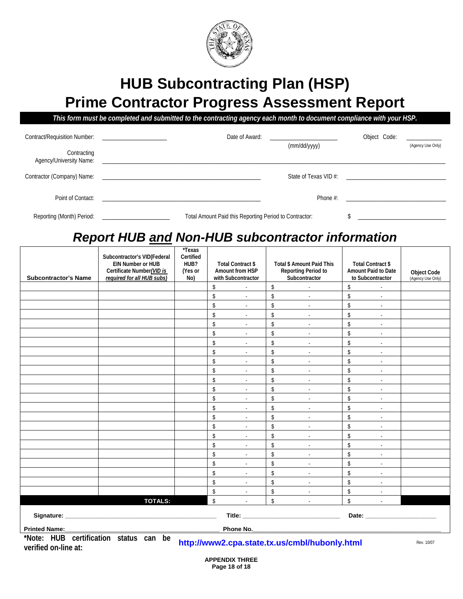

# **HUB Subcontracting Plan (HSP) Prime Contractor Progress Assessment Report**

*This form must be completed and submitted to the contracting agency each month to document compliance with your HSP.*

| Contract/Requisition Number:           | Date of Award:<br>the control of the control of the control of<br><u> 1980 - Andrea Andrew Maria (h. 1980).</u> | Object Code:                                                                                                                                                                                                                         |                   |
|----------------------------------------|-----------------------------------------------------------------------------------------------------------------|--------------------------------------------------------------------------------------------------------------------------------------------------------------------------------------------------------------------------------------|-------------------|
| Contracting<br>Agency/University Name: | (mm/dd/yyyy)                                                                                                    |                                                                                                                                                                                                                                      | (Agency Use Only) |
| Contractor (Company) Name:             | State of Texas VID #:<br><u> 1980 - Andrea Stadt Britain, fransk politik (d. 1980)</u>                          | <u> 1980 - Andrea Aonaich, ann an t-Èireann an t-Èireann an t-Èireann an t-Èireann an t-Èireann an t-Èireann an t-Èireann an t-Èireann an t-Èireann an t-Èireann an t-Èireann an t-Èireann an t-Èireann an t-Èireann an t-Èirean</u> |                   |
| Point of Contact:                      | Phone $#$ :                                                                                                     |                                                                                                                                                                                                                                      |                   |
| Reporting (Month) Period:              | Total Amount Paid this Reporting Period to Contractor:                                                          |                                                                                                                                                                                                                                      |                   |

# *Report HUB and Non-HUB subcontractor information*

| <b>Subcontractor's Name</b>          | Subcontractor's VID(Federal<br><b>EIN Number or HUB</b><br>Certificate Number(VID is<br>required for all HUB subs) | *Texas<br>Certified<br>HUB?<br>(Yes or<br>No) | <b>Total Contract \$</b><br>Amount from HSP<br>with Subcontractor |                          | Total \$ Amount Paid This<br><b>Reporting Period to</b><br>Subcontractor |                          | <b>Total Contract \$</b><br><b>Amount Paid to Date</b><br>to Subcontractor |                          | Object Code<br>(Agency Use Only) |
|--------------------------------------|--------------------------------------------------------------------------------------------------------------------|-----------------------------------------------|-------------------------------------------------------------------|--------------------------|--------------------------------------------------------------------------|--------------------------|----------------------------------------------------------------------------|--------------------------|----------------------------------|
|                                      |                                                                                                                    |                                               | \$                                                                | $\mathcal{L}$            | $\,$                                                                     | $\sim$                   | \$                                                                         | $\sim$                   |                                  |
|                                      |                                                                                                                    |                                               | \$                                                                | $\mathcal{L}$            | \$                                                                       | $\sim$                   | \$                                                                         | $\sim$                   |                                  |
|                                      |                                                                                                                    |                                               | \$                                                                | $\Box$                   | \$                                                                       | $\overline{\phantom{a}}$ | \$                                                                         | $\blacksquare$           |                                  |
|                                      |                                                                                                                    |                                               | \$                                                                | $\bar{z}$                | $\mathsf{\$}$                                                            | $\overline{\phantom{a}}$ | \$                                                                         | $\overline{\phantom{a}}$ |                                  |
|                                      |                                                                                                                    |                                               | \$                                                                | $\sim$                   | $\sqrt{2}$                                                               | $\mathbf{r}$             | $\mathbb S$                                                                | $\omega$                 |                                  |
|                                      |                                                                                                                    |                                               | \$                                                                | $\omega$                 | \$                                                                       | ÷.                       | $\mathbb S$                                                                | $\sim$                   |                                  |
|                                      |                                                                                                                    |                                               | \$                                                                | $\sim$                   | $\mathsf{\$}$                                                            | $\sim$                   | \$                                                                         | $\sim$                   |                                  |
|                                      |                                                                                                                    |                                               | \$                                                                | $\sim$                   | \$                                                                       | $\sim$                   | \$                                                                         | $\blacksquare$           |                                  |
|                                      |                                                                                                                    |                                               | \$                                                                | $\overline{\phantom{a}}$ | $\,$                                                                     | $\overline{\phantom{a}}$ | \$                                                                         | $\sim$                   |                                  |
|                                      |                                                                                                                    |                                               | \$                                                                | $\bar{z}$                | $\mathsf{\$}$                                                            | $\bar{\phantom{a}}$      | $\,$                                                                       | $\sim$                   |                                  |
|                                      |                                                                                                                    |                                               | \$                                                                | ÷,                       | $\sqrt[6]{\frac{1}{2}}$                                                  | $\sim$                   | $\mathbb{S}$                                                               | $\sim$                   |                                  |
|                                      |                                                                                                                    |                                               | \$                                                                | $\mathcal{L}$            | \$                                                                       | $\overline{\phantom{a}}$ | \$                                                                         | $\bar{\phantom{a}}$      |                                  |
|                                      |                                                                                                                    |                                               | \$                                                                | $\sim$                   | \$                                                                       | $\bar{\phantom{a}}$      | \$                                                                         | $\equiv$                 |                                  |
|                                      |                                                                                                                    |                                               | \$                                                                | $\overline{\phantom{a}}$ | \$                                                                       | $\overline{\phantom{a}}$ | $\mathbb S$                                                                | $\blacksquare$           |                                  |
|                                      |                                                                                                                    |                                               | \$                                                                | $\overline{\phantom{a}}$ | \$                                                                       | $\sim$                   | \$                                                                         | $\blacksquare$           |                                  |
|                                      |                                                                                                                    |                                               | \$                                                                | $\sim$                   | $\sqrt{2}$                                                               | $\overline{\phantom{a}}$ | $\mathbb{S}$                                                               | $\sim$                   |                                  |
|                                      |                                                                                                                    |                                               | \$                                                                | $\sim$                   | $\sqrt{2}$                                                               | $\omega$                 | $\mathbb{S}$                                                               | $\sim$                   |                                  |
|                                      |                                                                                                                    |                                               | \$                                                                | ÷.                       | $\mathsf{\$}$                                                            | ÷.                       | \$                                                                         | ÷                        |                                  |
|                                      |                                                                                                                    |                                               | $\mathsf{\$}$                                                     | $\sim$                   | $\,$                                                                     | $\sim$                   | \$                                                                         | $\omega$                 |                                  |
|                                      |                                                                                                                    |                                               | $\mathsf{\$}$                                                     | $\sim$                   | \$                                                                       | $\sim$                   | \$                                                                         | $\sim$                   |                                  |
|                                      |                                                                                                                    |                                               | \$                                                                | $\blacksquare$           | \$                                                                       | $\sim$                   | \$                                                                         | $\sim$                   |                                  |
|                                      |                                                                                                                    |                                               | \$                                                                | $\sim$                   | \$                                                                       | $\sim$                   | \$                                                                         | $\blacksquare$           |                                  |
|                                      |                                                                                                                    |                                               | \$                                                                | $\overline{a}$           | $\sqrt[6]{\frac{1}{2}}$                                                  | $\sim$                   | \$                                                                         | $\omega$                 |                                  |
|                                      | <b>TOTALS:</b>                                                                                                     |                                               | \$                                                                | $\sim$                   | \$                                                                       | $\omega$                 | \$                                                                         | $\omega$                 |                                  |
| Signature: _<br><b>Printed Name:</b> | Phone No.                                                                                                          |                                               |                                                                   |                          |                                                                          |                          |                                                                            |                          |                                  |

**\*Note: HUB certification status can be vidition in the certification status can be <http://www2.cpa.state.tx.us/cmbl/hubonly.html>** Rev. 10/07 Rev. 10/07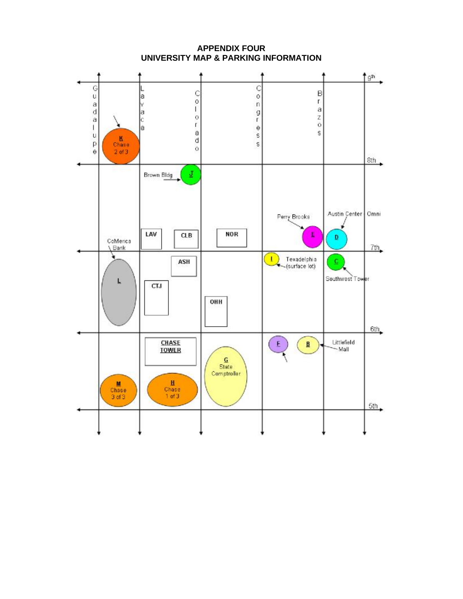**APPENDIX FOUR UNIVERSITY MAP & PARKING INFORMATION**

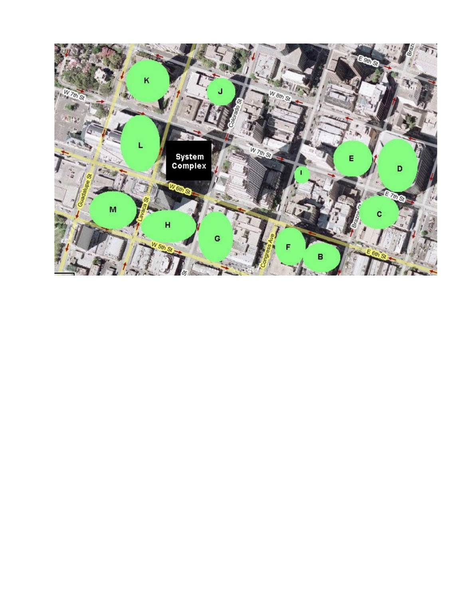